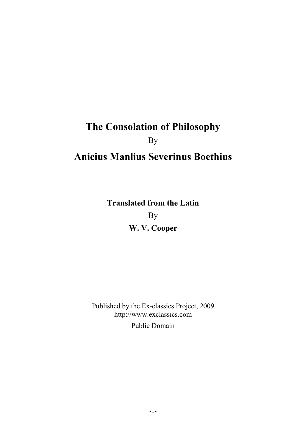# **The Consolation of Philosophy** By

# **Anicius Manlius Severinus Boethius**

**Translated from the Latin** By **W. V. Cooper**

Published by the Ex-classics Project, 2009 http://www.exclassics.com

Public Domain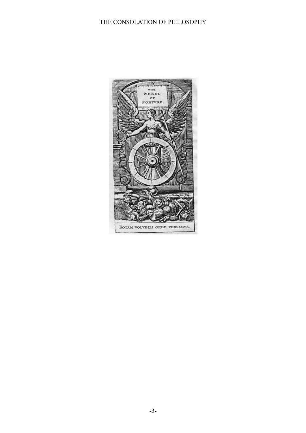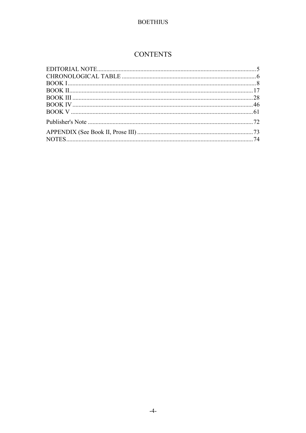# **CONTENTS**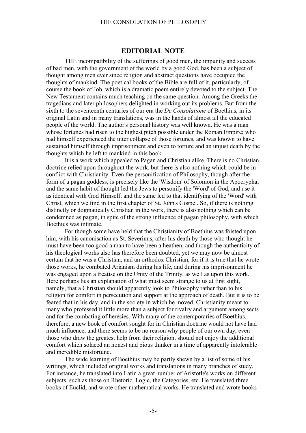## **EDITORIAL NOTE**

THE incompatibility of the sufferings of good men, the impunity and success of bad men, with the government of the world by a good God, has been a subject of thought among men ever since religion and abstract questions have occupied the thoughts of mankind. The poetical books of the Bible are full of it, particularly, of course the book of Job, which is a dramatic poem entirely devoted to the subject. The New Testament contains much teaching on the same question. Among the Greeks the tragedians and later philosophers delighted in working out its problems. But from the sixth to the seventeenth centuries of our era the *De Consolatione* of Boethius, in its original Latin and in many translations, was in the hands of almost all the educated people of the world. The author's personal history was well known. He was a man whose fortunes had risen to the highest pitch possible under the Roman Empire; who had himself experienced the utter collapse of those fortunes, and was known to have sustained himself through imprisonment and even to torture and an unjust death by the thoughts which he left to mankind in this book.

It is a work which appealed to Pagan and Christian alike. There is no Christian doctrine relied upon throughout the work, but there is also nothing which could be in conflict with Christianity. Even the personification of Philosophy, though after the form of a pagan goddess, is precisely like the 'Wisdom' of Solomon in the Apocrypha; and the same habit of thought led the Jews to personify the 'Word' of God, and use it as identical with God Himself; and the same led to that identifying of the 'Word' with Christ, which we find in the first chapter of St. John's Gospel. So, if there is nothing distinctly or dogmatically Christian in the work, there is also nothing which can be condemned as pagan, in spite of the strong influence of pagan philosophy, with which Boethius was intimate.

For though some have held that the Christianity of Boethius was foisted upon him, with his canonisation as St. Severinus, after his death by those who thought he must have been too good a man to have been a heathen, and though the authenticity of his theological works also has therefore been doubted, yet we may now be almost certain that he was a Christian, and an orthodox Christian, for if it is true that he wrote those works, he combated Arianism during his life, and during his imprisonment he was engaged upon a treatise on the Unity of the Trinity, as well as upon this work. Here perhaps lies an explanation of what must seem strange to us at first sight, namely, that a Christian should apparently look to Philosophy rather than to his religion for comfort in persecution and support at the approach of death. But it is to be feared that in his day, and in the society in which he moved, Christianity meant to many who professed it little more than a subject for rivalry and argument among sects and for the combating of heresies. With many of the contemporaries of Boethius, therefore, a new book of comfort sought for in Christian doctrine would not have had much influence, and there seems to be no reason why people of our own day, even those who draw the greatest help from their religion, should not enjoy the additional comfort which solaced an honest and pious thinker in a time of apparently intolerable and incredible misfortune.

The wide learning of Boethius may be partly shewn by a list of some of his writings, which included original works and translations in many branches of study. For instance, he translated into Latin a great number of Aristotle's works on different subjects, such as those on Rhetoric, Logic, the Categories, etc. He translated three books of Euclid, and wrote other mathematical works. He translated and wrote books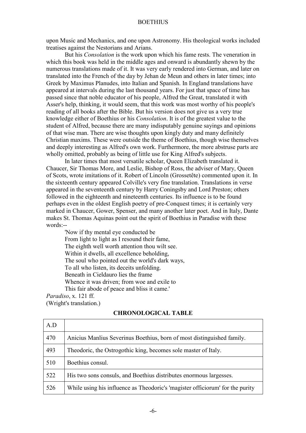upon Music and Mechanics, and one upon Astronomy. His theological works included treatises against the Nestorians and Arians.

But his *Consolation* is the work upon which his fame rests. The veneration in which this book was held in the middle ages and onward is abundantly shewn by the numerous translations made of it. It was very early rendered into German, and later on translated into the French of the day by Jehan de Meun and others in later times; into Greek by Maximus Planudes, into Italian and Spanish. In England translations have appeared at intervals during the last thousand years. For just that space of time has passed since that noble educator of his people, Alfred the Great, translated it with Asser's help, thinking, it would seem, that this work was most worthy of his people's reading of all books after the Bible. But his version does not give us a very true knowledge either of Boethius or his *Consolation*. It is of the greatest value to the student of Alfred, because there are many indisputably genuine sayings and opinions of that wise man. There are wise thoughts upon kingly duty and many definitely Christian maxims. These were outside the theme of Boethius, though wise themselves and deeply interesting as Alfred's own work. Furthermore, the more abstruse parts are wholly omitted, probably as being of little use for King Alfred's subjects.

In later times that most versatile scholar, Queen Elizabeth translated it. Chaucer, Sir Thomas More, and Leslie, Bishop of Ross, the adviser of Mary, Queen of Scots, wrote imitations of it. Robert of Lincoln (Grossetête) commented upon it. In the sixteenth century appeared Colville's very fine translation. Translations in verse appeared in the seventeenth century by Harry Coningsby and Lord Preston; others followed in the eighteenth and nineteenth centuries. Its influence is to be found perhaps even in the oldest English poetry of pre-Conquest times; it is certainly very marked in Chaucer, Gower, Spenser, and many another later poet. And in Italy, Dante makes St. Thomas Aquinas point out the spirit of Boethius in Paradise with these words:--

'Now if thy mental eye conducted be From light to light as I resound their fame, The eighth well worth attention thou wilt see. Within it dwells, all excellence beholding, The soul who pointed out the world's dark ways, To all who listen, its deceits unfolding. Beneath in Cieldauro lies the frame Whence it was driven; from woe and exile to This fair abode of peace and bliss it came.' *Paradiso*, x. 121 ff.

(Wright's translation.)

 $\top$ 

## **CHRONOLOGICAL TABLE**

| A.D |                                                                               |
|-----|-------------------------------------------------------------------------------|
| 470 | Anicius Manlius Severinus Boethius, born of most distinguished family.        |
| 493 | Theodoric, the Ostrogothic king, becomes sole master of Italy.                |
| 510 | Boethius consul.                                                              |
| 522 | His two sons consuls, and Boethius distributes enormous largesses.            |
| 526 | While using his influence as Theodoric's 'magister officiorum' for the purity |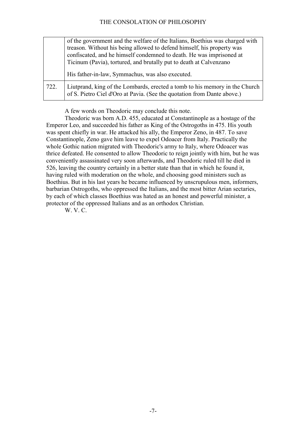|      | of the government and the welfare of the Italians, Boethius was charged with<br>treason. Without his being allowed to defend himself, his property was<br>confiscated, and he himself condemned to death. He was imprisoned at<br>Ticinum (Pavia), tortured, and brutally put to death at Calvenzano<br>His father-in-law, Symmachus, was also executed. |
|------|----------------------------------------------------------------------------------------------------------------------------------------------------------------------------------------------------------------------------------------------------------------------------------------------------------------------------------------------------------|
| 722. | Liutprand, king of the Lombards, erected a tomb to his memory in the Church<br>of S. Pietro Ciel d'Oro at Pavia. (See the quotation from Dante above.)                                                                                                                                                                                                   |

A few words on Theodoric may conclude this note.

Theodoric was born A.D. 455, educated at Constantinople as a hostage of the Emperor Leo, and succeeded his father as King of the Ostrogoths in 475. His youth was spent chiefly in war. He attacked his ally, the Emperor Zeno, in 487. To save Constantinople, Zeno gave him leave to expel Odoacer from Italy. Practically the whole Gothic nation migrated with Theodoric's army to Italy, where Odoacer was thrice defeated. He consented to allow Theodoric to reign jointly with him, but he was conveniently assassinated very soon afterwards, and Theodoric ruled till he died in 526, leaving the country certainly in a better state than that in which he found it, having ruled with moderation on the whole, and choosing good ministers such as Boethius. But in his last years he became influenced by unscrupulous men, informers, barbarian Ostrogoths, who oppressed the Italians, and the most bitter Arian sectaries, by each of which classes Boethius was hated as an honest and powerful minister, a protector of the oppressed Italians and as an orthodox Christian.

W. V. C.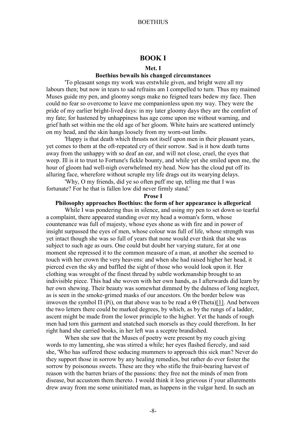## **BOOK I**

## **Met. I**

## **Boethius bewails his changed circumstances**

'To pleasant songs my work was erstwhile given, and bright were all my labours then; but now in tears to sad refrains am I compelled to turn. Thus my maimed Muses guide my pen, and gloomy songs make no feigned tears bedew my face. Then could no fear so overcome to leave me companionless upon my way. They were the pride of my earlier bright-lived days: in my later gloomy days they are the comfort of my fate; for hastened by unhappiness has age come upon me without warning, and grief hath set within me the old age of her gloom. White hairs are scattered untimely on my head, and the skin hangs loosely from my worn-out limbs.

'Happy is that death which thrusts not itself upon men in their pleasant years, yet comes to them at the oft-repeated cry of their sorrow. Sad is it how death turns away from the unhappy with so deaf an ear, and will not close, cruel, the eyes that weep. Ill is it to trust to Fortune's fickle bounty, and while yet she smiled upon me, the hour of gloom had well-nigh overwhelmed my head. Now has the cloud put off its alluring face, wherefore without scruple my life drags out its wearying delays.

'Why, O my friends, did ye so often puff me up, telling me that I was fortunate? For he that is fallen low did never firmly stand.'

#### **Prose I**

## **Philosophy approaches Boethius: the form of her appearance is allegorical**

While I was pondering thus in silence, and using my pen to set down so tearful a complaint, there appeared standing over my head a woman's form, whose countenance was full of majesty, whose eyes shone as with fire and in power of insight surpassed the eyes of men, whose colour was full of life, whose strength was yet intact though she was so full of years that none would ever think that she was subject to such age as ours. One could but doubt her varying stature, for at one moment she repressed it to the common measure of a man, at another she seemed to touch with her crown the very heavens: and when she had raised higher her head, it pierced even the sky and baffled the sight of those who would look upon it. Her clothing was wrought of the finest thread by subtle workmanship brought to an indivisible piece. This had she woven with her own hands, as I afterwards did learn by her own shewing. Their beauty was somewhat dimmed by the dulness of long neglect, as is seen in the smoke-grimed masks of our ancestors. On the border below was inwoven the symbol  $\Pi$  (Pi), on that above was to be read a  $\Theta$  (Theta)[1]. And between the two letters there could be marked degrees, by which, as by the rungs of a ladder, ascent might be made from the lower principle to the higher. Yet the hands of rough men had torn this garment and snatched such morsels as they could therefrom. In her right hand she carried books, in her left was a sceptre brandished.

When she saw that the Muses of poetry were present by my couch giving words to my lamenting, she was stirred a while; her eyes flashed fiercely, and said she, 'Who has suffered these seducing mummers to approach this sick man? Never do they support those in sorrow by any healing remedies, but rather do ever foster the sorrow by poisonous sweets. These are they who stifle the fruit-bearing harvest of reason with the barren briars of the passions: they free not the minds of men from disease, but accustom them thereto. I would think it less grievous if your allurements drew away from me some uninitiated man, as happens in the vulgar herd. In such an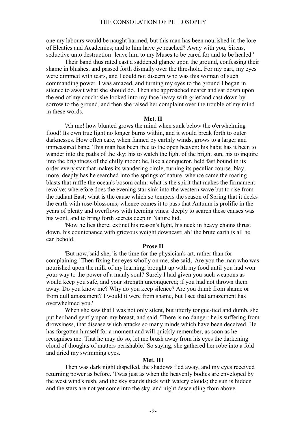one my labours would be naught harmed, but this man has been nourished in the lore of Eleatics and Academics; and to him have ye reached? Away with you, Sirens, seductive unto destruction! leave him to my Muses to be cared for and to be healed.'

Their band thus rated cast a saddened glance upon the ground, confessing their shame in blushes, and passed forth dismally over the threshold. For my part, my eyes were dimmed with tears, and I could not discern who was this woman of such commanding power. I was amazed, and turning my eyes to the ground I began in silence to await what she should do. Then she approached nearer and sat down upon the end of my couch: she looked into my face heavy with grief and cast down by sorrow to the ground, and then she raised her complaint over the trouble of my mind in these words.

#### **Met. II**

'Ah me! how blunted grows the mind when sunk below the o'erwhelming flood! Its own true light no longer burns within, and it would break forth to outer darknesses. How often care, when fanned by earthly winds, grows to a larger and unmeasured bane. This man has been free to the open heaven: his habit has it been to wander into the paths of the sky: his to watch the light of the bright sun, his to inquire into the brightness of the chilly moon; he, like a conqueror, held fast bound in its order every star that makes its wandering circle, turning its peculiar course. Nay, more, deeply has he searched into the springs of nature, whence came the roaring blasts that ruffle the ocean's bosom calm: what is the spirit that makes the firmament revolve; wherefore does the evening star sink into the western wave but to rise from the radiant East; what is the cause which so tempers the season of Spring that it decks the earth with rose-blossoms; whence comes it to pass that Autumn is prolific in the years of plenty and overflows with teeming vines: deeply to search these causes was his wont, and to bring forth secrets deep in Nature hid.

'Now he lies there; extinct his reason's light, his neck in heavy chains thrust down, his countenance with grievous weight downcast; ah! the brute earth is all he can behold.

#### **Prose II**

'But now,'said she, 'is the time for the physician's art, rather than for complaining.' Then fixing her eyes wholly on me, she said, 'Are you the man who was nourished upon the milk of my learning, brought up with my food until you had won your way to the power of a manly soul? Surely I had given you such weapons as would keep you safe, and your strength unconquered; if you had not thrown them away. Do you know me? Why do you keep silence? Are you dumb from shame or from dull amazement? I would it were from shame, but I see that amazement has overwhelmed you.'

When she saw that I was not only silent, but utterly tongue-tied and dumb, she put her hand gently upon my breast, and said, 'There is no danger: he is suffering from drowsiness, that disease which attacks so many minds which have been deceived. He has forgotten himself for a moment and will quickly remember, as soon as he recognises me. That he may do so, let me brush away from his eyes the darkening cloud of thoughts of matters perishable.' So saying, she gathered her robe into a fold and dried my swimming eyes.

## **Met. III**

Then was dark night dispelled, the shadows fled away, and my eyes received returning power as before. 'Twas just as when the heavenly bodies are enveloped by the west wind's rush, and the sky stands thick with watery clouds; the sun is hidden and the stars are not yet come into the sky, and night descending from above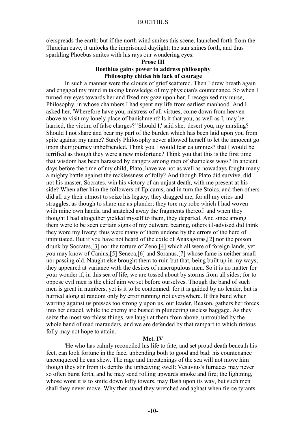o'erspreads the earth: but if the north wind smites this scene, launched forth from the Thracian cave, it unlocks the imprisoned daylight; the sun shines forth, and thus sparkling Phoebus smites with his rays our wondering eyes.

## **Prose III Boethius gains power to address philosophy Philosophy chides his lack of courage**

In such a manner were the clouds of grief scattered. Then I drew breath again and engaged my mind in taking knowledge of my physician's countenance. So when I turned my eyes towards her and fixed my gaze upon her, I recognised my nurse, Philosophy, in whose chambers I had spent my life from earliest manhood. And I asked her, 'Wherefore have you, mistress of all virtues, come down from heaven above to visit my lonely place of banishment? Is it that you, as well as I, may be harried, the victim of false charges?' 'Should I,' said she, 'desert you, my nursling? Should I not share and bear my part of the burden which has been laid upon you from spite against my name? Surely Philosophy never allowed herself to let the innocent go upon their journey unbefriended. Think you I would fear calumnies? that I would be terrified as though they were a new misfortune? Think you that this is the first time that wisdom has been harassed by dangers among men of shameless ways? In ancient days before the time of my child, Plato, have we not as well as nowadays fought many a mighty battle against the recklessness of folly? And though Plato did survive, did not his master, Socrates, win his victory of an unjust death, with me present at his side? When after him the followers of Epicurus, and in turn the Stoics, and then others did all try their utmost to seize his legacy, they dragged me, for all my cries and struggles, as though to share me as plunder; they tore my robe which I had woven with mine own hands, and snatched away the fragments thereof: and when they thought I had altogether yielded myself to them, they departed. And since among them were to be seen certain signs of my outward bearing, others ill-advised did think they wore my livery: thus were many of them undone by the errors of the herd of uninitiated. But if you have not heard of the exile of Anaxagoras,[2] nor the poison drunk by Socrates,[3] nor the torture of Zeno,[4] which all were of foreign lands, yet you may know of Canius,[5] Seneca,[6] and Soranus,[7] whose fame is neither small nor passing old. Naught else brought them to ruin but that, being built up in my ways, they appeared at variance with the desires of unscrupulous men. So it is no matter for your wonder if, in this sea of life, we are tossed about by storms from all sides; for to oppose evil men is the chief aim we set before ourselves. Though the band of such men is great in numbers, yet is it to be contemned: for it is guided by no leader, but is hurried along at random only by error running riot everywhere. If this band when warring against us presses too strongly upon us, our leader, Reason, gathers her forces into her citadel, while the enemy are busied in plundering useless baggage. As they seize the most worthless things, we laugh at them from above, untroubled by the whole band of mad marauders, and we are defended by that rampart to which riotous folly may not hope to attain.

## **Met. IV**

'He who has calmly reconciled his life to fate, and set proud death beneath his feet, can look fortune in the face, unbending both to good and bad: his countenance unconquered he can shew. The rage and threatenings of the sea will not move him though they stir from its depths the upheaving swell: Vesuvius's furnaces may never so often burst forth, and he may send rolling upwards smoke and fire; the lightning, whose wont it is to smite down lofty towers, may flash upon its way, but such men shall they never move. Why then stand they wretched and aghast when fierce tyrants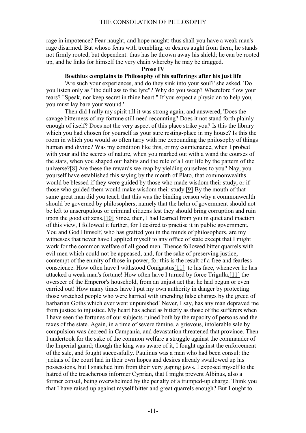rage in impotence? Fear naught, and hope naught: thus shall you have a weak man's rage disarmed. But whoso fears with trembling, or desires aught from them, he stands not firmly rooted, but dependent: thus has he thrown away his shield; he can be rooted up, and he links for himself the very chain whereby he may be dragged.

## **Prose IV**

## **Boethius complains to Philosophy of his sufferings after his just life**

'Are such your experiences, and do they sink into your soul?' she asked. 'Do you listen only as "the dull ass to the lyre"? Why do you weep? Wherefore flow your tears? "Speak, nor keep secret in thine heart." If you expect a physician to help you, you must lay bare your wound.'

Then did I rally my spirit till it was strong again, and answered, 'Does the savage bitterness of my fortune still need recounting? Does it not stand forth plainly enough of itself? Does not the very aspect of this place strike you? Is this the library which you had chosen for yourself as your sure resting-place in my house? Is this the room in which you would so often tarry with me expounding the philosophy of things human and divine? Was my condition like this, or my countenance, when I probed with your aid the secrets of nature, when you marked out with a wand the courses of the stars, when you shaped our habits and the rule of all our life by the pattern of the universe?[8] Are these the rewards we reap by yielding ourselves to you? Nay, you yourself have established this saying by the mouth of Plato, that commonwealths would be blessed if they were guided by those who made wisdom their study, or if those who guided them would make wisdom their study.[9] By the mouth of that same great man did you teach that this was the binding reason why a commonwealth should be governed by philosophers, namely that the helm of government should not be left to unscrupulous or criminal citizens lest they should bring corruption and ruin upon the good citizens.[10] Since, then, I had learned from you in quiet and inaction of this view, I followed it further, for I desired to practise it in public government. You and God Himself, who has grafted you in the minds of philosophers, are my witnesses that never have I applied myself to any office of state except that I might work for the common welfare of all good men. Thence followed bitter quarrels with evil men which could not be appeased, and, for the sake of preserving justice, contempt of the enmity of those in power, for this is the result of a free and fearless conscience. How often have I withstood Conigastus[11] to his face, whenever he has attacked a weak man's fortune! How often have I turned by force Trigulla,[11] the overseer of the Emperor's household, from an unjust act that he had begun or even carried out! How many times have I put my own authority in danger by protecting those wretched people who were harried with unending false charges by the greed of barbarian Goths which ever went unpunished! Never, I say, has any man depraved me from justice to injustice. My heart has ached as bitterly as those of the sufferers when I have seen the fortunes of our subjects ruined both by the rapacity of persons and the taxes of the state. Again, in a time of severe famine, a grievous, intolerable sale by compulsion was decreed in Campania, and devastation threatened that province. Then I undertook for the sake of the common welfare a struggle against the commander of the Imperial guard; though the king was aware of it, I fought against the enforcement of the sale, and fought successfully. Paulinus was a man who had been consul: the jackals of the court had in their own hopes and desires already swallowed up his possessions, but I snatched him from their very gaping jaws. I exposed myself to the hatred of the treacherous informer Cyprian, that I might prevent Albinus, also a former consul, being overwhelmed by the penalty of a trumped-up charge. Think you that I have raised up against myself bitter and great quarrels enough? But I ought to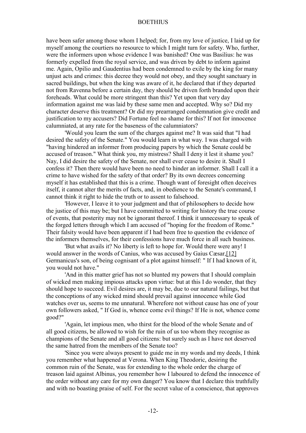have been safer among those whom I helped; for, from my love of justice, I laid up for myself among the courtiers no resource to which I might turn for safety. Who, further, were the informers upon whose evidence I was banished? One was Basilius: he was formerly expelled from the royal service, and was driven by debt to inform against me. Again, Opilio and Gaudentius had been condemned to exile by the king for many unjust acts and crimes: this decree they would not obey, and they sought sanctuary in sacred buildings, but when the king was aware of it, he declared that if they departed not from Ravenna before a certain day, they should be driven forth branded upon their foreheads. What could be more stringent than this? Yet upon that very day information against me was laid by these same men and accepted. Why so? Did my character deserve this treatment? Or did my prearranged condemnation give credit and justification to my accusers? Did Fortune feel no shame for this? If not for innocence calumniated, at any rate for the baseness of the calumniators?

'Would you learn the sum of the charges against me? It was said that "I had desired the safety of the Senate." You would learn in what way. I was charged with "having hindered an informer from producing papers by which the Senate could be accused of treason." What think you, my mistress? Shall I deny it lest it shame you? Nay, I did desire the safety of the Senate, nor shall ever cease to desire it. Shall I confess it? Then there would have been no need to hinder an informer. Shall I call it a crime to have wished for the safety of that order? By its own decrees concerning myself it has established that this is a crime. Though want of foresight often deceives itself, it cannot alter the merits of facts, and, in obedience to the Senate's command, I cannot think it right to hide the truth or to assent to falsehood.

'However, I leave it to your judgment and that of philosophers to decide how the justice of this may be; but I have committed to writing for history the true course of events, that posterity may not be ignorant thereof. I think it unnecessary to speak of the forged letters through which I am accused of "hoping for the freedom of Rome." Their falsity would have been apparent if I had been free to question the evidence of the informers themselves, for their confessions have much force in all such business.

'But what avails it? No liberty is left to hope for. Would there were any! I would answer in the words of Canius, who was accused by Gaius Cæsar,[12] Germanicus's son, of being cognisant of a plot against himself: " If I had known of it, you would not have."

'And in this matter grief has not so blunted my powers that I should complain of wicked men making impious attacks upon virtue: but at this I do wonder, that they should hope to succeed. Evil desires are, it may be, due to our natural failings, but that the conceptions of any wicked mind should prevail against innocence while God watches over us, seems to me unnatural. Wherefore not without cause has one of your own followers asked, " If God is, whence come evil things? If He is not, whence come good?"

'Again, let impious men, who thirst for the blood of the whole Senate and of all good citizens, be allowed to wish for the ruin of us too whom they recognise as champions of the Senate and all good citizens: but surely such as I have not deserved the same hatred from the members of the Senate too?

'Since you were always present to guide me in my words and my deeds, I think you remember what happened at Verona. When King Theodoric, desiring the common ruin of the Senate, was for extending to the whole order the charge of treason laid against Albinus, you remember how I laboured to defend the innocence of the order without any care for my own danger? You know that I declare this truthfully and with no boasting praise of self. For the secret value of a conscience, that approves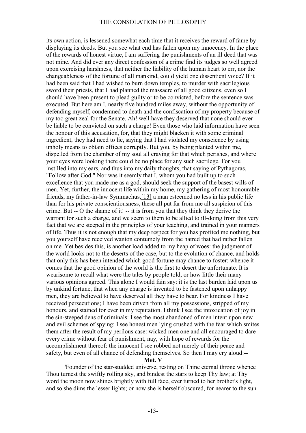its own action, is lessened somewhat each time that it receives the reward of fame by displaying its deeds. But you see what end has fallen upon my innocency. In the place of the rewards of honest virtue, I am suffering the punishments of an ill deed that was not mine. And did ever any direct confession of a crime find its judges so well agreed upon exercising harshness, that neither the liability of the human heart to err, nor the changeableness of the fortune of all mankind, could yield one dissentient voice? If it had been said that I had wished to burn down temples, to murder with sacrilegious sword their priests, that I had planned the massacre of all good citizens, even so I should have been present to plead guilty or to be convicted, before the sentence was executed. But here am I, nearly five hundred miles away, without the opportunity of defending myself, condemned to death and the confiscation of my property because of my too great zeal for the Senate. Ah! well have they deserved that none should ever be liable to be convicted on such a charge! Even those who laid information have seen the honour of this accusation, for, that they might blacken it with some criminal ingredient, they had need to lie, saying that I had violated my conscience by using unholy means to obtain offices corruptly. But you, by being planted within me, dispelled from the chamber of my soul all craving for that which perishes, and where your eyes were looking there could be no place for any such sacrilege. For you instilled into my ears, and thus into my daily thoughts, that saying of Pythagoras, "Follow after God." Nor was it seemly that I, whom you had built up to such excellence that you made me as a god, should seek the support of the basest wills of men. Yet, further, the innocent life within my home, my gathering of most honourable friends, my father-in-law Symmachus,[13] a man esteemed no less in his public life than for his private conscientiousness, these all put far from me all suspicion of this crime. But -- O the shame of it! -- it is from you that they think they derive the warrant for such a charge, and we seem to them to be allied to ill-doing from this very fact that we are steeped in the principles of your teaching, and trained in your manners of life. Thus it is not enough that my deep respect for you has profited me nothing, but you yourself have received wanton contumely from the hatred that had rather fallen on me. Yet besides this, is another load added to my heap of woes: the judgment of the world looks not to the deserts of the case, but to the evolution of chance, and holds that only this has been intended which good fortune may chance to foster: whence it comes that the good opinion of the world is the first to desert the unfortunate. It is wearisome to recall what were the tales by people told, or how little their many various opinions agreed. This alone I would fain say: it is the last burden laid upon us by unkind fortune, that when any charge is invented to be fastened upon unhappy men, they are believed to have deserved all they have to bear. For kindness I have received persecutions; I have been driven from all my possessions, stripped of my honours, and stained for ever in my reputation. I think I see the intoxication of joy in the sin-steeped dens of criminals: I see the most abandoned of men intent upon new and evil schemes of spying: I see honest men lying crushed with the fear which smites them after the result of my perilous case: wicked men one and all encouraged to dare every crime without fear of punishment, nay, with hope of rewards for the accomplishment thereof: the innocent I see robbed not merely of their peace and safety, but even of all chance of defending themselves. So then I may cry aloud:--

#### **Met. V**

'Founder of the star-studded universe, resting on Thine eternal throne whence Thou turnest the swiftly rolling sky, and bindest the stars to keep Thy law; at Thy word the moon now shines brightly with full face, ever turned to her brother's light, and so she dims the lesser lights; or now she is herself obscured, for nearer to the sun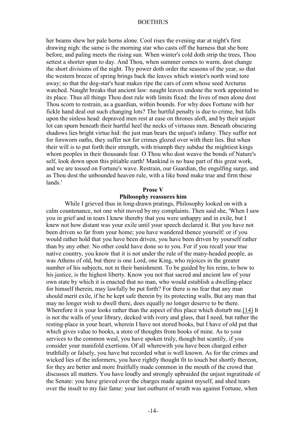her beams shew her pale horns alone. Cool rises the evening star at night's first drawing nigh: the same is the morning star who casts off the harness that she bore before, and paling meets the rising sun. When winter's cold doth strip the trees, Thou settest a shorter span to day. And Thou, when summer comes to warm, dost change the short divisions of the night. Thy power doth order the seasons of the year, so that the western breeze of spring brings back the leaves which winter's north wind tore away; so that the dog-star's heat makes ripe the cars of corn whose seed Arcturus watched. Naught breaks that ancient law: naught leaves undone the work appointed to its place. Thus all things Thou dost rule with limits fixed: the lives of men alone dost Thou scorn to restrain, as a guardian, within bounds. For why does Fortune with her fickle hand deal out such changing lots? The hurtful penalty is due to crime, but falls upon the sinless head: depraved men rest at ease on thrones aloft, and by their unjust lot can spurn beneath their hurtful heel the necks of virtuous men. Beneath obscuring shadows lies bright virtue hid: the just man bears the unjust's infamy. They suffer not for forsworn oaths, they suffer not for crimes glozed over with their lies. But when their will is to put forth their strength, with triumph they subdue the mightiest kings whom peoples in their thousands fear. O Thou who dost weave the bonds of Nature's self, look down upon this pitiable earth! Mankind is no base part of this great work, and we are tossed on Fortune's wave. Restrain, our Guardian, the engulfing surge, and as Thou dost the unbounded heaven rule, with a like bond make true and firm these lands.'

## **Prose V**

## **Philosophy reassures him**

While I grieved thus in long-drawn pratings, Philosophy looked on with a calm countenance, not one whit moved by my complaints. Then said she, 'When I saw you in grief and in tears I knew thereby that you were unhappy and in exile, but I knew not how distant was your exile until your speech declared it. But you have not been driven so far from your home; you have wandered thence yourself: or if you would rather hold that you have been driven, you have been driven by yourself rather than by any other. No other could have done so to you. For if you recall your true native country, you know that it is not under the rule of the many-headed people, as was Athens of old, but there is one Lord, one King, who rejoices in the greater number of his subjects, not in their banishment. To be guided by his reins, to bow to his justice, is the highest liberty. Know you not that sacred and ancient law of your own state by which it is enacted that no man, who would establish a dwelling-place for himself therein, may lawfully be put forth? For there is no fear that any man should merit exile, if he be kept safe therein by its protecting walls. But any man that may no longer wish to dwell there, does equally no longer deserve to be there. Wherefore it is your looks rather than the aspect of this place which disturb me. [14] It is not the walls of your library, decked with ivory and glass, that I need, but rather the resting-place in your heart, wherein I have not stored books, but I have of old put that which gives value to books, a store of thoughts from books of mine. As to your services to the common weal, you have spoken truly, though but scantily, if you consider your manifold exertions. Of all wherewith you have been charged either truthfully or falsely, you have but recorded what is well known. As for the crimes and wicked lies of the informers, you have rightly thought fit to touch but shortly thereon, for they are better and more fruitfully made common in the mouth of the crowd that discusses all matters. You have loudly and strongly upbraided the unjust ingratitude of the Senate: you have grieved over the charges made against myself, and shed tears over the insult to my fair fame: your last outburst of wrath was against Fortune, when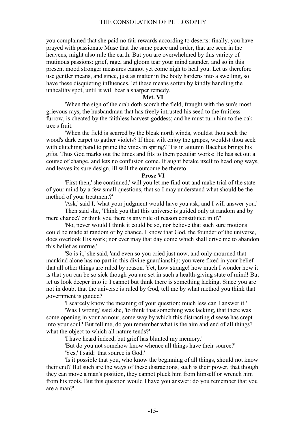you complained that she paid no fair rewards according to deserts: finally, you have prayed with passionate Muse that the same peace and order, that are seen in the heavens, might also rule the earth. But you are overwhelmed by this variety of mutinous passions: grief, rage, and gloom tear your mind asunder, and so in this present mood stronger measures cannot yet come nigh to heal you. Let us therefore use gentler means, and since, just as matter in the body hardens into a swelling, so have these disquieting influences, let these means soften by kindly handling the unhealthy spot, until it will bear a sharper remedy.

## **Met. VI**

'When the sign of the crab doth scorch the field, fraught with the sun's most grievous rays, the husbandman that has freely intrusted his seed to the fruitless furrow, is cheated by the faithless harvest-goddess; and he must turn him to the oak tree's fruit.

'When the field is scarred by the bleak north winds, wouldst thou seek the wood's dark carpet to gather violets? If thou wilt enjoy the grapes, wouldst thou seek with clutching hand to prune the vines in spring? 'Tis in autumn Bacchus brings his gifts. Thus God marks out the times and fits to them peculiar works: He has set out a course of change, and lets no confusion come. If aught betake itself to headlong ways, and leaves its sure design, ill will the outcome be thereto.

## **Prose VI**

'First then,' she continued,' will you let me find out and make trial of the state of your mind by a few small questions, that so I may understand what should be the method of your treatment?'

'Ask,' said I, 'what your judgment would have you ask, and I will answer you.'

Then said she, 'Think you that this universe is guided only at random and by mere chance? or think you there is any rule of reason constituted in it?'

'No, never would I think it could be so, nor believe that such sure motions could be made at random or by chance. I know that God, the founder of the universe, does overlook His work; nor ever may that day come which shall drive me to abandon this belief as untrue.'

'So is it,' she said, 'and even so you cried just now, and only mourned that mankind alone has no part in this divine guardianship: you were fixed in your belief that all other things are ruled by reason. Yet, how strange! how much I wonder how it is that you can be so sick though you are set in such a health-giving state of mind! But let us look deeper into it: I cannot but think there is something lacking. Since you are not in doubt that the universe is ruled by God, tell me by what method you think that government is guided?'

'I scarcely know the meaning of your question; much less can I answer it.'

'Was I wrong,' said she, 'to think that something was lacking, that there was some opening in your armour, some way by which this distracting disease has crept into your soul? But tell me, do you remember what is the aim and end of all things? what the object to which all nature tends?'

'I have heard indeed, but grief has blunted my memory.'

'But do you not somehow know whence all things have their source?'

'Yes,' I said; 'that source is God.'

'Is it possible that you, who know the beginning of all things, should not know their end? But such are the ways of these distractions, such is their power, that though they can move a man's position, they cannot pluck him from himself or wrench him from his roots. But this question would I have you answer: do you remember that you are a man?'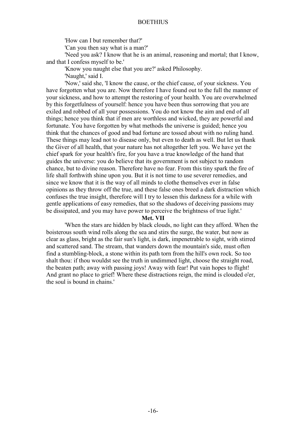'How can I but remember that?'

'Can you then say what is a man?'

'Need you ask? I know that he is an animal, reasoning and mortal; that I know, and that I confess myself to be.'

'Know you naught else that you are?' asked Philosophy.

'Naught,' said I.

'Now,' said she, 'I know the cause, or the chief cause, of your sickness. You have forgotten what you are. Now therefore I have found out to the full the manner of your sickness, and how to attempt the restoring of your health. You are overwhelmed by this forgetfulness of yourself: hence you have been thus sorrowing that you are exiled and robbed of all your possessions. You do not know the aim and end of all things; hence you think that if men are worthless and wicked, they are powerful and fortunate. You have forgotten by what methods the universe is guided; hence you think that the chances of good and bad fortune are tossed about with no ruling hand. These things may lead not to disease only, but even to death as well. But let us thank the Giver of all health, that your nature has not altogether left you. We have yet the chief spark for your health's fire, for you have a true knowledge of the hand that guides the universe: you do believe that its government is not subject to random chance, but to divine reason. Therefore have no fear. From this tiny spark the fire of life shall forthwith shine upon you. But it is not time to use severer remedies, and since we know that it is the way of all minds to clothe themselves ever in false opinions as they throw off the true, and these false ones breed a dark distraction which confuses the true insight, therefore will I try to lessen this darkness for a while with gentle applications of easy remedies, that so the shadows of deceiving passions may be dissipated, and you may have power to perceive the brightness of true light.'

## **Met. VII**

'When the stars are hidden by black clouds, no light can they afford. When the boisterous south wind rolls along the sea and stirs the surge, the water, but now as clear as glass, bright as the fair sun's light, is dark, impenetrable to sight, with stirred and scattered sand. The stream, that wanders down the mountain's side, must often find a stumbling-block, a stone within its path torn from the hill's own rock. So too shalt thou: if thou wouldst see the truth in undimmed light, choose the straight road, the beaten path; away with passing joys! Away with fear! Put vain hopes to flight! And grant no place to grief! Where these distractions reign, the mind is clouded o'er, the soul is bound in chains.'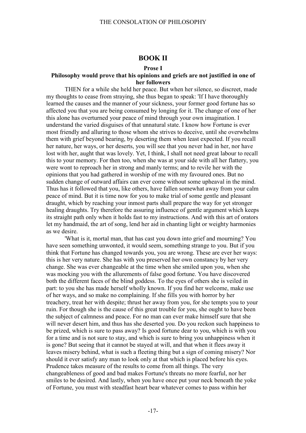## **BOOK II**

## **Prose I**

## **Philosophy would prove that his opinions and griefs are not justified in one of her followers**

THEN for a while she held her peace. But when her silence, so discreet, made my thoughts to cease from straying, she thus began to speak: 'If I have thoroughly learned the causes and the manner of your sickness, your former good fortune has so affected you that you are being consumed by longing for it. The change of one of her this alone has overturned your peace of mind through your own imagination. I understand the varied disguises of that unnatural state. I know how Fortune is ever most friendly and alluring to those whom she strives to deceive, until she overwhelms them with grief beyond bearing, by deserting them when least expected. If you recall her nature, her ways, or her deserts, you will see that you never had in her, nor have lost with her, aught that was lovely. Yet, I think, I shall not need great labour to recall this to your memory. For then too, when she was at your side with all her flattery, you were wont to reproach her in strong and manly terms; and to revile her with the opinions that you had gathered in worship of me with my favoured ones. But no sudden change of outward affairs can ever come without some upheaval in the mind. Thus has it followed that you, like others, have fallen somewhat away from your calm peace of mind. But it is time now for you to make trial of some gentle and pleasant draught, which by reaching your inmost parts shall prepare the way for yet stronger healing draughts. Try therefore the assuring influence of gentle argument which keeps its straight path only when it holds fast to my instructions. And with this art of orators let my handmaid, the art of song, lend her aid in chanting light or weighty harmonies as we desire.

'What is it, mortal man, that has cast you down into grief and mourning? You have seen something unwonted, it would seem, something strange to you. But if you think that Fortune has changed towards you, you are wrong. These are ever her ways: this is her very nature. She has with you preserved her own constancy by her very change. She was ever changeable at the time when she smiled upon you, when she was mocking you with the allurements of false good fortune. You have discovered both the different faces of the blind goddess. To the eyes of others she is veiled in part: to you she has made herself wholly known. If you find her welcome, make use of her ways, and so make no complaining. If she fills you with horror by her treachery, treat her with despite; thrust her away from you, for she tempts you to your ruin. For though she is the cause of this great trouble for you, she ought to have been the subject of calmness and peace. For no man can ever make himself sure that she will never desert him, and thus has she deserted you. Do you reckon such happiness to be prized, which is sure to pass away? Is good fortune dear to you, which is with you for a time and is not sure to stay, and which is sure to bring you unhappiness when it is gone? But seeing that it cannot be stayed at will, and that when it flees away it leaves misery behind, what is such a fleeting thing but a sign of coming misery? Nor should it ever satisfy any man to look only at that which is placed before his eyes. Prudence takes measure of the results to come from all things. The very changeableness of good and bad makes Fortune's threats no more fearful, nor her smiles to be desired. And lastly, when you have once put your neck beneath the yoke of Fortune, you must with steadfast heart bear whatever comes to pass within her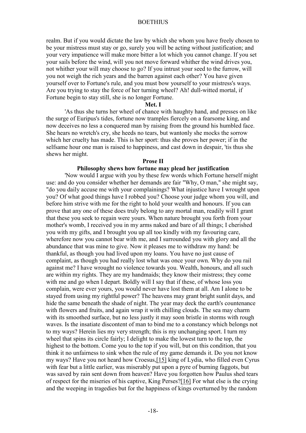realm. But if you would dictate the law by which she whom you have freely chosen to be your mistress must stay or go, surely you will be acting without justification; and your very impatience will make more bitter a lot which you cannot change. If you set your sails before the wind, will you not move forward whither the wind drives you, not whither your will may choose to go? If you intrust your seed to the furrow, will you not weigh the rich years and the barren against each other? You have given yourself over to Fortune's rule, and you must bow yourself to your mistress's ways. Are you trying to stay the force of her turning wheel? Ah! dull-witted mortal, if Fortune begin to stay still, she is no longer Fortune.

#### **Met. I**

'As thus she turns her wheel of chance with haughty hand, and presses on like the surge of Euripus's tides, fortune now tramples fiercely on a fearsome king, and now deceives no less a conquered man by raising from the ground his humbled face. She hears no wretch's cry, she heeds no tears, but wantonly she mocks the sorrow which her cruelty has made. This is her sport: thus she proves her power; if in the selfsame hour one man is raised to happiness, and cast down in despair, 'tis thus she shews her might.

## **Prose II**

## **Philosophy shews how fortune may plead her justification**

'Now would I argue with you by these few words which Fortune herself might use: and do you consider whether her demands are fair "Why, O man," she might say, "do you daily accuse me with your complainings? What injustice have I wrought upon you? Of what good things have I robbed you? Choose your judge whom you will, and before him strive with me for the right to hold your wealth and honours. If you can prove that any one of these does truly belong to any mortal man, readily will I grant that these you seek to regain were yours. When nature brought you forth from your mother's womb, I received you in my arms naked and bare of all things; I cherished you with my gifts, and I brought you up all too kindly with my favouring care, wherefore now you cannot bear with me, and I surrounded you with glory and all the abundance that was mine to give. Now it pleases me to withdraw my hand: be thankful, as though you had lived upon my loans. You have no just cause of complaint, as though you had really lost what was once your own. Why do you rail against me? I have wrought no violence towards you. Wealth, honours, and all such are within my rights. They are my handmaids; they know their mistress; they come with me and go when I depart. Boldly will I say that if these, of whose loss you complain, were ever yours, you would never have lost them at all. Am I alone to be stayed from using my rightful power? The heavens may grant bright sunlit days, and hide the same beneath the shade of night. The year may deck the earth's countenance with flowers and fruits, and again wrap it with chilling clouds. The sea may charm with its smoothed surface, but no less justly it may soon bristle in storms with rough waves. Is the insatiate discontent of man to bind me to a constancy which belongs not to my ways? Herein lies my very strength; this is my unchanging sport. I turn my wheel that spins its circle fairly; I delight to make the lowest turn to the top, the highest to the bottom. Come you to the top if you will, but on this condition, that you think it no unfairness to sink when the rule of my game demands it. Do you not know my ways? Have you not heard how Croesus,[15] king of Lydia, who filled even Cyrus with fear but a little earlier, was miserably put upon a pyre of burning faggots, but was saved by rain sent down from heaven? Have you forgotten how Paulus shed tears of respect for the miseries of his captive, King Perses?[16] For what else is the crying and the weeping in tragedies but for the happiness of kings overturned by the random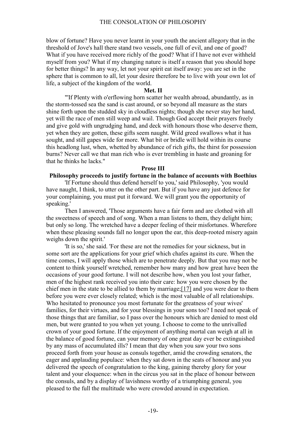blow of fortune? Have you never learnt in your youth the ancient allegory that in the threshold of Jove's hall there stand two vessels, one full of evil, and one of good? What if you have received more richly of the good? What if I have not ever withheld myself from you? What if my changing nature is itself a reason that you should hope for better things? In any way, let not your spirit eat itself away: you are set in the sphere that is common to all, let your desire therefore be to live with your own lot of life, a subject of the kingdom of the world.

## **Met. II**

"'If Plenty with o'erflowing horn scatter her wealth abroad, abundantly, as in the storm-tossed sea the sand is cast around, or so beyond all measure as the stars shine forth upon the studded sky in cloudless nights; though she never stay her hand, yet will the race of men still weep and wail. Though God accept their prayers freely and give gold with ungrudging hand, and deck with honours those who deserve them, yet when they are gotten, these gifts seem naught. Wild greed swallows what it has sought, and still gapes wide for more. What bit or bridle will hold within its course this headlong lust, when, whetted by abundance of rich gifts, the thirst for possession burns? Never call we that man rich who is ever trembling in haste and groaning for that he thinks he lacks."

#### **Prose III**

## **Philosophy proceeds to justify fortune in the balance of accounts with Boethius**

'If Fortune should thus defend herself to you,' said Philosophy, 'you would have naught, I think, to utter on the other part. But if you have any just defence for your complaining, you must put it forward. We will grant you the opportunity of speaking.'

Then I answered, 'Those arguments have a fair form and are clothed with all the sweetness of speech and of song. When a man listens to them, they delight him; but only so long. The wretched have a deeper feeling of their misfortunes. Wherefore when these pleasing sounds fall no longer upon the ear, this deep-rooted misery again weighs down the spirit.'

'It is so,' she said. 'For these are not the remedies for your sickness, but in some sort are the applications for your grief which chafes against its cure. When the time comes, I will apply those which are to penetrate deeply. But that you may not be content to think yourself wretched, remember how many and how great have been the occasions of your good fortune. I will not describe how, when you lost your father, men of the highest rank received you into their care: how you were chosen by the chief men in the state to be allied to them by marriage;[17] and you were dear to them before you were ever closely related; which is the most valuable of all relationships. Who hesitated to pronounce you most fortunate for the greatness of your wives' families, for their virtues, and for your blessings in your sons too? I need not speak of those things that are familiar, so I pass over the honours which are denied to most old men, but were granted to you when yet young. I choose to come to the unrivalled crown of your good fortune. If the enjoyment of anything mortal can weigh at all in the balance of good fortune, can your memory of one great day ever be extinguished by any mass of accumulated ills? I mean that day when you saw your two sons proceed forth from your house as consuls together, amid the crowding senators, the eager and applauding populace: when they sat down in the seats of honour and you delivered the speech of congratulation to the king, gaining thereby glory for your talent and your eloquence: when in the circus you sat in the place of honour between the consuls, and by a display of lavishness worthy of a triumphing general, you pleased to the full the multitude who were crowded around in expectation.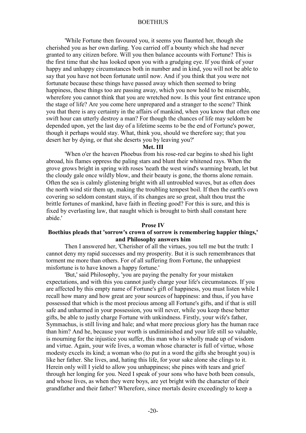'While Fortune then favoured you, it seems you flaunted her, though she cherished you as her own darling. You carried off a bounty which she had never granted to any citizen before. Will you then balance accounts with Fortune? This is the first time that she has looked upon you with a grudging eye. If you think of your happy and unhappy circumstances both in number and in kind, you will not be able to say that you have not been fortunate until now. And if you think that you were not fortunate because these things have passed away which then seemed to bring happiness, these things too are passing away, which you now hold to be miserable. wherefore you cannot think that you are wretched now. Is this your first entrance upon the stage of life? Are you come here unprepared and a stranger to the scene? Think you that there is any certainty in the affairs of mankind, when you know that often one swift hour can utterly destroy a man? For though the chances of life may seldom be depended upon, yet the last day of a lifetime seems to be the end of Fortune's power, though it perhaps would stay. What, think you, should we therefore say; that you desert her by dying, or that she deserts you by leaving you?'

#### **Met. III**

'When o'er the heaven Phoebus from his rose-red car begins to shed his light abroad, his flames oppress the paling stars and blunt their whitened rays. When the grove grows bright in spring with roses 'neath the west wind's warming breath, let but the cloudy gale once wildly blow, and their beauty is gone, the thorns alone remain. Often the sea is calmly glistening bright with all untroubled waves, but as often does the north wind stir them up, making the troubling tempest boil. If then the earth's own covering so seldom constant stays, if its changes are so great, shalt thou trust the brittle fortunes of mankind, have faith in fleeting good? For this is sure, and this is fixed by everlasting law, that naught which is brought to birth shall constant here abide.'

#### **Prose IV**

## **Boethius pleads that 'sorrow's crown of sorrow is remembering happier things,' and Philosophy answers him**

Then I answered her, 'Cherisher of all the virtues, you tell me but the truth: I cannot deny my rapid successes and my prosperity. But it is such remembrances that torment me more than others. For of all suffering from Fortune, the unhappiest misfortune is to have known a happy fortune.'

'But,' said Philosophy, 'you are paying the penalty for your mistaken expectations, and with this you cannot justly charge your life's circumstances. If you are affected by this empty name of Fortune's gift of happiness, you must listen while I recall how many and how great are your sources of happiness: and thus, if you have possessed that which is the most precious among all Fortune's gifts, and if that is still safe and unharmed in your possession, you will never, while you keep these better gifts, be able to justly charge Fortune with unkindness. Firstly, your wife's father, Symmachus, is still living and hale; and what more precious glory has the human race than him? And he, because your worth is undiminished and your life still so valuable, is mourning for the injustice you suffer, this man who is wholly made up of wisdom and virtue. Again, your wife lives, a woman whose character is full of virtue, whose modesty excels its kind; a woman who (to put in a word the gifts she brought you) is like her father. She lives, and, hating this life, for your sake alone she clings to it. Herein only will I yield to allow you unhappiness; she pines with tears and grief through her longing for you. Need I speak of your sons who have both been consuls, and whose lives, as when they were boys, are yet bright with the character of their grandfather and their father? Wherefore, since mortals desire exceedingly to keep a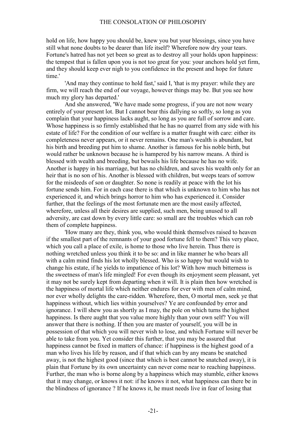hold on life, how happy you should be, knew you but your blessings, since you have still what none doubts to be dearer than life itself? Wherefore now dry your tears. Fortune's hatred has not yet been so great as to destroy all your holds upon happiness: the tempest that is fallen upon you is not too great for you: your anchors hold yet firm, and they should keep ever nigh to you confidence in the present and hope for future time.'

'And may they continue to hold fast,' said I, 'that is my prayer: while they are firm, we will reach the end of our voyage, however things may be. But you see how much my glory has departed.'

And she answered, 'We have made some progress, if you are not now weary entirely of your present lot. But I cannot bear this dallying so softly, so long as you complain that your happiness lacks aught, so long as you are full of sorrow and care. Whose happiness is so firmly established that he has no quarrel from any side with his estate of life? For the condition of our welfare is a matter fraught with care: either its completeness never appears, or it never remains. One man's wealth is abundant, but his birth and breeding put him to shame. Another is famous for his noble birth, but would rather be unknown because he is hampered by his narrow means. A third is blessed with wealth and breeding, but bewails his life because he has no wife. Another is happy in his marriage, but has no children, and saves his wealth only for an heir that is no son of his. Another is blessed with children, but weeps tears of sorrow for the misdeeds of son or daughter. So none is readily at peace with the lot his fortune sends him. For in each case there is that which is unknown to him who has not experienced it, and which brings horror to him who has experienced it. Consider further, that the feelings of the most fortunate men are the most easily affected, wherefore, unless all their desires are supplied, such men, being unused to all adversity, are cast down by every little care: so small are the troubles which can rob them of complete happiness.

'How many are they, think you, who would think themselves raised to heaven if the smallest part of the remnants of your good fortune fell to them? This very place, which you call a place of exile, is home to those who live herein. Thus there is nothing wretched unless you think it to be so: and in like manner he who bears all with a calm mind finds his lot wholly blessed. Who is so happy but would wish to change his estate, if he yields to impatience of his lot? With how much bitterness is the sweetness of man's life mingled! For even though its enjoyment seem pleasant, yet it may not be surely kept from departing when it will. It is plain then how wretched is the happiness of mortal life which neither endures for ever with men of calm mind, nor ever wholly delights the care-ridden. Wherefore, then, O mortal men, seek ye that happiness without, which lies within yourselves? Ye are confounded by error and ignorance. I will shew you as shortly as I may, the pole on which turns the highest happiness. Is there aught that you value more highly than your own self? You will answer that there is nothing. If then you are master of yourself, you will be in possession of that which you will never wish to lose, and which Fortune will never be able to take from you. Yet consider this further, that you may be assured that happiness cannot be fixed in matters of chance: if happiness is the highest good of a man who lives his life by reason, and if that which can by any means be snatched away, is not the highest good (since that which is best cannot be snatched away), it is plain that Fortune by its own uncertainty can never come near to reaching happiness. Further, the man who is borne along by a happiness which may stumble, either knows that it may change, or knows it not: if he knows it not, what happiness can there be in the blindness of ignorance ? If he knows it, he must needs live in fear of losing that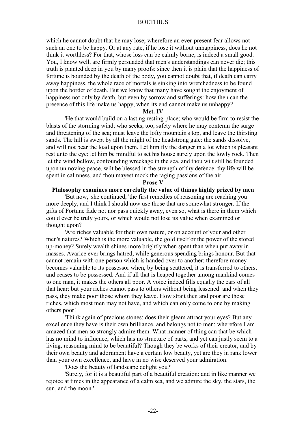which he cannot doubt that he may lose; wherefore an ever-present fear allows not such an one to be happy. Or at any rate, if he lose it without unhappiness, does he not think it worthless? For that, whose loss can be calmly borne, is indeed a small good. You, I know well, are firmly persuaded that men's understandings can never die; this truth is planted deep in you by many proofs: since then it is plain that the happiness of fortune is bounded by the death of the body, you cannot doubt that, if death can carry away happiness, the whole race of mortals is sinking into wretchedness to be found upon the border of death. But we know that many have sought the enjoyment of happiness not only by death, but even by sorrow and sufferings: how then can the presence of this life make us happy, when its end cannot make us unhappy?

#### **Met. IV**

'He that would build on a lasting resting-place; who would be firm to resist the blasts of the storming wind; who seeks, too, safety where he may contemn the surge and threatening of the sea; must leave the lofty mountain's top, and leave the thirsting sands. The hill is swept by all the might of the headstrong gale: the sands dissolve, and will not bear the load upon them. Let him fly the danger in a lot which is pleasant rest unto the eye: let him be mindful to set his house surely upon the lowly rock. Then let the wind bellow, confounding wreckage in the sea, and thou wilt still be founded upon unmoving peace, wilt be blessed in the strength of thy defence: thy life will be spent in calmness, and thou mayest mock the raging passions of the air.

## **Prose V**

## **Philosophy examines more carefully the value of things highly prized by men**

'But now,' she continued, 'the first remedies of reasoning are reaching you more deeply, and I think I should now use those that are somewhat stronger. If the gifts of Fortune fade not nor pass quickly away, even so, what is there in them which could ever be truly yours, or which would not lose its value when examined or thought upon?

'Are riches valuable for their own nature, or on account of your and other men's natures? Which is the more valuable, the gold itself or the power of the stored up-money? Surely wealth shines more brightly when spent than when put away in masses. Avarice ever brings hatred, while generous spending brings honour. But that cannot remain with one person which is handed over to another: therefore money becomes valuable to its possessor when, by being scattered, it is transferred to others, and ceases to be possessed. And if all that is heaped together among mankind comes to one man, it makes the others all poor. A voice indeed fills equally the ears of all that hear: but your riches cannot pass to others without being lessened: and when they pass, they make poor those whom they leave. How strait then and poor are those riches, which most men may not have, and which can only come to one by making others poor!

'Think again of precious stones: does their gleam attract your eyes? But any excellence they have is their own brilliance, and belongs not to men: wherefore I am amazed that men so strongly admire them. What manner of thing can that be which has no mind to influence, which has no structure of parts, and yet can justly seem to a living, reasoning mind to be beautiful? Though they be works of their creator, and by their own beauty and adornment have a certain low beauty, yet are they in rank lower than your own excellence, and have in no wise deserved your admiration.

'Does the beauty of landscape delight you?'

'Surely, for it is a beautiful part of a beautiful creation: and in like manner we rejoice at times in the appearance of a calm sea, and we admire the sky, the stars, the sun, and the moon.'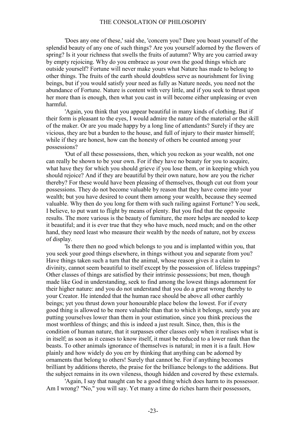'Does any one of these,' said she, 'concern you? Dare you boast yourself of the splendid beauty of any one of such things? Are you yourself adorned by the flowers of spring? Is it your richness that swells the fruits of autumn? Why are you carried away by empty rejoicing. Why do you embrace as your own the good things which are outside yourself? Fortune will never make yours what Nature has made to belong to other things. The fruits of the earth should doubtless serve as nourishment for living beings, but if you would satisfy your need as fully as Nature needs, you need not the abundance of Fortune. Nature is content with very little, and if you seek to thrust upon her more than is enough, then what you cast in will become either unpleasing or even harmful.

'Again, you think that you appear beautiful in many kinds of clothing. But if their form is pleasant to the eyes, I would admire the nature of the material or the skill of the maker. Or are you made happy by a long line of attendants? Surely if they are vicious, they are but a burden to the house, and full of injury to their master himself; while if they are honest, how can the honesty of others be counted among your possessions?

'Out of all these possessions, then, which you reckon as your wealth, not one can really be shown to be your own. For if they have no beauty for you to acquire, what have they for which you should grieve if you lose them, or in keeping which you should rejoice? And if they are beautiful by their own nature, how are you the richer thereby? For these would have been pleasing of themselves, though cut out from your possessions. They do not become valuable by reason that they have come into your wealth; but you have desired to count them among your wealth, because they seemed valuable. Why then do you long for them with such railing against Fortune? You seek, I believe, to put want to flight by means of plenty. But you find that the opposite results. The more various is the beauty of furniture, the more helps are needed to keep it beautiful; and it is ever true that they who have much, need much; and on the other hand, they need least who measure their wealth by the needs of nature, not by excess of display.

'Is there then no good which belongs to you and is implanted within you, that you seek your good things elsewhere, in things without you and separate from you? Have things taken such a turn that the animal, whose reason gives it a claim to divinity, cannot seem beautiful to itself except by the possession of. lifeless trappings? Other classes of things are satisfied by their intrinsic possessions; but men, though made like God in understanding, seek to find among the lowest things adornment for their higher nature: and you do not understand that you do a great wrong thereby to your Creator. He intended that the human race should be above all other earthly beings; yet you thrust down your honourable place below the lowest. For if every good thing is allowed to be more valuable than that to which it belongs, surely you are putting yourselves lower than them in your estimation, since you think precious the most worthless of things; and this is indeed a just result. Since, then, this is the condition of human nature, that it surpasses other classes only when it realises what is in itself; as soon as it ceases to know itself, it must be reduced to a lower rank than the beasts. To other animals ignorance of themselves is natural; in men it is a fault. How plainly and how widely do you err by thinking that anything can be adorned by ornaments that belong to others! Surely that cannot be. For if anything becomes brilliant by additions thereto, the praise for the brilliance belongs to the additions. But the subject remains in its own vileness, though hidden and covered by these externals.

'Again, I say that naught can be a good thing which does harm to its possessor. Am I wrong? "No," you will say. Yet many a time do riches harm their possessors,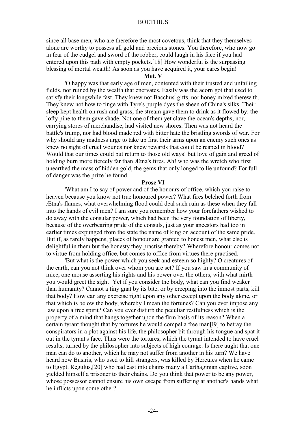since all base men, who are therefore the most covetous, think that they themselves alone are worthy to possess all gold and precious stones. You therefore, who now go in fear of the cudgel and sword of the robber, could laugh in his face if you had entered upon this path with empty pockets.[18] How wonderful is the surpassing blessing of mortal wealth! As soon as you have acquired it, your cares begin!

#### **Met. V**

'O happy was that early age of men, contented with their trusted and unfailing fields, nor ruined by the wealth that enervates. Easily was the acorn got that used to satisfy their longwhile fast. They knew not Bacchus' gifts, nor honey mixed therewith. They knew not how to tinge with Tyre's purple dyes the sheen of China's silks. Their sleep kept health on rush and grass; the stream gave them to drink as it flowed by: the lofty pine to them gave shade. Not one of them yet clave the ocean's depths, nor, carrying stores of merchandise, had visited new shores. Then was not heard the battle's trump, nor had blood made red with bitter hate the bristling swords of war. For why should any madness urge to take up first their arms upon an enemy such ones as knew no sight of cruel wounds nor knew rewards that could be reaped in blood? Would that our times could but return to those old ways! but love of gain and greed of holding burn more fiercely far than Ætna's fires. Ah! who was the wretch who first unearthed the mass of hidden gold, the gems that only longed to lie unfound? For full of danger was the prize he found.

## **Prose VI**

'What am I to say of power and of the honours of office, which you raise to heaven because you know not true honoured power? What fires belched forth from Ætna's flames, what overwhelming flood could deal such ruin as these when they fall into the hands of evil men? I am sure you remember how your forefathers wished to do away with the consular power, which had been the very foundation of liberty, because of the overbearing pride of the consuls, just as your ancestors had too in earlier times expunged from the state the name of king on account of the same pride. But if, as rarely happens, places of honour are granted to honest men, what else is delightful in them but the honesty they practise thereby? Wherefore honour comes not to virtue from holding office, but comes to office from virtues there practised.

'But what is the power which you seek and esteem so highly? O creatures of the earth, can you not think over whom you are set? If you saw in a community of mice, one mouse asserting his rights and his power over the others, with what mirth you would greet the sight! Yet if you consider the body, what can you find weaker than humanity? Cannot a tiny gnat by its bite, or by creeping into the inmost parts, kill that body? How can any exercise right upon any other except upon the body alone, or that which is below the body, whereby I mean the fortunes? Can you ever impose any law upon a free spirit? Can you ever disturb the peculiar restfulness which is the property of a mind that hangs together upon the firm basis of its reason? When a certain tyrant thought that by tortures he would compel a free man[l9] to betray the conspirators in a plot against his life, the philosopher bit through his tongue and spat it out in the tyrant's face. Thus were the tortures, which the tyrant intended to have cruel results, turned by the philosopher into subjects of high courage. Is there aught that one man can do to another, which he may not suffer from another in his turn? We have heard how Busiris, who used to kill strangers, was killed by Hercules when he came to Egypt. Regulus,[20] who had cast into chains many a Carthaginian captive, soon yielded himself a prisoner to their chains. Do you think that power to be any power, whose possessor cannot ensure his own escape from suffering at another's hands what he inflicts upon some other?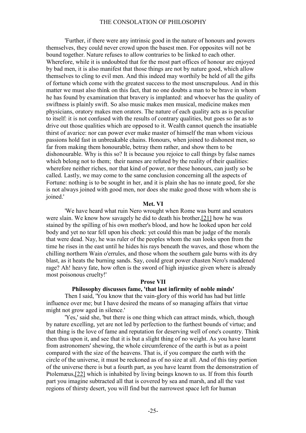'Further, if there were any intrinsic good in the nature of honours and powers themselves, they could never crowd upon the basest men. For opposites will not be bound together. Nature refuses to allow contraries to be linked to each other. Wherefore, while it is undoubted that for the most part offices of honour are enjoyed by bad men, it is also manifest that those things are not by nature good, which allow themselves to cling to evil men. And this indeed may worthily be held of all the gifts of fortune which come with the greatest success to the most unscrupulous. And in this matter we must also think on this fact, that no one doubts a man to be brave in whom he has found by examination that bravery is implanted: and whoever has the quality of swiftness is plainly swift. So also music makes men musical, medicine makes men physicians, oratory makes men orators. The nature of each quality acts as is peculiar to itself: it is not confused with the results of contrary qualities, but goes so far as to drive out those qualities which are opposed to it. Wealth cannot quench the insatiable thirst of avarice: nor can power ever make master of himself the man whom vicious passions hold fast in unbreakable chains. Honours, when joined to dishonest men, so far from making them honourable, betray them rather, and show them to be dishonourable. Why is this so? It is because you rejoice to call things by false names which belong not to them; their names are refuted by the reality of their qualities: wherefore neither riches, nor that kind of power, nor these honours, can justly so be called. Lastly, we may come to the same conclusion concerning all the aspects of Fortune: nothing is to be sought in her, and it is plain she has no innate good, for she is not always joined with good men, nor does she make good those with whom she is joined.'

#### **Met. VI**

'We have heard what ruin Nero wrought when Rome was burnt and senators were slain. We know how savagely he did to death his brother,[21] how he was stained by the spilling of his own mother's blood, and how he looked upon her cold body and yet no tear fell upon his cheek: yet could this man be judge of the morals that were dead. Nay, he was ruler of the peoples whom the sun looks upon from the time he rises in the east until he hides his rays beneath the waves, and those whom the chilling northern Wain o'errules, and those whom the southern gale burns with its dry blast, as it heats the burning sands. Say, could great power chasten Nero's maddened rage? Ah! heavy fate, how often is the sword of high injustice given where is already most poisonous cruelty!'

## **Prose VII**

## **Philosophy discusses fame, 'that last infirmity of noble minds'**

Then I said, 'You know that the vain-glory of this world has had but little influence over me; but I have desired the means of so managing affairs that virtue might not grow aged in silence.'

'Yes,' said she, 'but there is one thing which can attract minds, which, though by nature excelling, yet are not led by perfection to the furthest bounds of virtue; and that thing is the love of fame and reputation for deserving well of one's country. Think then thus upon it, and see that it is but a slight thing of no weight. As you have learnt from astronomers' shewing, the whole circumference of the earth is but as a point compared with the size of the heavens. That is, if you compare the earth with the circle of the universe, it must be reckoned as of no size at all. And of this tiny portion of the universe there is but a fourth part, as you have learnt from the demonstration of Ptolemæus,[22] which is inhabited by living beings known to us. If from this fourth part you imagine subtracted all that is covered by sea and marsh, and all the vast regions of thirsty desert, you will find but the narrowest space left for human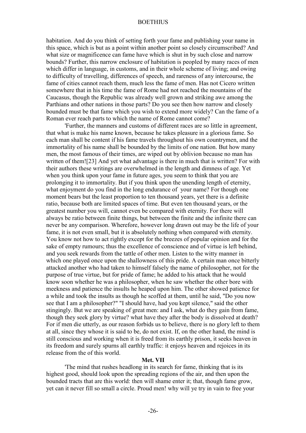habitation. And do you think of setting forth your fame and publishing your name in this space, which is but as a point within another point so closely circumscribed? And what size or magnificence can fame have which is shut in by such close and narrow bounds? Further, this narrow enclosure of habitation is peopled by many races of men which differ in language, in customs, and in their whole scheme of living; and owing to difficulty of travelling, differences of speech, and rareness of any intercourse, the fame of cities cannot reach them, much less the fame of men. Has not Cicero written somewhere that in his time the fame of Rome had not reached the mountains of the Caucasus, though the Republic was already well grown and striking awe among the Parthians and other nations in those parts? Do you see then how narrow and closely bounded must be that fame which you wish to extend more widely? Can the fame of a Roman ever reach parts to which the name of Rome cannot come?

'Further, the manners and customs of different races are so little in agreement, that what is make his name known, because he takes pleasure in a glorious fame. So each man shall be content if his fame travels throughout his own countrymen, and the immortality of his name shall be bounded by the limits of one nation. But how many men, the most famous of their times, are wiped out by oblivion because no man has written of them![23] And yet what advantage is there in much that is written? For with their authors these writings are overwhelmed in the length and dimness of age. Yet when you think upon your fame in future ages, you seem to think that you are prolonging it to immortality. But if you think upon the unending length of eternity, what enjoyment do you find in the long endurance of your name? For though one moment bears but the least proportion to ten thousand years, yet there is a definite ratio, because both are limited spaces of time. But even ten thousand years, or the greatest number you will, cannot even be compared with eternity. For there will always be ratio between finite things, but between the finite and the infinite there can never be any comparison. Wherefore, however long drawn out may be the life of your fame, it is not even small, but it is absolutely nothing when compared with eternity. You know not how to act rightly except for the breezes of popular opinion and for the sake of empty rumours; thus the excellence of conscience and of virtue is left behind, and you seek rewards from the tattle of other men. Listen to the witty manner in which one played once upon the shallowness of this pride. A certain man once bitterly attacked another who had taken to himself falsely the name of philosopher, not for the purpose of true virtue, but for pride of fame; he added to his attack that he would know soon whether he was a philosopher, when he saw whether the other bore with meekness and patience the insults he heaped upon him. The other showed patience for a while and took the insults as though he scoffed at them, until he said, "Do you now see that I am a philosopher?" "I should have, had you kept silence," said the other stingingly. But we are speaking of great men: and I ask, what do they gain from fame, though they seek glory by virtue? what have they after the body is dissolved at death? For if men die utterly, as our reason forbids us to believe, there is no glory left to them at all, since they whose it is said to be, do not exist. If, on the other hand, the mind is still conscious and working when it is freed from its earthly prison, it seeks heaven in its freedom and surely spurns all earthly traffic: it enjoys heaven and rejoices in its release from the of this world.

#### **Met. VII**

'The mind that rushes headlong in its search for fame, thinking that is its highest good, should look upon the spreading regions of the air, and then upon the bounded tracts that are this world: then will shame enter it; that, though fame grow, yet can it never fill so small a circle. Proud men! why will ye try in vain to free your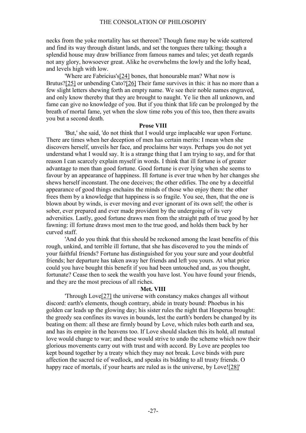necks from the yoke mortality has set thereon? Though fame may be wide scattered and find its way through distant lands, and set the tongues there talking; though a splendid house may draw brilliance from famous names and tales; yet death regards not any glory, howsoever great. Alike he overwhelms the lowly and the lofty head, and levels high with low.

'Where are Fabricius's[24] bones, that honourable man? What now is Brutus?[25] or unbending Cato?[26] Their fame survives in this: it has no more than a few slight letters shewing forth an empty name. We see their noble names engraved, and only know thereby that they are brought to naught. Ye lie then all unknown, and fame can give no knowledge of you. But if you think that life can be prolonged by the breath of mortal fame, yet when the slow time robs you of this too, then there awaits you but a second death.

#### **Prose VIII**

'But,' she said, 'do not think that I would urge implacable war upon Fortune. There are times when her deception of men has certain merits: I mean when she discovers herself, unveils her face, and proclaims her ways. Perhaps you do not yet understand what I would say. It is a strange thing that I am trying to say, and for that reason I can scarcely explain myself in words. I think that ill fortune is of greater advantage to men than good fortune. Good fortune is ever lying when she seems to favour by an appearance of happiness. Ill fortune is ever true when by her changes she shews herself inconstant. The one deceives; the other edifies. The one by a deceitful appearance of good things enchains the minds of those who enjoy them: the other frees them by a knowledge that happiness is so fragile. You see, then, that the one is blown about by winds, is ever moving and ever ignorant of its own self; the other is sober, ever prepared and ever made provident by the undergoing of its very adversities. Lastly, good fortune draws men from the straight path of true good by her fawning: ill fortune draws most men to the true good, and holds them back by her curved staff.

'And do you think that this should be reckoned among the least benefits of this rough, unkind, and terrible ill fortune, that she has discovered to you the minds of your faithful friends? Fortune has distinguished for you your sure and your doubtful friends; her departure has taken away her friends and left you yours. At what price could you have bought this benefit if you had been untouched and, as you thought, fortunate? Cease then to seek the wealth you have lost. You have found your friends, and they are the most precious of all riches.

## **Met. VIII**

'Through Love[27] the universe with constancy makes changes all without discord: earth's elements, though contrary, abide in treaty bound: Phoebus in his golden car leads up the glowing day; his sister rules the night that Hesperus brought: the greedy sea confines its waves in bounds, lest the earth's borders be changed by its beating on them: all these are firmly bound by Love, which rules both earth and sea, and has its empire in the heavens too. If Love should slacken this its hold, all mutual love would change to war; and these would strive to undo the scheme which now their glorious movements carry out with trust and with accord. By Love are peoples too kept bound together by a treaty which they may not break. Love binds with pure affection the sacred tie of wedlock, and speaks its bidding to all trusty friends. O happy race of mortals, if your hearts are ruled as is the universe, by Love![28]'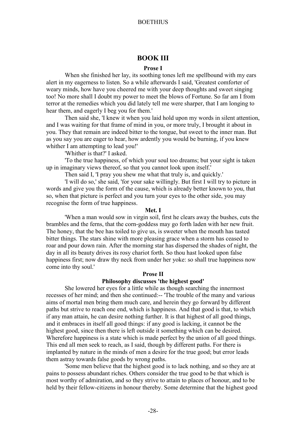## **BOOK III**

#### **Prose I**

When she finished her lay, its soothing tones left me spellbound with my ears alert in my eagerness to listen. So a while afterwards I said, 'Greatest comforter of weary minds, how have you cheered me with your deep thoughts and sweet singing too! No more shall I doubt my power to meet the blows of Fortune. So far am I from terror at the remedies which you did lately tell me were sharper, that I am longing to hear them, and eagerly I beg you for them.'

Then said she, 'I knew it when you laid hold upon my words in silent attention, and I was waiting for that frame of mind in you, or more truly, I brought it about in you. They that remain are indeed bitter to the tongue, but sweet to the inner man. But as you say you are eager to hear, how ardently you would be burning, if you knew whither I am attempting to lead you!'

'Whither is that?' I asked.

'To the true happiness, of which your soul too dreams; but your sight is taken up in imaginary views thereof, so that you cannot look upon itself.'

Then said I, 'I pray you shew me what that truly is, and quickly.'

'I will do so,' she said, 'for your sake willingly. But first I will try to picture in words and give you the form of the cause, which is already better known to you, that so, when that picture is perfect and you turn your eyes to the other side, you may recognise the form of true happiness.

#### **Met. I**

'When a man would sow in virgin soil, first he clears away the bushes, cuts the brambles and the ferns, that the corn-goddess may go forth laden with her new fruit. The honey, that the bee has toiled to give us, is sweeter when the mouth has tasted bitter things. The stars shine with more pleasing grace when a storm has ceased to roar and pour down rain. After the morning star has dispersed the shades of night, the day in all its beauty drives its rosy chariot forth. So thou hast looked upon false happiness first; now draw thy neck from under her yoke: so shall true happiness now come into thy soul.'

## **Prose II**

## **Philosophy discusses 'the highest good'**

She lowered her eyes for a little while as though searching the innermost recesses of her mind; and then she continued:-- 'The trouble of the many and various aims of mortal men bring them much care, and herein they go forward by different paths but strive to reach one end, which is happiness. And that good is that, to which if any man attain, he can desire nothing further. It is that highest of all good things, and it embraces in itself all good things: if any good is lacking, it cannot be the highest good, since then there is left outside it something which can be desired. Wherefore happiness is a state which is made perfect by the union of all good things. This end all men seek to reach, as I said, though by different paths. For there is implanted by nature in the minds of men a desire for the true good; but error leads them astray towards false goods by wrong paths.

'Some men believe that the highest good is to lack nothing, and so they are at pains to possess abundant riches. Others consider the true good to be that which is most worthy of admiration, and so they strive to attain to places of honour, and to be held by their fellow-citizens in honour thereby. Some determine that the highest good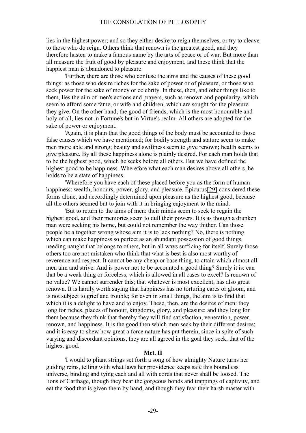lies in the highest power; and so they either desire to reign themselves, or try to cleave to those who do reign. Others think that renown is the greatest good, and they therefore hasten to make a famous name by the arts of peace or of war. But more than all measure the fruit of good by pleasure and enjoyment, and these think that the happiest man is abandoned to pleasure.

'Further, there are those who confuse the aims and the causes of these good things: as those who desire riches for the sake of power or of pleasure, or those who seek power for the sake of money or celebrity. In these, then, and other things like to them, lies the aim of men's actions and prayers, such as renown and popularity, which seem to afford some fame, or wife and children, which are sought for the pleasure they give. On the other hand, the good of friends, which is the most honourable and holy of all, lies not in Fortune's but in Virtue's realm. All others are adopted for the sake of power or enjoyment.

'Again, it is plain that the good things of the body must be accounted to those false causes which we have mentioned; for bodily strength and stature seem to make men more able and strong; beauty and swiftness seem to give renown; health seems to give pleasure. By all these happiness alone is plainly desired. For each man holds that to be the highest good, which he seeks before all others. But we have defined the highest good to be happiness. Wherefore what each man desires above all others, he holds to be a state of happiness.

'Wherefore you have each of these placed before you as the form of human happiness: wealth, honours, power, glory, and pleasure. Epicurus[29] considered these forms alone, and accordingly determined upon pleasure as the highest good, because all the others seemed but to join with it in bringing enjoyment to the mind.

'But to return to the aims of men: their minds seem to seek to regain the highest good, and their memories seem to dull their powers. It is as though a drunken man were seeking his home, but could not remember the way thither. Can those people be altogether wrong whose aim it is to lack nothing? No, there is nothing which can make happiness so perfect as an abundant possession of good things, needing naught that belongs to others, but in all ways sufficing for itself. Surely those others too are not mistaken who think that what is best is also most worthy of reverence and respect. It cannot be any cheap or base thing, to attain which almost all men aim and strive. And is power not to be accounted a good thing? Surely it is: can that be a weak thing or forceless, which is allowed in all cases to excel? Is renown of no value? We cannot surrender this; that whatever is most excellent, has also great renown. It is hardly worth saying that happiness has no torturing cares or gloom, and is not subject to grief and trouble; for even in small things, the aim is to find that which it is a delight to have and to enjoy. These, then, are the desires of men: they long for riches, places of honour, kingdoms, glory, and pleasure; and they long for them because they think that thereby they will find satisfaction, veneration, power, renown, and happiness. It is the good then which men seek by their different desires; and it is easy to shew how great a force nature has put therein, since in spite of such varying and discordant opinions, they are all agreed in the goal they seek, that of the highest good.

## **Met. II**

'I would to pliant strings set forth a song of how almighty Nature turns her guiding reins, telling with what laws her providence keeps safe this boundless universe, binding and tying each and all with cords that never shall be loosed. The lions of Carthage, though they bear the gorgeous bonds and trappings of captivity, and eat the food that is given them by hand, and though they fear their harsh master with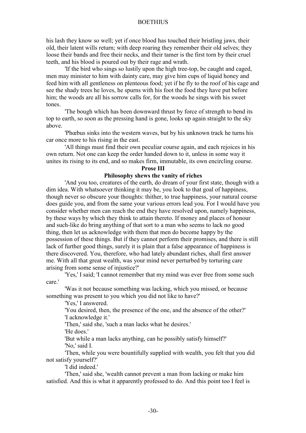his lash they know so well; yet if once blood has touched their bristling jaws, their old, their latent wills return; with deep roaring they remember their old selves; they loose their bands and free their necks, and their tamer is the first torn by their cruel teeth, and his blood is poured out by their rage and wrath.

'If the bird who sings so lustily upon the high tree-top, be caught and caged, men may minister to him with dainty care, may give him cups of liquid honey and feed him with all gentleness on plenteous food; yet if he fly to the roof of his cage and see the shady trees he loves, he spurns with his foot the food they have put before him; the woods are all his sorrow calls for, for the woods he sings with his sweet tones.

'The bough which has been downward thrust by force of strength to bend its top to earth, so soon as the pressing hand is gone, looks up again straight to the sky above.

'Phœbus sinks into the western waves, but by his unknown track he turns his car once more to his rising in the east.

'All things must find their own peculiar course again, and each rejoices in his own return. Not one can keep the order handed down to it, unless in some way it unites its rising to its end, and so makes firm, immutable, its own encircling course.

## **Prose III**

## **Philosophy shews the vanity of riches**

'And you too, creatures of the earth, do dream of your first state, though with a dim idea. With whatsoever thinking it may be, you look to that goal of happiness, though never so obscure your thoughts: thither, to true happiness, your natural course does guide you, and from the same your various errors lead you. For I would have you consider whether men can reach the end they have resolved upon, namely happiness, by these ways by which they think to attain thereto. If money and places of honour and such-like do bring anything of that sort to a man who seems to lack no good thing, then let us acknowledge with them that men do become happy by the possession of these things. But if they cannot perform their promises, and there is still lack of further good things, surely it is plain that a false appearance of happiness is there discovered. You, therefore, who had lately abundant riches, shall first answer me. With all that great wealth, was your mind never perturbed by torturing care arising from some sense of injustice?'

'Yes,' I said; 'I cannot remember that my mind was ever free from some such care.'

'Was it not because something was lacking, which you missed, or because something was present to you which you did not like to have?'

'Yes,' I answered.

'You desired, then, the presence of the one, and the absence of the other?' 'I acknowledge it.'

'Then,' said she, 'such a man lacks what he desires.'

'He does.'

'But while a man lacks anything, can he possibly satisfy himself?' 'No,' said I.

'Then, while you were bountifully supplied with wealth, you felt that you did not satisfy yourself?'

'I did indeed.'

'Then,' said she, 'wealth cannot prevent a man from lacking or make him satisfied. And this is what it apparently professed to do. And this point too I feel is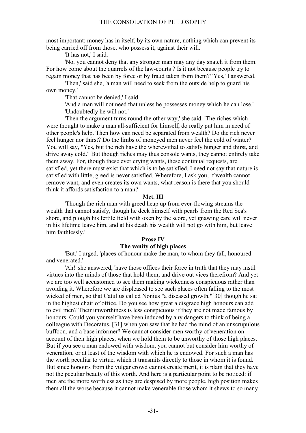most important: money has in itself, by its own nature, nothing which can prevent its being carried off from those, who possess it, against their will.'

'It has not,' I said.

'No, you cannot deny that any stronger man may any day snatch it from them. For how come about the quarrels of the law-courts ? Is it not because people try to regain money that has been by force or by fraud taken from them?' 'Yes,' I answered.

'Then,' said she, 'a man will need to seek from the outside help to guard his own money.'

'That cannot be denied,' I said.

'And a man will not need that unless he possesses money which he can lose.' 'Undoubtedly he will not.'

'Then the argument turns round the other way,' she said. 'The riches which were thought to make a man all-sufficient for himself, do really put him in need of other people's help. Then how can need be separated from wealth? Do the rich never feel hunger nor thirst? Do the limbs of moneyed men never feel the cold of winter? You will say, "Yes, but the rich have the wherewithal to satisfy hunger and thirst, and drive away cold." But though riches may thus console wants, they cannot entirely take them away. For, though these ever crying wants, these continual requests, are satisfied, yet there must exist that which is to be satisfied. I need not say that nature is satisfied with little, greed is never satisfied. Wherefore, I ask you, if wealth cannot remove want, and even creates its own wants, what reason is there that you should think it affords satisfaction to a man?

## **Met. III**

'Though the rich man with greed heap up from ever-flowing streams the wealth that cannot satisfy, though he deck himself with pearls from the Red Sea's shore, and plough his fertile field with oxen by the score, yet gnawing care will never in his lifetime leave him, and at his death his wealth will not go with him, but leave him faithlessly.'

## **Prose IV The vanity of high places**

'But,' I urged, 'places of honour make the man, to whom they fall, honoured and venerated.'

'Ah!' she answered, 'have those offices their force in truth that they may instil virtues into the minds of those that hold them, and drive out vices therefrom? And yet we are too well accustomed to see them making wickedness conspicuous rather than avoiding it. Wherefore we are displeased to see such places often falling to the most wicked of men, so that Catullus called Nonius "a diseased growth,"[30] though he sat in the highest chair of office. Do you see how great a disgrace high honours can add to evil men? Their unworthiness is less conspicuous if they are not made famous by honours. Could you yourself have been induced by any dangers to think of being a colleague with Decoratus, [31] when you saw that he had the mind of an unscrupulous buffoon, and a base informer? We cannot consider men worthy of veneration on account of their high places, when we hold them to be unworthy of those high places. But if you see a man endowed with wisdom, you cannot but consider him worthy of veneration, or at least of the wisdom with which he is endowed. For such a man has the worth peculiar to virtue, which it transmits directly to those in whom it is found. But since honours from the vulgar crowd cannot create merit, it is plain that they have not the peculiar beauty of this worth. And here is a particular point to be noticed: if men are the more worthless as they are despised by more people, high position makes them all the worse because it cannot make venerable those whom it shews to so many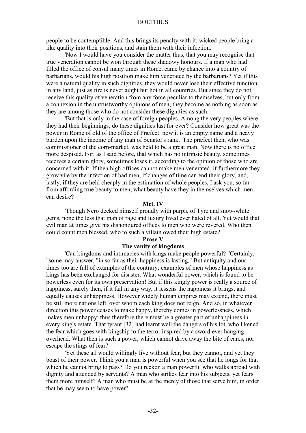people to be contemptible. And this brings its penalty with it: wicked people bring a like quality into their positions, and stain them with their infection.

'Now I would have you consider the matter thus, that you may recognise that true veneration cannot be won through these shadowy honours. If a man who had filled the office of consul many times in Rome, came by chance into a country of barbarians, would his high position make him venerated by the barbarians? Yet if this were a natural quality in such dignities, they would never lose their effective function in any land, just as fire is never aught but hot in all countries. But since they do not receive this quality of veneration from any force peculiar to themselves, but only from a connexion in the untrustworthy opinions of men, they become as nothing as soon as they are among those who do not consider these dignities as such.

'But that is only in the case of foreign peoples. Among the very peoples where they had their beginnings, do these dignities last for ever? Consider how great was the power in Rome of old of the office of Præfect: now it is an empty name and a heavy burden upon the income of any man of Senator's rank. 'The præfect then, who was commissioner of the corn-market, was held to be a great man. Now there is no office more despised. For, as I said before, that which has no intrinsic beauty, sometimes receives a certain glory, sometimes loses it, according to the opinion of those who are concerned with it. If then high offices cannot make men venerated, if furthermore they grow vile by the infection of bad men, if changes of time can end their glory, and, lastly, if they are held cheaply in the estimation of whole peoples, I ask you, so far from affording true beauty to men, what beauty have they in themselves which men can desire?

#### **Met. IV**

'Though Nero decked himself proudly with purple of Tyre and snow-white gems, none the less that man of rage and luxury lived ever hated of all. Yet would that evil man at times give his dishonoured offices to men who were revered. Who then could count men blessed, who to such a villain owed their high estate?

#### **Prose V**

## **The vanity of kingdoms**

'Can kingdoms and intimacies with kings make people powerful? "Certainly, "some may answer, "in so far as their happiness is lasting." But antiquity and our times too are full of examples of the contrary; examples of men whose happiness as kings has been exchanged for disaster. What wonderful power, which is found to be powerless even for its own preservation! But if this kingly power is really a source of happiness, surely then, if it fail in any way, it lessens the happiness it brings, and equally causes unhappiness. However widely human empires may extend, there must be still more nations left, over whom each king does not reign. And so, in whatever direction this power ceases to make happy, thereby comes in powerlessness, which makes men unhappy; thus therefore there must be a greater part of unhappiness in every king's estate. That tyrant [32] had learnt well the dangers of his lot, who likened the fear which goes with kingship to the terror inspired by a sword ever hanging overhead. What then is such a power, which cannot drive away the bite of cares, nor escape the stings of fear?

'Yet these all would willingly live without fear, but they cannot, and yet they boast of their power. Think you a man is powerful when you see that he longs for that which he cannot bring to pass? Do you reckon a man powerful who walks abroad with dignity and attended by servants? A man who strikes fear into his subjects, yet fears them more himself? A man who must be at the mercy of those that serve him, in order that he may seem to have power?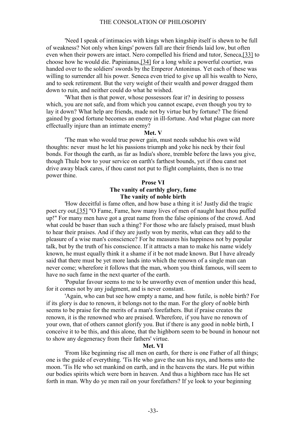'Need I speak of intimacies with kings when kingship itself is shewn to be full of weakness? Not only when kings' powers fall are their friends laid low, but often even when their powers are intact. Nero compelled his friend and tutor, Seneca,[33] to choose how he would die. Papinianus,[34] for a long while a powerful courtier, was handed over to the soldiers' swords by the Emperor Antoninus. Yet each of these was willing to surrender all his power. Seneca even tried to give up all his wealth to Nero, and to seek retirement. But the very weight of their wealth and power dragged them down to ruin, and neither could do what he wished.

'What then is that power, whose possessors fear it? in desiring to possess which, you are not safe, and from which you cannot escape, even though you try to lay it down? What help are friends, made not by virtue but by fortune? The friend gained by good fortune becomes an enemy in ill-fortune. And what plague can more effectually injure than an intimate enemy?

#### **Met. V**

'The man who would true power gain, must needs subdue his own wild thoughts: never must he let his passions triumph and yoke his neck by their foul bonds. For though the earth, as far as India's shore, tremble before the laws you give, though Thule bow to your service on earth's farthest bounds, yet if thou canst not drive away black cares, if thou canst not put to flight complaints, then is no true power thine.

## **Prose VI The vanity of earthly glory, fame The vanity of noble birth**

'How deceitful is fame often, and how base a thing it is! Justly did the tragic poet cry out,[35] "O Fame, Fame, how many lives of men of naught hast thou puffed up!" For many men have got a great name from the false opinions of the crowd. And what could be baser than such a thing? For those who are falsely praised, must blush to hear their praises. And if they are justly won by merits, what can they add to the pleasure of a wise man's conscience? For he measures his happiness not by popular talk, but by the truth of his conscience. If it attracts a man to make his name widely known, he must equally think it a shame if it be not made known. But I have already said that there must be yet more lands into which the renown of a single man can never come; wherefore it follows that the man, whom you think famous, will seem to have no such fame in the next quarter of the earth.

'Popular favour seems to me to be unworthy even of mention under this head, for it comes not by any judgment, and is never constant.

'Again, who can but see how empty a name, and how futile, is noble birth? For if its glory is due to renown, it belongs not to the man. For the glory of noble birth seems to be praise for the merits of a man's forefathers. But if praise creates the renown, it is the renowned who are praised. Wherefore, if you have no renown of your own, that of others cannot glorify you. But if there is any good in noble birth, I conceive it to be this, and this alone, that the highborn seem to be bound in honour not to show any degeneracy from their fathers' virtue.

## **Met. VI**

'From like beginning rise all men on earth, for there is one Father of all things; one is the guide of everything. 'Tis He who gave the sun his rays, and horns unto the moon. 'Tis He who set mankind on earth, and in the heavens the stars. He put within our bodies spirits which were born in heaven. And thus a highborn race has He set forth in man. Why do ye men rail on your forefathers? If ye look to your beginning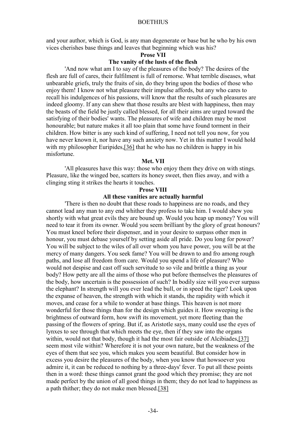and your author, which is God, is any man degenerate or base but he who by his own vices cherishes base things and leaves that beginning which was his?

#### **Prose VII**

## **The vanity of the lusts of the flesh**

'And now what am I to say of the pleasures of the body? The desires of the flesh are full of cares, their fulfilment is full of remorse. What terrible diseases, what unbearable griefs, truly the fruits of sin, do they bring upon the bodies of those who enjoy them! I know not what pleasure their impulse affords, but any who cares to recall his indulgences of his passions, will know that the results of such pleasures are indeed gloomy. If any can shew that those results are blest with happiness, then may the beasts of the field be justly called blessed, for all their aims are urged toward the satisfying of their bodies' wants. The pleasures of wife and children may be most honourable; but nature makes it all too plain that some have found torment in their children. How bitter is any such kind of suffering, I need not tell you now, for you have never known it, nor have any such anxiety now. Yet in this matter I would hold with my philosopher Euripides, [36] that he who has no children is happy in his misfortune.

## **Met. VII**

'All pleasures have this way: those who enjoy them they drive on with stings. Pleasure, like the winged bee, scatters its honey sweet, then flies away, and with a clinging sting it strikes the hearts it touches.

#### **Prose VIII**

## **All these vanities are actually harmful**

'There is then no doubt that these roads to happiness are no roads, and they cannot lead any man to any end whither they profess to take him. I would shew you shortly with what great evils they are bound up. Would you heap up money? You will need to tear it from its owner. Would you seem brilliant by the glory of great honours? You must kneel before their dispenser, and in your desire to surpass other men in honour, you must debase yourself by setting aside all pride. Do you long for power? You will be subject to the wiles of all over whom you have power, you will be at the mercy of many dangers. You seek fame? You will be drawn to and fro among rough paths, and lose all freedom from care. Would you spend a life of pleasure? Who would not despise and cast off such servitude to so vile and brittle a thing as your body? How petty are all the aims of those who put before themselves the pleasures of the body, how uncertain is the possession of such? In bodily size will you ever surpass the elephant? In strength will you ever lead the bull, or in speed the tiger? Look upon the expanse of heaven, the strength with which it stands, the rapidity with which it moves, and cease for a while to wonder at base things. This heaven is not more wonderful for those things than for the design which guides it. How sweeping is the brightness of outward form, how swift its movement, yet more fleeting than the passing of the flowers of spring. But if, as Aristotle says, many could use the eyes of lynxes to see through that which meets the eye, then if they saw into the organs within, would not that body, though it had the most fair outside of Alcibiades,[37] seem most vile within? Wherefore it is not your own nature, but the weakness of the eyes of them that see you, which makes you seem beautiful. But consider how in excess you desire the pleasures of the body, when you know that howsoever you admire it, it can be reduced to nothing by a three-days' fever. To put all these points then in a word: these things cannot grant the good which they promise; they are not made perfect by the union of all good things in them; they do not lead to happiness as a path thither; they do not make men blessed.[38]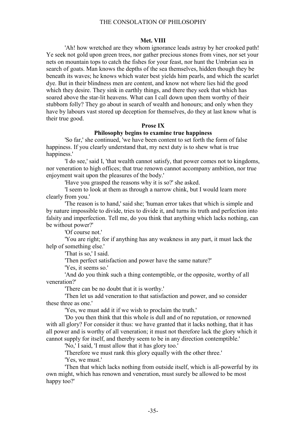#### **Met. VIII**

'Ah! how wretched are they whom ignorance leads astray by her crooked path! Ye seek not gold upon green trees, nor gather precious stones from vines, nor set your nets on mountain tops to catch the fishes for your feast, nor hunt the Umbrian sea in search of goats. Man knows the depths of the sea themselves, hidden though they be beneath its waves; he knows which water best yields him pearls, and which the scarlet dye. But in their blindness men are content, and know not where lies hid the good which they desire. They sink in earthly things, and there they seek that which has soared above the star-lit heavens. What can I call down upon them worthy of their stubborn folly? They go about in search of wealth and honours; and only when they have by labours vast stored up deception for themselves, do they at last know what is their true good.

## **Prose IX**

## **Philosophy begins to examine true happiness**

'So far,' she continued, 'we have been content to set forth the form of false happiness. If you clearly understand that, my next duty is to shew what is true happiness.'

'I do see,' said I, 'that wealth cannot satisfy, that power comes not to kingdoms, nor veneration to high offices; that true renown cannot accompany ambition, nor true enjoyment wait upon the pleasures of the body.'

'Have you grasped the reasons why it is so?' she asked.

'I seem to look at them as through a narrow chink, but I would learn more clearly from you.'

'The reason is to hand,' said she; 'human error takes that which is simple and by nature impossible to divide, tries to divide it, and turns its truth and perfection into falsity and imperfection. Tell me, do you think that anything which lacks nothing, can be without power?'

'Of course not.'

'You are right; for if anything has any weakness in any part, it must lack the help of something else.'

'That is so,' I said.

'Then perfect satisfaction and power have the same nature?'

'Yes, it seems so.'

'And do you think such a thing contemptible, or the opposite, worthy of all veneration?'

'There can be no doubt that it is worthy.'

'Then let us add veneration to that satisfaction and power, and so consider these three as one.'

'Yes, we must add it if we wish to proclaim the truth.'

'Do you then think that this whole is dull and of no reputation, or renowned with all glory? For consider it thus: we have granted that it lacks nothing, that it has all power and is worthy of all veneration; it must not therefore lack the glory which it cannot supply for itself, and thereby seem to be in any direction contemptible.'

'No,' I said, 'I must allow that it has glory too.'

'Therefore we must rank this glory equally with the other three.'

'Yes, we must.'

'Then that which lacks nothing from outside itself, which is all-powerful by its own might, which has renown and veneration, must surely be allowed to be most happy too?'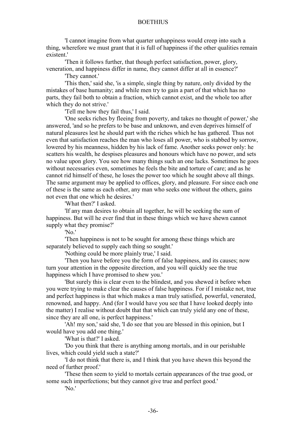'I cannot imagine from what quarter unhappiness would creep into such a thing, wherefore we must grant that it is full of happiness if the other qualities remain existent.'

'Then it follows further, that though perfect satisfaction, power, glory, veneration, and happiness differ in name, they cannot differ at all in essence?'

'They cannot.'

'This then,' said she, 'is a simple, single thing by nature, only divided by the mistakes of base humanity; and while men try to gain a part of that which has no parts, they fail both to obtain a fraction, which cannot exist, and the whole too after which they do not strive.'

'Tell me how they fail thus,' I said.

'One seeks riches by fleeing from poverty, and takes no thought of power,' she answered, 'and so he prefers to be base and unknown, and even deprives himself of natural pleasures lest he should part with the riches which he has gathered. Thus not even that satisfaction reaches the man who loses all power, who is stabbed by sorrow, lowered by his meanness, hidden by his lack of fame. Another seeks power only: he scatters his wealth, he despises pleasures and honours which have no power, and sets no value upon glory. You see how many things such an one lacks. Sometimes he goes without necessaries even, sometimes he feels the bite and torture of care; and as he cannot rid himself of these, he loses the power too which he sought above all things. The same argument may be applied to offices, glory, and pleasure. For since each one of these is the same as each other, any man who seeks one without the others, gains not even that one which he desires.'

'What then?' I asked.

'If any man desires to obtain all together, he will be seeking the sum of happiness. But will he ever find that in these things which we have shewn cannot supply what they promise?'

'No.

'Then happiness is not to be sought for among these things which are separately believed to supply each thing so sought.'

'Nothing could be more plainly true,' I said.

'Then you have before you the form of false happiness, and its causes; now turn your attention in the opposite direction, and you will quickly see the true happiness which I have promised to shew you.'

'But surely this is clear even to the blindest, and you shewed it before when you were trying to make clear the causes of false happiness. For if I mistake not, true and perfect happiness is that which makes a man truly satisfied, powerful, venerated, renowned, and happy. And (for I would have you see that I have looked deeply into the matter) I realise without doubt that that which can truly yield any one of these, since they are all one, is perfect happiness.'

'Ah! my son,' said she, 'I do see that you are blessed in this opinion, but I would have you add one thing.'

'What is that?' I asked.

'Do you think that there is anything among mortals, and in our perishable lives, which could yield such a state?'

'I do not think that there is, and I think that you have shewn this beyond the need of further proof.'

'These then seem to yield to mortals certain appearances of the true good, or some such imperfections; but they cannot give true and perfect good.'

'No.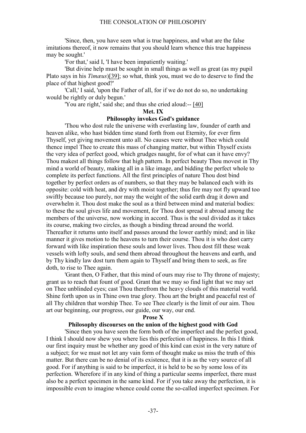'Since, then, you have seen what is true happiness, and what are the false imitations thereof, it now remains that you should learn whence this true happiness may be sought.'

'For that,' said I, 'I have been impatiently waiting.'

'But divine help must be sought in small things as well as great (as my pupil Plato says in his *Timæus*)[39]; so what, think you, must we do to deserve to find the place of that highest good?'

'Call,' I said, 'upon the Father of all, for if we do not do so, no undertaking would be rightly or duly begun.'

'You are right,' said she; and thus she cried aloud:-- [40]

# **Met. IX**

# **Philosophy invokes God's guidance**

'Thou who dost rule the universe with everlasting law, founder of earth and heaven alike, who hast bidden time stand forth from out Eternity, for ever firm Thyself, yet giving movement unto all. No causes were without Thee which could thence impel Thee to create this mass of changing matter, but within Thyself exists the very idea of perfect good, which grudges naught, for of what can it have envy? Thou makest all things follow that high pattern. In perfect beauty Thou movest in Thy mind a world of beauty, making all in a like image, and bidding the perfect whole to complete its perfect functions. All the first principles of nature Thou dost bind together by perfect orders as of numbers, so that they may be balanced each with its opposite: cold with heat, and dry with moist together; thus fire may not fly upward too swiftly because too purely, nor may the weight of the solid earth drag it down and overwhelm it. Thou dost make the soul as a third between mind and material bodies: to these the soul gives life and movement, for Thou dost spread it abroad among the members of the universe, now working in accord. Thus is the soul divided as it takes its course, making two circles, as though a binding thread around the world. Thereafter it returns unto itself and passes around the lower earthly mind; and in like manner it gives motion to the heavens to turn their course. Thou it is who dost carry forward with like inspiration these souls and lower lives. Thou dost fill these weak vessels with lofty souls, and send them abroad throughout the heavens and earth, and by Thy kindly law dost turn them again to Thyself and bring them to seek, as fire doth, to rise to Thee again.

'Grant then, O Father, that this mind of ours may rise to Thy throne of majesty; grant us to reach that fount of good. Grant that we may so find light that we may set on Thee unblinded eyes; cast Thou therefrom the heavy clouds of this material world. Shine forth upon us in Thine own true glory. Thou art the bright and peaceful rest of all Thy children that worship Thee. To see Thee clearly is the limit of our aim. Thou art our beginning, our progress, our guide, our way, our end.

## **Prose X**

# **Philosophy discourses on the union of the highest good with God**

'Since then you have seen the form both of the imperfect and the perfect good, I think I should now shew you where lies this perfection of happiness. In this I think our first inquiry must be whether any good of this kind can exist in the very nature of a subject; for we must not let any vain form of thought make us miss the truth of this matter. But there can be no denial of its existence, that it is as the very source of all good. For if anything is said to be imperfect, it is held to be so by some loss of its perfection. Wherefore if in any kind of thing a particular seems imperfect, there must also be a perfect specimen in the same kind. For if you take away the perfection, it is impossible even to imagine whence could come the so-called imperfect specimen. For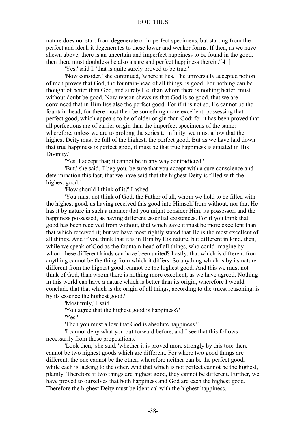nature does not start from degenerate or imperfect specimens, but starting from the perfect and ideal, it degenerates to these lower and weaker forms. If then, as we have shewn above, there is an uncertain and imperfect happiness to be found in the good, then there must doubtless be also a sure and perfect happiness therein.'[41]

'Yes,' said I, 'that is quite surely proved to be true.'

'Now consider,' she continued, 'where it lies. The universally accepted notion of men proves that God, the fountain-head of all things, is good. For nothing can be thought of better than God, and surely He, than whom there is nothing better, must without doubt be good. Now reason shews us that God is so good, that we are convinced that in Him lies also the perfect good. For if it is not so, He cannot be the fountain-head; for there must then be something more excellent, possessing that perfect good, which appears to be of older origin than God: for it has been proved that all perfections are of earlier origin than the imperfect specimens of the same: wherefore, unless we are to prolong the series to infinity, we must allow that the highest Deity must be full of the highest, the perfect good. But as we have laid down that true happiness is perfect good, it must be that true happiness is situated in His Divinity.'

'Yes, I accept that; it cannot be in any way contradicted.'

'But,' she said, 'I beg you, be sure that you accept with a sure conscience and determination this fact, that we have said that the highest Deity is filled with the highest good.'

'How should I think of it?' I asked.

'You must not think of God, the Father of all, whom we hold to be filled with the highest good, as having received this good into Himself from without, nor that He has it by nature in such a manner that you might consider Him, its possessor, and the happiness possessed, as having different essential existences. For if you think that good has been received from without, that which gave it must be more excellent than that which received it; but we have most rightly stated that He is the most excellent of all things. And if you think that it is in Him by His nature, but different in kind, then, while we speak of God as the fountain-head of all things, who could imagine by whom these different kinds can have been united? Lastly, that which is different from anything cannot be the thing from which it differs. So anything which is by its nature different from the highest good, cannot be the highest good. And this we must not think of God, than whom there is nothing more excellent, as we have agreed. Nothing in this world can have a nature which is better than its origin, wherefore I would conclude that that which is the origin of all things, according to the truest reasoning, is by its essence the highest good.'

'Most truly,' I said.

'You agree that the highest good is happiness?'

'Yes.'

'Then you must allow that God is absolute happiness?'

'I cannot deny what you put forward before, and I see that this follows necessarily from those propositions.'

'Look then,' she said, 'whether it is proved more strongly by this too: there cannot be two highest goods which are different. For where two good things are different, the one cannot be the other; wherefore neither can be the perfect good, while each is lacking to the other. And that which is not perfect cannot be the highest, plainly. Therefore if two things are highest good, they cannot be different. Further, we have proved to ourselves that both happiness and God are each the highest good. Therefore the highest Deity must be identical with the highest happiness.'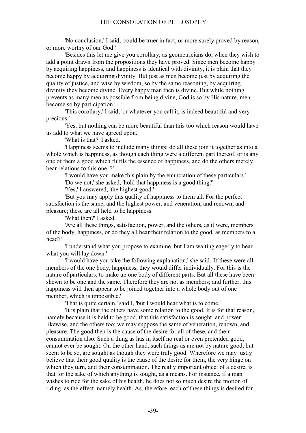'No conclusion,' I said, 'could be truer in fact, or more surely proved by reason, or more worthy of our God.'

'Besides this let me give you corollary, as geometricians do, when they wish to add a point drawn from the propositions they have proved. Since men become happy by acquiring happiness, and happiness is identical with divinity, it is plain that they become happy by acquiring divinity. But just as men become just by acquiring the quality of justice, and wise by wisdom, so by the same reasoning, by acquiring divinity they become divine. Every happy man then is divine. But while nothing prevents as many men as possible from being divine, God is so by His nature, men become so by participation.'

'This corollary,' I said, 'or whatever you call it, is indeed beautiful and very precious.'

'Yes, but nothing can be more beautiful than this too which reason would have us add to what we have agreed upon.'

'What is that?' I asked.

'Happiness seems to include many things: do all these join it together as into a whole which is happiness, as though each thing were a different part thereof, or is any one of them a good which fulfils the essence of happiness, and do the others merely bear relations to this one .?'

'I would have you make this plain by the enunciation of these particulars.' 'Do we not,' she asked, 'hold that happiness is a good thing?'

'Yes,' I answered, 'the highest good.'

'But you may apply this quality of happiness to them all. For the perfect satisfaction is the same, and the highest power, and veneration, and renown, and pleasure; these are all held to be happiness.

'What then?' I asked.

'Are all these things, satisfaction, power, and the others, as it were, members of the body, happiness, or do they all bear their relation to the good, as members to a head?'

'I understand what you propose to examine, but I am waiting eagerly to hear what you will lay down.'

'I would have you take the following explanation,' she said. 'If these were all members of the one body, happiness, they would differ individually. For this is the nature of particulars, to make up one body of different parts. But all these have been shewn to be one and the same. Therefore they are not as members; and further, this happiness will then appear to be joined together into a whole body out of one member, which is impossible.'

'That is quite certain,' said I, 'but I would hear what is to come.'

'It is plain that the others have some relation to the good. It is for that reason, namely because it is held to be good, that this satisfaction is sought, and power likewise, and the others too; we may suppose the same of veneration, renown, and pleasure. The good then is the cause of the desire for all of these, and their consummation also. Such a thing as has in itself no real or even pretended good, cannot ever be sought. On the other hand, such things as are not by nature good, but seem to be so, are sought as though they were truly good. Wherefore we may justly believe that their good quality is the cause of the desire for them, the very hinge on which they turn, and their consummation. The really important object of a desire, is that for the sake of which anything is sought, as a means. For instance, if a man wishes to ride for the sake of his health, he does not so much desire the motion of riding, as the effect, namely health. As, therefore, each of these things is desired for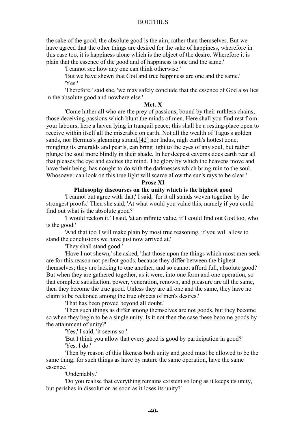the sake of the good, the absolute good is the aim, rather than themselves. But we have agreed that the other things are desired for the sake of happiness, wherefore in this case too, it is happiness alone which is the object of the desire. Wherefore it is plain that the essence of the good and of happiness is one and the same.'

'I cannot see how any one can think otherwise.'

'But we have shewn that God and true happiness are one and the same.' 'Yes.'

'Therefore,' said she, 'we may safely conclude that the essence of God also lies in the absolute good and nowhere else.'

## **Met. X**

'Come hither all who are the prey of passions, bound by their ruthless chains; those deceiving passions which blunt the minds of men. Here shall you find rest from your labours; here a haven lying in tranquil peace; this shall be a resting-place open to receive within itself all the miserable on earth. Not all the wealth of Tagus's golden sands, nor Hermus's gleaming strand,[42] nor Indus, nigh earth's hottest zone, mingling its emeralds and pearls, can bring light to the eyes of any soul, but rather plunge the soul more blindly in their shade. In her deepest caverns does earth rear all that pleases the eye and excites the mind. The glory by which the heavens move and have their being, has nought to do with the darknesses which bring ruin to the soul. Whosoever can look on this true light will scarce allow the sun's rays to be clear.'

# **Prose XI**

# **Philosophy discourses on the unity which is the highest good**

'I cannot but agree with that,' I said, 'for it all stands woven together by the strongest proofs.' Then she said, 'At what would you value this, namely if you could find out what is the absolute good?'

'I would reckon it,' I said, 'at an infinite value, if I could find out God too, who is the good.'

'And that too I will make plain by most true reasoning, if you will allow to stand the conclusions we have just now arrived at.'

'They shall stand good.'

'Have I not shewn,' she asked, 'that those upon the things which most men seek are for this reason not perfect goods, because they differ between the highest themselves; they are lacking to one another, and so cannot afford full, absolute good? But when they are gathered together, as it were, into one form and one operation, so that complete satisfaction, power, veneration, renown, and pleasure are all the same, then they become the true good. Unless they are all one and the same, they have no claim to be reckoned among the true objects of men's desires.'

'That has been proved beyond all doubt.'

'Then such things as differ among themselves are not goods, but they become so when they begin to be a single unity. Is it not then the case these become goods by the attainment of unity?'

'Yes,' I said, 'it seems so.'

'But I think you allow that every good is good by participation in good?' 'Yes, I do.'

'Then by reason of this likeness both unity and good must be allowed to be the same thing; for such things as have by nature the same operation, have the same essence.'

'Undeniably.'

'Do you realise that everything remains existent so long as it keeps its unity, but perishes in dissolution as soon as it loses its unity?'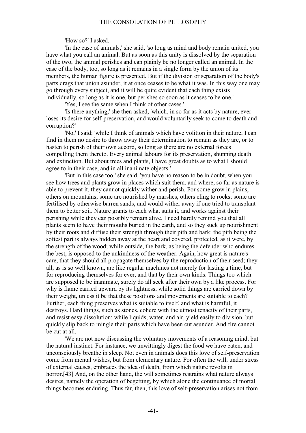'How so?' I asked.

'In the case of animals,' she said, 'so long as mind and body remain united, you have what you call an animal. But as soon as this unity is dissolved by the separation of the two, the animal perishes and can plainly be no longer called an animal. In the case of the body, too, so long as it remains in a single form by the union of its members, the human figure is presented. But if the division or separation of the body's parts drags that union asunder, it at once ceases to be what it was. In this way one may go through every subject, and it will be quite evident that each thing exists individually, so long as it is one, but perishes so soon as it ceases to be one.'

'Yes, I see the same when I think of other cases.'

'Is there anything,' she then asked, 'which, in so far as it acts by nature, ever loses its desire for self-preservation, and would voluntarily seek to come to death and corruption?'

'No,' I said; 'while I think of animals which have volition in their nature, I can find in them no desire to throw away their determination to remain as they are, or to hasten to perish of their own accord, so long as there are no external forces compelling them thereto. Every animal labours for its preservation, shunning death and extinction. But about trees and plants, I have great doubts as to what I should agree to in their case, and in all inanimate objects.'

'But in this case too,' she said, 'you have no reason to be in doubt, when you see how trees and plants grow in places which suit them, and where, so far as nature is able to prevent it, they cannot quickly wither and perish. For some grow in plains, others on mountains; some are nourished by marshes, others cling to rocks; some are fertilised by otherwise barren sands, and would wither away if one tried to transplant them to better soil. Nature grants to each what suits it, and works against their perishing while they can possibly remain alive. I need hardly remind you that all plants seem to have their mouths buried in the earth, and so they suck up nourishment by their roots and diffuse their strength through their pith and bark: the pith being the softest part is always hidden away at the heart and covered, protected, as it were, by the strength of the wood; while outside, the bark, as being the defender who endures the best, is opposed to the unkindness of the weather. Again, how great is nature's care, that they should all propagate themselves by the reproduction of their seed; they all, as is so well known, are like regular machines not merely for lasting a time, but for reproducing themselves for ever, and that by their own kinds. Things too which are supposed to be inanimate, surely do all seek after their own by a like process. For why is flame carried upward by its lightness, while solid things are carried down by their weight, unless it be that these positions and movements are suitable to each? Further, each thing preserves what is suitable to itself, and what is harmful, it destroys. Hard things, such as stones, cohere with the utmost tenacity of their parts, and resist easy dissolution; while liquids, water, and air, yield easily to division, but quickly slip back to mingle their parts which have been cut asunder. And fire cannot be cut at all.

'We are not now discussing the voluntary movements of a reasoning mind, but the natural instinct. For instance, we unwittingly digest the food we have eaten, and unconsciously breathe in sleep. Not even in animals does this love of self-preservation come from mental wishes, but from elementary nature. For often the will, under stress of external causes, embraces the idea of death, from which nature revolts in horror.[43] And, on the other hand, the will sometimes restrains what nature always desires, namely the operation of begetting, by which alone the continuance of mortal things becomes enduring. Thus far, then, this love of self-preservation arises not from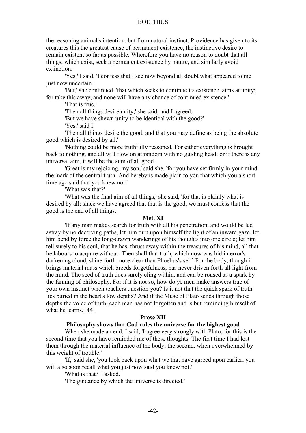the reasoning animal's intention, but from natural instinct. Providence has given to its creatures this the greatest cause of permanent existence, the instinctive desire to remain existent so far as possible. Wherefore you have no reason to doubt that all things, which exist, seek a permanent existence by nature, and similarly avoid extinction.'

'Yes,' I said, 'I confess that I see now beyond all doubt what appeared to me just now uncertain.'

'But,' she continued, 'that which seeks to continue its existence, aims at unity; for take this away, and none will have any chance of continued existence.'

'That is true.'

'Then all things desire unity,' she said, and I agreed.

'But we have shewn unity to be identical with the good?'

'Yes,' said I.

'Then all things desire the good; and that you may define as being the absolute good which is desired by all.'

'Nothing could be more truthfully reasoned. For either everything is brought back to nothing, and all will flow on at random with no guiding head; or if there is any universal aim, it will be the sum of all good.'

'Great is my rejoicing, my son,' said she, 'for you have set firmly in your mind the mark of the central truth. And hereby is made plain to you that which you a short time ago said that you knew not.'

'What was that?'

'What was the final aim of all things,' she said, 'for that is plainly what is desired by all: since we have agreed that that is the good, we must confess that the good is the end of all things.

## **Met. XI**

'If any man makes search for truth with all his penetration, and would be led astray by no deceiving paths, let him turn upon himself the light of an inward gaze, let him bend by force the long-drawn wanderings of his thoughts into one circle; let him tell surely to his soul, that he has, thrust away within the treasures of his mind, all that he labours to acquire without. Then shall that truth, which now was hid in error's darkening cloud, shine forth more clear than Phoebus's self. For the body, though it brings material mass which breeds forgetfulness, has never driven forth all light from the mind. The seed of truth does surely cling within, and can be roused as a spark by the fanning of philosophy. For if it is not so, how do ye men make answers true of your own instinct when teachers question you? Is it not that the quick spark of truth lies buried in the heart's low depths? And if the Muse of Plato sends through those depths the voice of truth, each man has not forgotten and is but reminding himself of what he learns.'[44]

## **Prose XII**

# **Philosophy shows that God rules the universe for the highest good**

When she made an end, I said, 'I agree very strongly with Plato; for this is the second time that you have reminded me of these thoughts. The first time I had lost them through the material influence of the body; the second, when overwhelmed by this weight of trouble.'

'If,' said she, 'you look back upon what we that have agreed upon earlier, you will also soon recall what you just now said you knew not.'

'What is that?' I asked.

'The guidance by which the universe is directed.'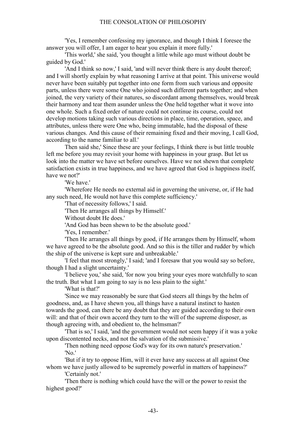'Yes, I remember confessing my ignorance, and though I think I foresee the answer you will offer, I am eager to hear you explain it more fully.'

'This world,' she said, 'you thought a little while ago must without doubt be guided by God.'

'And I think so now,' I said, 'and will never think there is any doubt thereof; and I will shortly explain by what reasoning I arrive at that point. This universe would never have been suitably put together into one form from such various and opposite parts, unless there were some One who joined such different parts together; and when joined, the very variety of their natures, so discordant among themselves, would break their harmony and tear them asunder unless the One held together what it wove into one whole. Such a fixed order of nature could not continue its course, could not develop motions taking such various directions in place, time, operation, space, and attributes, unless there were One who, being immutable, had the disposal of these various changes. And this cause of their remaining fixed and their moving, I call God, according to the name familiar to all.'

Then said she,' Since these are your feelings, I think there is but little trouble left me before you may revisit your home with happiness in your grasp. But let us look into the matter we have set before ourselves. Have we not shewn that complete satisfaction exists in true happiness, and we have agreed that God is happiness itself, have we not?'

'We have.'

'Wherefore He needs no external aid in governing the universe, or, if He had any such need, He would not have this complete sufficiency.'

'That of necessity follows,' I said.

'Then He arranges all things by Himself.'

Without doubt He does.'

'And God has been shewn to be the absolute good.'

'Yes, I remember.'

'Then He arranges all things by good, if He arranges them by Himself, whom we have agreed to be the absolute good. And so this is the tiller and rudder by which the ship of the universe is kept sure and unbreakable.'

'I feel that most strongly,' I said; 'and I foresaw that you would say so before, though I had a slight uncertainty.'

'I believe you,' she said, 'for now you bring your eyes more watchfully to scan the truth. But what I am going to say is no less plain to the sight.'

'What is that?'

'Since we may reasonably be sure that God steers all things by the helm of goodness, and, as I have shewn you, all things have a natural instinct to hasten towards the good, can there be any doubt that they are guided according to their own will: and that of their own accord they turn to the will of the supreme disposer, as though agreeing with, and obedient to, the helmsman?'

'That is so,' I said, 'and the government would not seem happy if it was a yoke upon discontented necks, and not the salvation of the submissive.'

'Then nothing need oppose God's way for its own nature's preservation.' 'No.'

'But if it try to oppose Him, will it ever have any success at all against One whom we have justly allowed to be supremely powerful in matters of happiness?'

'Certainly not.'

'Then there is nothing which could have the will or the power to resist the highest good?'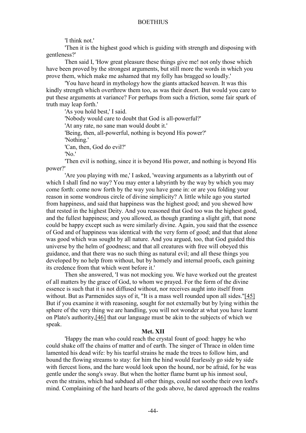'I think not.'

'Then it is the highest good which is guiding with strength and disposing with gentleness?'

Then said I, 'How great pleasure these things give me! not only those which have been proved by the strongest arguments, but still more the words in which you prove them, which make me ashamed that my folly has bragged so loudly.'

'You have heard in mythology how the giants attacked heaven. It was this kindly strength which overthrew them too, as was their desert. But would you care to put these arguments at variance? For perhaps from such a friction, some fair spark of truth may leap forth.'

'As you hold best,' I said.

'Nobody would care to doubt that God is all-powerful?'

'At any rate, no sane man would doubt it.'

'Being, then, all-powerful, nothing is beyond His power?'

'Nothing.'

'Can, then, God do evil?'

'No.'

'Then evil is nothing, since it is beyond His power, and nothing is beyond His power?'

'Are you playing with me,' I asked, 'weaving arguments as a labyrinth out of which I shall find no way? You may enter a labyrinth by the way by which you may come forth: come now forth by the way you have gone in: or are you folding your reason in some wondrous circle of divine simplicity? A little while ago you started from happiness, and said that happiness was the highest good; and you shewed how that rested in the highest Deity. And you reasoned that God too was the highest good, and the fullest happiness; and you allowed, as though granting a slight gift, that none could be happy except such as were similarly divine. Again, you said that the essence of God and of happiness was identical with the very form of good; and that that alone was good which was sought by all nature. And you argued, too, that God guided this universe by the helm of goodness; and that all creatures with free will obeyed this guidance, and that there was no such thing as natural evil; and all these things you developed by no help from without, but by homely and internal proofs, each gaining its credence from that which went before it.'

Then she answered, 'I was not mocking you. We have worked out the greatest of all matters by the grace of God, to whom we prayed. For the form of the divine essence is such that it is not diffused without, nor receives aught into itself from without. But as Parmenides says of it, "It is a mass well rounded upon all sides."[45] But if you examine it with reasoning, sought for not externally but by lying within the sphere of the very thing we are handling, you will not wonder at what you have learnt on Plato's authority,[46] that our language must be akin to the subjects of which we speak.

#### **Met. XII**

'Happy the man who could reach the crystal fount of good: happy he who could shake off the chains of matter and of earth. The singer of Thrace in olden time lamented his dead wife: by his tearful strains he made the trees to follow him, and bound the flowing streams to stay: for him the hind would fearlessly go side by side with fiercest lions, and the hare would look upon the hound, nor be afraid, for he was gentle under the song's sway. But when the hotter flame burnt up his inmost soul, even the strains, which had subdued all other things, could not soothe their own lord's mind. Complaining of the hard hearts of the gods above, he dared approach the realms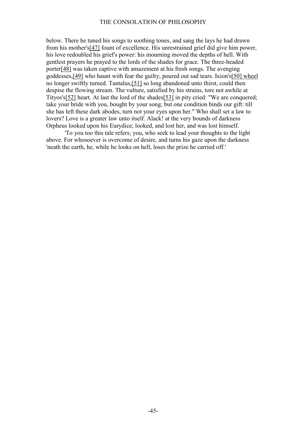below. There he tuned his songs to soothing tones, and sang the lays he had drawn from his mother's[47] fount of excellence. His unrestrained grief did give him power, his love redoubled his grief's power: his mourning moved the depths of hell. With gentlest prayers he prayed to the lords of the shades for grace. The three-headed porter[48] was taken captive with amazement at his fresh songs. The avenging goddesses,[49] who haunt with fear the guilty, poured out sad tears. Ixion's[50] wheel no longer swiftly turned. Tantalus,[51] so long abandoned unto thirst, could then despise the flowing stream. The vulture, satisfied by his strains, tore not awhile at Tityos's[52] heart. At last the lord of the shades[53] in pity cried: "We are conquered; take your bride with you, bought by your song; but one condition binds our gift: till she has left these dark abodes, turn not your eyes upon her." Who shall set a law to lovers? Love is a greater law unto itself. Alack! at the very bounds of darkness Orpheus looked upon his Eurydice; looked, and lost her, and was lost himself.

'To you too this tale refers; you, who seek to lead your thoughts to the light above. For whosoever is overcome of desire, and turns his gaze upon the darkness 'neath the earth, he, while he looks on hell, loses the prize he carried off.'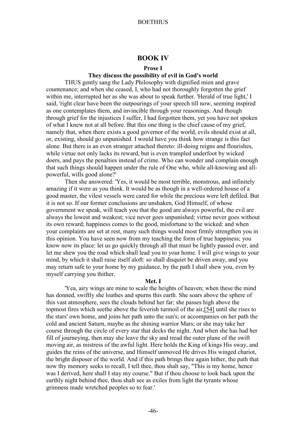#### **BOOK IV**

## **Prose I**

# **They discuss the possibility of evil in God's world**

THUS gently sang the Lady Philosophy with dignified mien and grave countenance; and when she ceased, I, who had not thoroughly forgotten the grief within me, interrupted her as she was about to speak further. 'Herald of true light,' I said, 'right clear have been the outpourings of your speech till now, seeming inspired as one contemplates them, and invincible through your reasonings. And though through grief for the injustices I suffer, I had forgotten them, yet you have not spoken of what I knew not at all before. But this one thing is the chief cause of my grief, namely that, when there exists a good governor of the world, evils should exist at all, or, existing, should go unpunished. I would have you think how strange is this fact alone. But there is an even stranger attached thereto: ill-doing reigns and flourishes, while virtue not only lacks its reward, but is even trampled underfoot by wicked doers, and pays the penalties instead of crime. Who can wonder and complain enough that such things should happen under the rule of One who, while all-knowing and allpowerful, wills good alone?'

Then she answered: 'Yes, it would be most terrible, monstrous, and infinitely amazing if it were as you think. It would be as though in a well-ordered house of a good master, the vilest vessels were cared for while the precious were left defiled. But it is not so. If our former conclusions are unshaken, God Himself, of whose government we speak, will teach you that the good are always powerful, the evil are always the lowest and weakest; vice never goes unpunished; virtue never goes without its own reward; happiness comes to the good, misfortune to the wicked: and when your complaints are set at rest, many such things would most firmly strengthen you in this opinion. You have seen now from my teaching the form of true happiness; you know now its place: let us go quickly through all that must be lightly passed over, and let me shew you the road which shall lead you to your home. I will give wings to your mind, by which it shall raise itself aloft: so shall disquiet be driven away, and you may return safe to your home by my guidance, by the path I shall shew you, even by myself carrying you thither.

#### **Met. I**

'Yea, airy wings are mine to scale the heights of heaven; when these the mind has donned, swiftly she loathes and spurns this earth. She soars above the sphere of this vast atmosphere, sees the clouds behind her far; she passes high above the topmost fires which seethe above the feverish turmoil of the air,[54] until she rises to the stars' own home, and joins her path unto the sun's; or accompanies on her path the cold and ancient Saturn, maybe as the shining warrior Mars; or she may take her course through the circle of every star that decks the night. And when she has had her fill of journeying, then may she leave the sky and tread the outer plane of the swift moving air, as mistress of the awful light. Here holds the King of kings His sway, and guides the reins of the universe, and Himself unmoved He drives His winged chariot, the bright disposer of the world. And if this path brings thee again hither, the path that now thy memory seeks to recall, I tell thee, thou shalt say, "This is my home, hence was I derived, here shall I stay my course." But if thou choose to look back upon the earthly night behind thee, thou shalt see as exiles from light the tyrants whose grimness made wretched peoples so to fear.'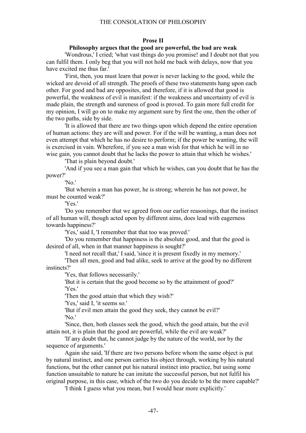# THE CONSOLATION OF PHILOSOPHY

## **Prose II**

## **Philosophy argues that the good are powerful, the bad are weak**

'Wondrous,' I cried; 'what vast things do you promise! and I doubt not that you can fulfil them. I only beg that you will not hold me back with delays, now that you have excited me thus far.'

'First, then, you must learn that power is never lacking to the good, while the wicked are devoid of all strength. The proofs of these two statements hang upon each other. For good and bad are opposites, and therefore, if it is allowed that good is powerful, the weakness of evil is manifest: if the weakness and uncertainty of evil is made plain, the strength and sureness of good is proved. To gain more full credit for my opinion, I will go on to make my argument sure by first the one, then the other of the two paths, side by side.

'It is allowed that there are two things upon which depend the entire operation of human actions: they are will and power. For if the will be wanting, a man does not even attempt that which he has no desire to perform; if the power be wanting, the will is exercised in vain. Wherefore, if you see a man wish for that which he will in no wise gain, you cannot doubt that he lacks the power to attain that which he wishes.'

'That is plain beyond doubt.'

'And if you see a man gain that which he wishes, can you doubt that he has the power?'

'No.'

'But wherein a man has power, he is strong; wherein he has not power, he must be counted weak?'

'Yes.'

'Do you remember that we agreed from our earlier reasonings, that the instinct of all human will, though acted upon by different aims, does lead with eagerness towards happiness?'

'Yes,' said I, 'I remember that that too was proved.'

'Do you remember that happiness is the absolute good, and that the good is desired of all, when in that manner happiness is sought?'

'I need not recall that,' I said, 'since it is present fixedly in my memory.'

'Then all men, good and bad alike, seek to arrive at the good by no different instincts?'

'Yes, that follows necessarily.'

'But it is certain that the good become so by the attainment of good?' 'Yes.'

'Then the good attain that which they wish?'

'Yes,' said I, 'it seems so.'

'But if evil men attain the good they seek, they cannot be evil?' 'No.'

'Since, then, both classes seek the good, which the good attain, but the evil attain not, it is plain that the good are powerful, while the evil are weak?'

'If any doubt that, he cannot judge by the nature of the world, nor by the sequence of arguments.'

Again she said, 'If there are two persons before whom the same object is put by natural instinct, and one person carries his object through, working by his natural functions, but the other cannot put his natural instinct into practice, but using some function unsuitable to nature he can imitate the successful person, but not fulfil his original purpose, in this case, which of the two do you decide to be the more capable?'

'I think I guess what you mean, but I would hear more explicitly.'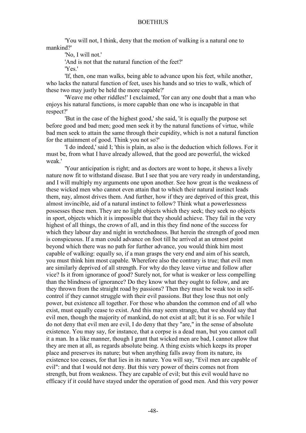'You will not, I think, deny that the motion of walking is a natural one to mankind?'

'No, I will not.'

'And is not that the natural function of the feet?'

'Yes.'

'If, then, one man walks, being able to advance upon his feet, while another, who lacks the natural function of feet, uses his hands and so tries to walk, which of these two may justly be held the more capable?'

'Weave me other riddles!' I exclaimed, 'for can any one doubt that a man who enjoys his natural functions, is more capable than one who is incapable in that respect?'

'But in the case of the highest good,' she said, 'it is equally the purpose set before good and bad men; good men seek it by the natural functions of virtue, while bad men seek to attain the same through their cupidity, which is not a natural function for the attainment of good. Think you not so?'

'I do indeed,' said I; 'this is plain, as also is the deduction which follows. For it must be, from what I have already allowed, that the good are powerful, the wicked weak.'

'Your anticipation is right; and as doctors are wont to hope, it shews a lively nature now fit to withstand disease. But I see that you are very ready in understanding, and I will multiply my arguments one upon another. See how great is the weakness of these wicked men who cannot even attain that to which their natural instinct leads them, nay, almost drives them. And further, how if they are deprived of this great, this almost invincible, aid of a natural instinct to follow? Think what a powerlessness possesses these men. They are no light objects which they seek; they seek no objects in sport, objects which it is impossible that they should achieve. They fail in the very highest of all things, the crown of all, and in this they find none of the success for which they labour day and night in wretchedness. But herein the strength of good men is conspicuous. If a man could advance on foot till he arrived at an utmost point beyond which there was no path for further advance, you would think him most capable of walking: equally so, if a man grasps the very end and aim of his search, you must think him most capable. Wherefore also the contrary is true; that evil men are similarly deprived of all strength. For why do they leave virtue and follow after vice? Is it from ignorance of good? Surely not, for what is weaker or less compelling than the blindness of ignorance? Do they know what they ought to follow, and are they thrown from the straight road by passions? Then they must be weak too in selfcontrol if they cannot struggle with their evil passions. But they lose thus not only power, but existence all together. For those who abandon the common end of all who exist, must equally cease to exist. And this may seem strange, that we should say that evil men, though the majority of mankind, do not exist at all; but it is so. For while I do not deny that evil men are evil, I do deny that they "are," in the sense of absolute existence. You may say, for instance, that a corpse is a dead man, but you cannot call it a man. In a like manner, though I grant that wicked men are bad, I cannot allow that they are men at all, as regards absolute being. A thing exists which keeps its proper place and preserves its nature; but when anything falls away from its nature, its existence too ceases, for that lies in its nature. You will say, "Evil men are capable of evil": and that I would not deny. But this very power of theirs comes not from strength, but from weakness. They are capable of evil; but this evil would have no efficacy if it could have stayed under the operation of good men. And this very power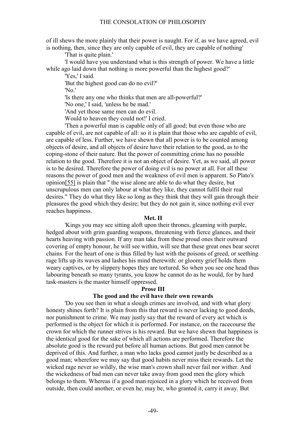of ill shews the more plainly that their power is naught. For if, as we have agreed, evil is nothing, then, since they are only capable of evil, they are capable of nothing'

'That is quite plain.'

'I would have you understand what is this strength of power. We have a little while ago laid down that nothing is more powerful than the highest good?'

'Yes,' I said.

'But the highest good can do no evil?'

'No.'

'Is there any one who thinks that men are all-powerful?'

'No one,' I said, 'unless he be mad.'

'And yet those same men can do evil.

Would to heaven they could not!' I cried.

'Then a powerful man is capable only of all good; but even those who are capable of evil, are not capable of all: so it is plain that those who are capable of evil, are capable of less. Further, we have shewn that all power is to be counted among objects of desire, and all objects of desire have their relation to the good, as to the coping-stone of their nature. But the power of committing crime has no possible relation to the good. Therefore it is not an object of desire. Yet, as we said, all power is to be desired. Therefore the power of doing evil is no power at all. For all these reasons the power of good men and the weakness of evil men is apparent. So Plato's opinion[55] is plain that " the wise alone are able to do what they desire, but unscrupulous men can only labour at what they like, they cannot fulfil their real desires." They do what they like so long as they think that they will gain through their pleasures the good which they desire; but they do not gain it, since nothing evil ever reaches happiness.

## **Met. II**

'Kings you may see sitting aloft upon their thrones, gleaming with purple, hedged about with grim guarding weapons, threatening with fierce glances, and their hearts heaving with passion. If any man take from these proud ones their outward covering of empty honour, he will see within, will see that these great ones bear secret chains. For the heart of one is thus filled by lust with the poisons of greed, or seething rage lifts up its waves and lashes his mind therewith: or gloomy grief holds them weary captives, or by slippery hopes they are tortured. So when you see one head thus labouring beneath so many tyrants, you know he cannot do as he would, for by hard task-masters is the master himself oppressed.

#### **Prose III**

# **The good and the evil have their own rewards**

'Do you see then in what a slough crimes are involved, and with what glory honesty shines forth? It is plain from this that reward is never lacking to good deeds, nor punishment to crime. We may justly say that the reward of every act which is performed is the object for which it is performed. For instance, on the racecourse the crown for which the runner strives is his reward. But we have shewn that happiness is the identical good for the sake of which all actions are performed. Therefore the absolute good is the reward put before all human actions. But good men cannot be deprived of this. And further, a man who lacks good cannot justly be described as a good man; wherefore we may say that good habits never miss their rewards. Let the wicked rage never so wildly, the wise man's crown shall never fail nor wither. And the wickedness of bad men can never take away from good men the glory which belongs to them. Whereas if a good man rejoiced in a glory which he received from outside, then could another, or even he, may be, who granted it, carry it away. But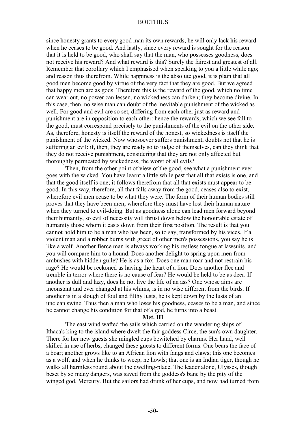since honesty grants to every good man its own rewards, he will only lack his reward when he ceases to be good. And lastly, since every reward is sought for the reason that it is held to be good, who shall say that the man, who possesses goodness, does not receive his reward? And what reward is this? Surely the fairest and greatest of all. Remember that corollary which I emphasised when speaking to you a little while ago; and reason thus therefrom. While happiness is the absolute good, it is plain that all good men become good by virtue of the very fact that they are good. But we agreed that happy men are as gods. Therefore this is the reward of the good, which no time can wear out, no power can lessen, no wickedness can darken; they become divine. In this case, then, no wise man can doubt of the inevitable punishment of the wicked as well. For good and evil are so set, differing from each other just as reward and punishment are in opposition to each other: hence the rewards, which we see fall to the good, must correspond precisely to the punishments of the evil on the other side. As, therefore, honesty is itself the reward of the honest, so wickedness is itself the punishment of the wicked. Now whosoever suffers punishment, doubts not that he is suffering an evil: if, then, they are ready so to judge of themselves, can they think that they do not receive punishment, considering that they are not only affected but thoroughly permeated by wickedness, the worst of all evils?

'Then, from the other point of view of the good, see what a punishment ever goes with the wicked. You have learnt a little while past that all that exists is one, and that the good itself is one; it follows therefrom that all that exists must appear to be good. In this way, therefore, all that falls away from the good, ceases also to exist, wherefore evil men cease to be what they were. The form of their human bodies still proves that they have been men; wherefore they must have lost their human nature when they turned to evil-doing. But as goodness alone can lead men forward beyond their humanity, so evil of necessity will thrust down below the honourable estate of humanity those whom it casts down from their first position. The result is that you cannot hold him to be a man who has been, so to say, transformed by his vices. If a violent man and a robber burns with greed of other men's possessions, you say he is like a wolf. Another fierce man is always working his restless tongue at lawsuits, and you will compare him to a hound. Does another delight to spring upon men from ambushes with hidden guile? He is as a fox. Does one man roar and not restrain his rage? He would be reckoned as having the heart of a lion. Does another flee and tremble in terror where there is no cause of fear? He would be held to be as deer. If another is dull and lazy, does he not live the life of an ass? One whose aims are inconstant and ever changed at his whims, is in no wise different from the birds. If another is in a slough of foul and filthy lusts, he is kept down by the lusts of an unclean swine. Thus then a man who loses his goodness, ceases to be a man, and since he cannot change his condition for that of a god, he turns into a beast.

#### **Met. III**

'The east wind wafted the sails which carried on the wandering ships of Ithaca's king to the island where dwelt the fair goddess Circe, the sun's own daughter. There for her new guests she mingled cups bewitched by charms. Her hand, well skilled in use of herbs, changed these guests to different forms. One bears the face of a boar; another grows like to an African lion with fangs and claws; this one becomes as a wolf, and when he thinks to weep, he howls; that one is an Indian tiger, though he walks all harmless round about the dwelling-place. The leader alone, Ulysses, though beset by so many dangers, was saved from the goddess's bane by the pity of the winged god, Mercury. But the sailors had drunk of her cups, and now had turned from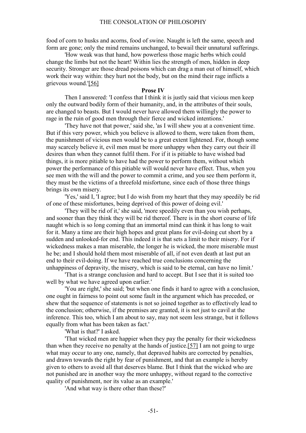food of corn to husks and acorns, food of swine. Naught is left the same, speech and form are gone; only the mind remains unchanged, to bewail their unnatural sufferings.

'How weak was that hand, how powerless those magic herbs which could change the limbs but not the heart! Within lies the strength of men, hidden in deep security. Stronger are those dread poisons which can drag a man out of himself, which work their way within: they hurt not the body, but on the mind their rage inflicts a grievous wound.'[56]

#### **Prose IV**

Then I answered: 'I confess that I think it is justly said that vicious men keep only the outward bodily form of their humanity, and, in the attributes of their souls, are changed to beasts. But I would never have allowed them willingly the power to rage in the ruin of good men through their fierce and wicked intentions.'

'They have not that power,' said she, 'as I will shew you at a convenient time. But if this very power, which you believe is allowed to them, were taken from them, the punishment of vicious men would be to a great extent lightened. For, though some may scarcely believe it, evil men must be more unhappy when they carry out their ill desires than when they cannot fulfil them. For if it is pitiable to have wished bad things, it is more pitiable to have had the power to perform them, without which power the performance of this pitiable will would never have effect. Thus, when you see men with the will and the power to commit a crime, and you see them perform it, they must be the victims of a threefold misfortune, since each of those three things brings its own misery.

'Yes,' said I, 'I agree; but I do wish from my heart that they may speedily be rid of one of these misfortunes, being deprived of this power of doing evil.'

'They will be rid of it,' she said, 'more speedily even than you wish perhaps, and sooner than they think they will be rid thereof. There is in the short course of life naught which is so long coming that an immortal mind can think it has long to wait for it. Many a time are their high hopes and great plans for evil-doing cut short by a sudden and unlooked-for end. This indeed it is that sets a limit to their misery. For if wickedness makes a man miserable, the longer he is wicked, the more miserable must he be; and I should hold them most miserable of all, if not even death at last put an end to their evil-doing. If we have reached true conclusions concerning the unhappiness of depravity, the misery, which is said to be eternal, can have no limit.'

'That is a strange conclusion and hard to accept. But I see that it is suited too well by what we have agreed upon earlier.'

'You are right,' she said; 'but when one finds it hard to agree with a conclusion, one ought in fairness to point out some fault in the argument which has preceded, or shew that the sequence of statements is not so joined together as to effectively lead to the conclusion; otherwise, if the premises are granted, it is not just to cavil at the inference. This too, which I am about to say, may not seem less strange, but it follows equally from what has been taken as fact.'

'What is that?' I asked.

'That wicked men are happier when they pay the penalty for their wickedness than when they receive no penalty at the hands of justice.[57] I am not going to urge what may occur to any one, namely, that deprayed habits are corrected by penalties, and drawn towards the right by fear of punishment, and that an example is hereby given to others to avoid all that deserves blame. But I think that the wicked who are not punished are in another way the more unhappy, without regard to the corrective quality of punishment, nor its value as an example.'

'And what way is there other than these?'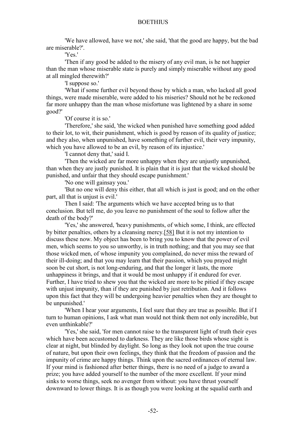'We have allowed, have we not,' she said, 'that the good are happy, but the bad are miserable?'.

'Yes.'

'Then if any good be added to the misery of any evil man, is he not happier than the man whose miserable state is purely and simply miserable without any good at all mingled therewith?'

'I suppose so.'

'What if some further evil beyond those by which a man, who lacked all good things, were made miserable, were added to his miseries? Should not he be reckoned far more unhappy than the man whose misfortune was lightened by a share in some good?'

'Of course it is so.'

'Therefore,' she said, 'the wicked when punished have something good added to their lot, to wit, their punishment, which is good by reason of its quality of justice; and they also, when unpunished, have something of further evil, their very impunity, which you have allowed to be an evil, by reason of its injustice.'

'I cannot deny that,' said I.

'Then the wicked are far more unhappy when they are unjustly unpunished, than when they are justly punished. It is plain that it is just that the wicked should be punished, and unfair that they should escape punishment.'

'No one will gainsay you.'

'But no one will deny this either, that all which is just is good; and on the other part, all that is unjust is evil.'

Then I said: 'The arguments which we have accepted bring us to that conclusion. But tell me, do you leave no punishment of the soul to follow after the death of the body?'

'Yes,' she answered, 'heavy punishments, of which some, I think, are effected by bitter penalties, others by a cleansing mercy.[58] But it is not my intention to discuss these now. My object has been to bring you to know that the power of evil men, which seems to you so unworthy, is in truth nothing; and that you may see that those wicked men, of whose impunity you complained, do never miss the reward of their ill-doing; and that you may learn that their passion, which you prayed might soon be cut short, is not long-enduring, and that the longer it lasts, the more unhappiness it brings, and that it would be most unhappy if it endured for ever. Further, I have tried to shew you that the wicked are more to be pitied if they escape with unjust impunity, than if they are punished by just retribution. And it follows upon this fact that they will be undergoing heavier penalties when they are thought to be unpunished.'

'When I hear your arguments, I feel sure that they are true as possible. But if I turn to human opinions, I ask what man would not think them not only incredible, but even unthinkable?'

'Yes,' she said, 'for men cannot raise to the transparent light of truth their eyes which have been accustomed to darkness. They are like those birds whose sight is clear at night, but blinded by daylight. So long as they look not upon the true course of nature, but upon their own feelings, they think that the freedom of passion and the impunity of crime are happy things. Think upon the sacred ordinances of eternal law. If your mind is fashioned after better things, there is no need of a judge to award a prize; you have added yourself to the number of the more excellent. If your mind sinks to worse things, seek no avenger from without: you have thrust yourself downward to lower things. It is as though you were looking at the squalid earth and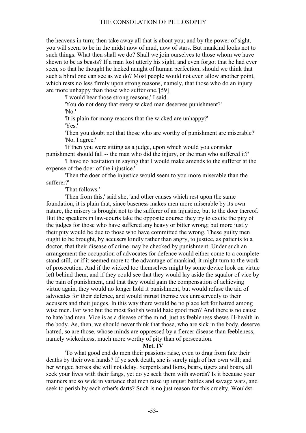## THE CONSOLATION OF PHILOSOPHY

the heavens in turn; then take away all that is about you; and by the power of sight, you will seem to be in the midst now of mud, now of stars. But mankind looks not to such things. What then shall we do? Shall we join ourselves to those whom we have shewn to be as beasts? If a man lost utterly his sight, and even forgot that he had ever seen, so that he thought he lacked naught of human perfection, should we think that such a blind one can see as we do? Most people would not even allow another point, which rests no less firmly upon strong reasons, namely, that those who do an injury are more unhappy than those who suffer one.'[59]

'I would hear those strong reasons,' I said.

'You do not deny that every wicked man deserves punishment?' 'No.'

'It is plain for many reasons that the wicked are unhappy?' 'Yes.'

'Then you doubt not that those who are worthy of punishment are miserable?' 'No, I agree.'

'If then you were sitting as a judge, upon which would you consider punishment should fall -- the man who did the injury, or the man who suffered it?'

'I have no hesitation in saying that I would make amends to the sufferer at the expense of the doer of the injustice.'

'Then the doer of the injustice would seem to you more miserable than the sufferer?'

'That follows.'

'Then from this,' said she, 'and other causes which rest upon the same foundation, it is plain that, since baseness makes men more miserable by its own nature, the misery is brought not to the sufferer of an injustice, but to the doer thereof. But the speakers in law-courts take the opposite course: they try to excite the pity of the judges for those who have suffered any heavy or bitter wrong; but more justly their pity would be due to those who have committed the wrong. These guilty men ought to be brought, by accusers kindly rather than angry, to justice, as patients to a doctor, that their disease of crime may be checked by punishment. Under such an arrangement the occupation of advocates for defence would either come to a complete stand-still, or if it seemed more to the advantage of mankind, it might turn to the work of prosecution. And if the wicked too themselves might by some device look on virtue left behind them, and if they could see that they would lay aside the squalor of vice by the pain of punishment, and that they would gain the compensation of achieving virtue again, they would no longer hold it punishment, but would refuse the aid of advocates for their defence, and would intrust themselves unreservedly to their accusers and their judges. In this way there would be no place left for hatred among wise men. For who but the most foolish would hate good men? And there is no cause to hate bad men. Vice is as a disease of the mind, just as feebleness shews ill-health in the body. As, then, we should never think that those, who are sick in the body, deserve hatred, so are those, whose minds are oppressed by a fiercer disease than feebleness, namely wickedness, much more worthy of pity than of persecution.

#### **Met. IV**

'To what good end do men their passions raise, even to drag from fate their deaths by their own hands? If ye seek death, she is surely nigh of her own will; and her winged horses she will not delay. Serpents and lions, bears, tigers and boars, all seek your lives with their fangs, yet do ye seek them with swords? Is it because your manners are so wide in variance that men raise up unjust battles and savage wars, and seek to perish by each other's darts? Such is no just reason for this cruelty. Wouldst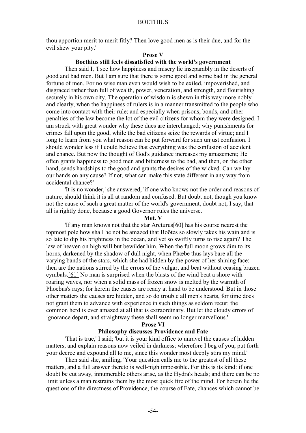thou apportion merit to merit fitly? Then love good men as is their due, and for the evil shew your pity.'

# **Prose V**

# **Boethius still feels dissatisfied with the world's government**

Then said I, 'I see how happiness and misery lie inseparably in the deserts of good and bad men. But I am sure that there is some good and some bad in the general fortune of men. For no wise man even would wish to be exiled, impoverished, and disgraced rather than full of wealth, power, veneration, and strength, and flourishing securely in his own city. The operation of wisdom is shewn in this way more nobly and clearly, when the happiness of rulers is in a manner transmitted to the people who come into contact with their rule; and especially when prisons, bonds, and other penalties of the law become the lot of the evil citizens for whom they were designed. I am struck with great wonder why these dues are interchanged; why punishments for crimes fall upon the good, while the bad citizens seize the rewards of virtue; and I long to learn from you what reason can be put forward for such unjust confusion. I should wonder less if I could believe that everything was the confusion of accident and chance. But now the thought of God's guidance increases my amazement; He often grants happiness to good men and bitterness to the bad, and then, on the other hand, sends hardships to the good and grants the desires of the wicked. Can we lay our hands on any cause? If not, what can make this state different in any way from accidental chance?'

'It is no wonder,' she answered, 'if one who knows not the order and reasons of nature, should think it is all at random and confused. But doubt not, though you know not the cause of such a great matter of the world's government, doubt not, I say, that all is rightly done, because a good Governor rules the universe.

#### **Met. V**

'If any man knows not that the star Arcturus[60] has his course nearest the topmost pole how shall he not be amazed that Boötes so slowly takes his wain and is so late to dip his brightness in the ocean, and yet so swiftly turns to rise again? The law of heaven on high will but bewilder him. When the full moon grows dim to its horns, darkened by the shadow of dull night, when Phœbe thus lays bare all the varying bands of the stars, which she had hidden by the power of her shining face: then are the nations stirred by the errors of the vulgar, and beat without ceasing brazen cymbals.[61] No man is surprised when the blasts of the wind beat a shore with roaring waves, nor when a solid mass of frozen snow is melted by the warmth of Phoebus's rays; for herein the causes are ready at hand to be understood. But in those other matters the causes are hidden, and so do trouble all men's hearts, for time does not grant them to advance with experience in such things as seldom recur: the common herd is ever amazed at all that is extraordinary. But let the cloudy errors of ignorance depart, and straightway these shall seem no longer marvellous.'

#### **Prose VI**

## **Philosophy discusses Providence and Fate**

'That is true,' I said; 'but it is your kind office to unravel the causes of hidden matters, and explain reasons now veiled in darkness; wherefore I beg of you, put forth your decree and expound all to me, since this wonder most deeply stirs my mind.'

Then said she, smiling, 'Your question calls me to the greatest of all these matters, and a full answer thereto is well-nigh impossible. For this is its kind: if one doubt be cut away, innumerable others arise, as the Hydra's heads; and there can be no limit unless a man restrains them by the most quick fire of the mind. For herein lie the questions of the directness of Providence, the course of Fate, chances which cannot be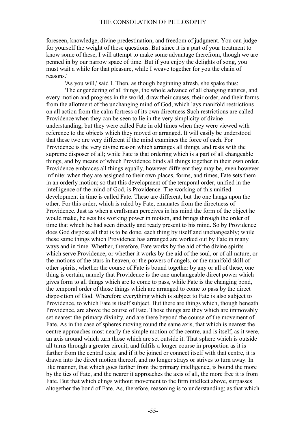foreseen, knowledge, divine predestination, and freedom of judgment. You can judge for yourself the weight of these questions. But since it is a part of your treatment to know some of these, I will attempt to make some advantage therefrom, though we are penned in by our narrow space of time. But if you enjoy the delights of song, you must wait a while for that pleasure, while I weave together for you the chain of reasons.'

'As you will,' said I. Then, as though beginning afresh, she spake thus:

'The engendering of all things, the whole advance of all changing natures, and every motion and progress in the world, draw their causes, their order, and their forms from the allotment of the unchanging mind of God, which lays manifold restrictions on all action from the calm fortress of its own directness Such restrictions are called Providence when they can be seen to lie in the very simplicity of divine understanding; but they were called Fate in old times when they were viewed with reference to the objects which they moved or arranged. It will easily be understood that these two are very different if the mind examines the force of each. For Providence is the very divine reason which arranges all things, and rests with the supreme disposer of all; while Fate is that ordering which is a part of all changeable things, and by means of which Providence binds all things together in their own order. Providence embraces all things equally, however different they may be, even however infinite: when they are assigned to their own places, forms, and times, Fate sets them in an orderly motion; so that this development of the temporal order, unified in the intelligence of the mind of God, is Providence. The working of this unified development in time is called Fate. These are different, but the one hangs upon the other. For this order, which is ruled by Fate, emanates from the directness of Providence. Just as when a craftsman perceives in his mind the form of the object he would make, he sets his working power in motion, and brings through the order of time that which he had seen directly and ready present to his mind. So by Providence does God dispose all that is to be done, each thing by itself and unchangeably; while these same things which Providence has arranged are worked out by Fate in many ways and in time. Whether, therefore, Fate works by the aid of the divine spirits which serve Providence, or whether it works by the aid of the soul, or of all nature, or the motions of the stars in heaven, or the powers of angels, or the manifold skill of other spirits, whether the course of Fate is bound together by any or all of these, one thing is certain, namely that Providence is the one unchangeable direct power which gives form to all things which are to come to pass, while Fate is the changing bond, the temporal order of those things which are arranged to come to pass by the direct disposition of God. Wherefore everything which is subject to Fate is also subject to Providence, to which Fate is itself subject. But there are things which, though beneath Providence, are above the course of Fate. Those things are they which are immovably set nearest the primary divinity, and are there beyond the course of the movement of Fate. As in the case of spheres moving round the same axis, that which is nearest the centre approaches most nearly the simple motion of the centre, and is itself, as it were, an axis around which turn those which are set outside it. That sphere which is outside all turns through a greater circuit, and fulfils a longer course in proportion as it is farther from the central axis; and if it be joined or connect itself with that centre, it is drawn into the direct motion thereof, and no longer strays or strives to turn away. In like manner, that which goes farther from the primary intelligence, is bound the more by the ties of Fate, and the nearer it approaches the axis of all, the more free it is from Fate. But that which clings without movement to the firm intellect above, surpasses altogether the bond of Fate. As, therefore, reasoning is to understanding; as that which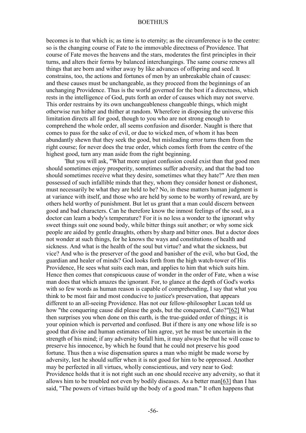becomes is to that which is; as time is to eternity; as the circumference is to the centre: so is the changing course of Fate to the immovable directness of Providence. That course of Fate moves the heavens and the stars, moderates the first principles in their turns, and alters their forms by balanced interchangings. The same course renews all things that are born and wither away by like advances of offspring and seed. It constrains, too, the actions and fortunes of men by an unbreakable chain of causes: and these causes must be unchangeable, as they proceed from the beginnings of an unchanging Providence. Thus is the world governed for the best if a directness, which rests in the intelligence of God, puts forth an order of causes which may not swerve. This order restrains by its own unchangeableness changeable things, which might otherwise run hither and thither at random. Wherefore in disposing the universe this limitation directs all for good, though to you who are not strong enough to comprehend the whole order, all seems confusion and disorder. Naught is there that comes to pass for the sake of evil, or due to wicked men, of whom it has been abundantly shewn that they seek the good, but misleading error turns them from the right course; for never does the true order, which comes forth from the centre of the highest good, turn any man aside from the right beginning.

'But you will ask, "What more unjust confusion could exist than that good men should sometimes enjoy prosperity, sometimes suffer adversity, and that the bad too should sometimes receive what they desire, sometimes what they hate?" Are then men possessed of such infallible minds that they, whom they consider honest or dishonest, must necessarily be what they are held to be? No, in these matters human judgment is at variance with itself, and those who are held by some to be worthy of reward, are by others held worthy of punishment. But let us grant that a man could discern between good and bad characters. Can he therefore know the inmost feelings of the soul, as a doctor can learn a body's temperature? For it is no less a wonder to the ignorant why sweet things suit one sound body, while bitter things suit another; or why some sick people are aided by gentle draughts, others by sharp and bitter ones. But a doctor does not wonder at such things, for he knows the ways and constitutions of health and sickness. And what is the health of the soul but virtue? and what the sickness, but vice? And who is the preserver of the good and banisher of the evil, who but God, the guardian and healer of minds? God looks forth from the high watch-tower of His Providence, He sees what suits each man, and applies to him that which suits him. Hence then comes that conspicuous cause of wonder in the order of Fate, when a wise man does that which amazes the ignorant. For, to glance at the depth of God's works with so few words as human reason is capable of comprehending, I say that what you think to be most fair and most conducive to justice's preservation, that appears different to an all-seeing Providence. Has not our fellow-philosopher Lucan told us how "the conquering cause did please the gods, but the conquered, Cato?"[62] What then surprises you when done on this earth, is the true-guided order of things; it is your opinion which is perverted and confused. But if there is any one whose life is so good that divine and human estimates of him agree, yet he must be uncertain in the strength of his mind; if any adversity befall him, it may always be that he will cease to preserve his innocence, by which he found that he could not preserve his good fortune. Thus then a wise dispensation spares a man who might be made worse by adversity, lest he should suffer when it is not good for him to be oppressed. Another may be perfected in all virtues, wholly conscientious, and very near to God: Providence holds that it is not right such an one should receive any adversity, so that it allows him to be troubled not even by bodily diseases. As a better man[63] than I has said, "The powers of virtues build up the body of a good man." It often happens that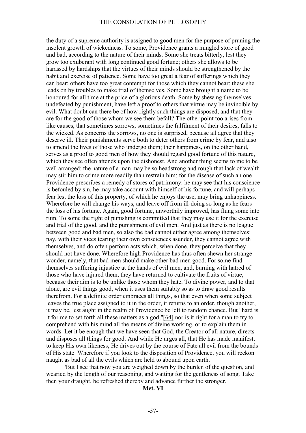#### THE CONSOLATION OF PHILOSOPHY

the duty of a supreme authority is assigned to good men for the purpose of pruning the insolent growth of wickedness. To some, Providence grants a mingled store of good and bad, according to the nature of their minds. Some she treats bitterly, lest they grow too exuberant with long continued good fortune; others she allows to be harassed by hardships that the virtues of their minds should be strengthened by the habit and exercise of patience. Some have too great a fear of sufferings which they can bear; others have too great contempt for those which they cannot bear: these she leads on by troubles to make trial of themselves. Some have brought a name to be honoured for all time at the price of a glorious death. Some by shewing themselves undefeated by punishment, have left a proof to others that virtue may be invincible by evil. What doubt can there be of how rightly such things are disposed, and that they are for the good of those whom we see them befall? The other point too arises from like causes, that sometimes sorrows, sometimes the fulfilment of their desires, falls to the wicked. As concerns the sorrows, no one is surprised, because all agree that they deserve ill. Their punishments serve both to deter others from crime by fear, and also to amend the lives of those who undergo them; their happiness, on the other hand, serves as a proof to good men of how they should regard good fortune of this nature, which they see often attends upon the dishonest. And another thing seems to me to be well arranged: the nature of a man may be so headstrong and rough that lack of wealth may stir him to crime more readily than restrain him; for the disease of such an one Providence prescribes a remedy of stores of patrimony: he may see that his conscience is befouled by sin, he may take account with himself of his fortune, and will perhaps fear lest the loss of this property, of which he enjoys the use, may bring unhappiness. Wherefore he will change his ways, and leave off from ill-doing so long as he fears the loss of his fortune. Again, good fortune, unworthily improved, has flung some into ruin. To some the right of punishing is committed that they may use it for the exercise and trial of the good, and the punishment of evil men. And just as there is no league between good and bad men, so also the bad cannot either agree among themselves: nay, with their vices tearing their own consciences asunder, they cannot agree with themselves, and do often perform acts which, when done, they perceive that they should not have done. Wherefore high Providence has thus often shewn her strange wonder, namely, that bad men should make other bad men good. For some find themselves suffering injustice at the hands of evil men, and, burning with hatred of those who have injured them, they have returned to cultivate the fruits of virtue, because their aim is to be unlike those whom they hate. To divine power, and to that alone, are evil things good, when it uses them suitably so as to draw good results therefrom. For a definite order embraces all things, so that even when some subject leaves the true place assigned to it in the order, it returns to an order, though another, it may be, lest aught in the realm of Providence be left to random chance. But "hard is it for me to set forth all these matters as a god,"[64] nor is it right for a man to try to comprehend with his mind all the means of divine working, or to explain them in words. Let it be enough that we have seen that God, the Creator of all nature, directs and disposes all things for good. And while He urges all, that He has made manifest, to keep His own likeness, He drives out by the course of Fate all evil from the bounds of His state. Wherefore if you look to the disposition of Providence, you will reckon naught as bad of all the evils which are held to abound upon earth.

'But I see that now you are weighed down by the burden of the question, and wearied by the length of our reasoning, and waiting for the gentleness of song. Take then your draught, be refreshed thereby and advance further the stronger.

#### **Met. VI**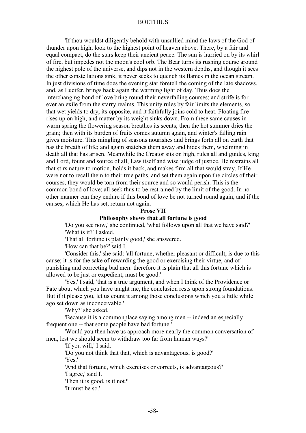'If thou wouldst diligently behold with unsullied mind the laws of the God of thunder upon high, look to the highest point of heaven above. There, by a fair and equal compact, do the stars keep their ancient peace. The sun is hurried on by its whirl of fire, but impedes not the moon's cool orb. The Bear turns its rushing course around the highest pole of the universe, and dips not in the western depths, and though it sees the other constellations sink, it never seeks to quench its flames in the ocean stream. In just divisions of time does the evening star foretell the coming of the late shadows, and, as Lucifer, brings back again the warming light of day. Thus does the interchanging bond of love bring round their neverfailing courses; and strife is for ever an exile from the starry realms. This unity rules by fair limits the elements, so that wet yields to dry, its opposite, and it faithfully joins cold to heat. Floating fire rises up on high, and matter by its weight sinks down. From these same causes in warm spring the flowering season breathes its scents; then the hot summer dries the grain; then with its burden of fruits comes autumn again, and winter's falling rain gives moisture. This mingling of seasons nourishes and brings forth all on earth that has the breath of life; and again snatches them away and hides them, whelming in death all that has arisen. Meanwhile the Creator sits on high, rules all and guides, king and Lord, fount and source of all, Law itself and wise judge of justice. He restrains all that stirs nature to motion, holds it back, and makes firm all that would stray. If He were not to recall them to their true paths, and set them again upon the circles of their courses, they would be torn from their source and so would perish. This is the common bond of love; all seek thus to be restrained by the limit of the good. In no other manner can they endure if this bond of love be not turned round again, and if the causes, which He has set, return not again.

#### **Prose VII**

# **Philosophy shews that all fortune is good**

'Do you see now,' she continued, 'what follows upon all that we have said?' 'What is it?' I asked.

'That all fortune is plainly good,' she answered.

'How can that be?' said I.

'Consider this,' she said: 'all fortune, whether pleasant or difficult, is due to this cause; it is for the sake of rewarding the good or exercising their virtue, and of punishing and correcting bad men: therefore it is plain that all this fortune which is allowed to be just or expedient, must be good.'

'Yes,' I said, 'that is a true argument, and when I think of the Providence or Fate about which you have taught me, the conclusion rests upon strong foundations. But if it please you, let us count it among those conclusions which you a little while ago set down as inconceivable.'

'Why?' she asked.

'Because it is a commonplace saying among men -- indeed an especially frequent one -- that some people have bad fortune.'

'Would you then have us approach more nearly the common conversation of men, lest we should seem to withdraw too far from human ways?'

'If you will,' I said.

'Do you not think that that, which is advantageous, is good?' 'Yes.'

'And that fortune, which exercises or corrects, is advantageous?' 'I agree,' said I.

'Then it is good, is it not?'

'It must be so.'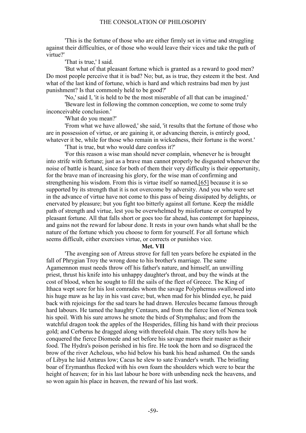## THE CONSOLATION OF PHILOSOPHY

'This is the fortune of those who are either firmly set in virtue and struggling against their difficulties, or of those who would leave their vices and take the path of virtue?'

'That is true,' I said.

'But what of that pleasant fortune which is granted as a reward to good men? Do most people perceive that it is bad? No; but, as is true, they esteem it the best. And what of the last kind of fortune, which is hard and which restrains bad men by just punishment? Is that commonly held to be good?'

'No,' said I, 'it is held to be the most miserable of all that can be imagined.' 'Beware lest in following the common conception, we come to some truly inconceivable conclusion.'

'What do you mean?'

'From what we have allowed,' she said, 'it results that the fortune of those who are in possession of virtue, or are gaining it, or advancing therein, is entirely good, whatever it be, while for those who remain in wickedness, their fortune is the worst.'

'That is true, but who would dare confess it?'

'For this reason a wise man should never complain, whenever he is brought into strife with fortune; just as a brave man cannot properly be disgusted whenever the noise of battle is heard, since for both of them their very difficulty is their opportunity, for the brave man of increasing his glory, for the wise man of confirming and strengthening his wisdom. From this is virtue itself so named,[65] because it is so supported by its strength that it is not overcome by adversity. And you who were set in the advance of virtue have not come to this pass of being dissipated by delights, or enervated by pleasure; but you fight too bitterly against all fortune. Keep the middle path of strength and virtue, lest you be overwhelmed by misfortune or corrupted by pleasant fortune. All that falls short or goes too far ahead, has contempt for happiness, and gains not the reward for labour done. It rests in your own hands what shall be the nature of the fortune which you choose to form for yourself. For all fortune which seems difficult, either exercises virtue, or corrects or punishes vice.

#### **Met. VII**

'The avenging son of Atreus strove for full ten years before he expiated in the fall of Phrygian Troy the wrong done to his brother's marriage. The same Agamemnon must needs throw off his father's nature, and himself, an unwilling priest, thrust his knife into his unhappy daughter's throat, and buy the winds at the cost of blood, when he sought to fill the sails of the fleet of Greece. The King of Ithaca wept sore for his lost comrades whom the savage Polyphemus swallowed into his huge maw as he lay in his vast cave; but, when mad for his blinded eye, he paid back with rejoicings for the sad tears he had drawn. Hercules became famous through hard labours. He tamed the haughty Centaurs, and from the fierce lion of Nemea took his spoil. With his sure arrows he smote the birds of Stymphalus; and from the watchful dragon took the apples of the Hesperides, filling his hand with their precious gold; and Cerberus he dragged along with threefold chain. The story tells how he conquered the fierce Diomede and set before his savage mares their master as their food. The Hydra's poison perished in his fire. He took the horn and so disgraced the brow of the river Achelous, who hid below his bank his head ashamed. On the sands of Libya he laid Antæus low; Cacus he slew to sate Evander's wrath. The bristling boar of Erymanthus flecked with his own foam the shoulders which were to bear the height of heaven; for in his last labour he bore with unbending neck the heavens, and so won again his place in heaven, the reward of his last work.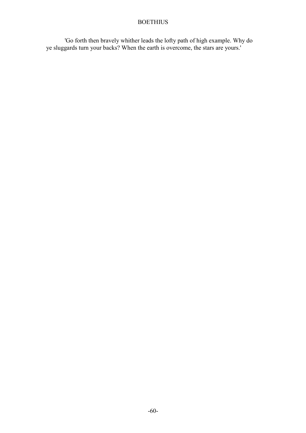'Go forth then bravely whither leads the lofty path of high example. Why do ye sluggards turn your backs? When the earth is overcome, the stars are yours.'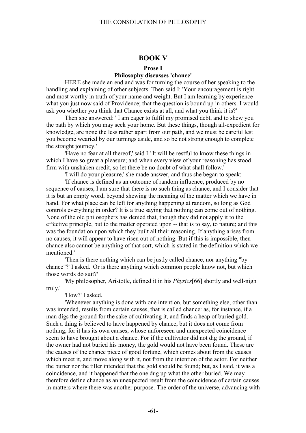## **BOOK V**

### **Prose I**

#### **Philosophy discusses 'chance'**

HERE she made an end and was for turning the course of her speaking to the handling and explaining of other subjects. Then said I: 'Your encouragement is right and most worthy in truth of your name and weight. But I am learning by experience what you just now said of Providence; that the question is bound up in others. I would ask you whether you think that Chance exists at all, and what you think it is?'

Then she answered: ' I am eager to fulfil my promised debt, and to shew you the path by which you may seek your home. But these things, though all-expedient for knowledge, are none the less rather apart from our path, and we must be careful lest you become wearied by our turnings aside, and so be not strong enough to complete the straight journey.'

'Have no fear at all thereof,' said I.' It will be restful to know these things in which I have so great a pleasure; and when every view of your reasoning has stood firm with unshaken credit, so let there be no doubt of what shall follow.'

'I will do your pleasure,' she made answer, and thus she began to speak:

'If chance is defined as an outcome of random influence, produced by no sequence of causes, I am sure that there is no such thing as chance, and I consider that it is but an empty word, beyond shewing the meaning of the matter which we have in hand. For what place can be left for anything happening at random, so long as God controls everything in order? It is a true saying that nothing can come out of nothing. None of the old philosophers has denied that, though they did not apply it to the effective principle, but to the matter operated upon -- that is to say, to nature; and this was the foundation upon which they built all their reasoning. If anything arises from no causes, it will appear to have risen out of nothing. But if this is impossible, then chance also cannot be anything of that sort, which is stated in the definition which we mentioned.'

'Then is there nothing which can be justly called chance, nor anything "by chance"?' I asked.' Or is there anything which common people know not, but which those words do suit?'

'My philosopher, Aristotle, defined it in his *Physics*[66] shortly and well-nigh truly.'

'How?' I asked.

'Whenever anything is done with one intention, but something else, other than was intended, results from certain causes, that is called chance: as, for instance, if a man digs the ground for the sake of cultivating it, and finds a heap of buried gold. Such a thing is believed to have happened by chance, but it does not come from nothing, for it has its own causes, whose unforeseen and unexpected coincidence seem to have brought about a chance. For if the cultivator did not dig the ground, if the owner had not buried his money, the gold would not have been found. These are the causes of the chance piece of good fortune, which comes about from the causes which meet it, and move along with it, not from the intention of the actor. For neither the burier nor the tiller intended that the gold should be found; but, as I said, it was a coincidence, and it happened that the one dug up what the other buried. We may therefore define chance as an unexpected result from the coincidence of certain causes in matters where there was another purpose. The order of the universe, advancing with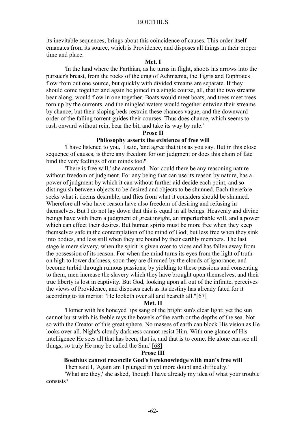its inevitable sequences, brings about this coincidence of causes. This order itself emanates from its source, which is Providence, and disposes all things in their proper time and place.

## **Met. I**

'In the land where the Parthian, as he turns in flight, shoots his arrows into the pursuer's breast, from the rocks of the crag of Achmænia, the Tigris and Euphrates flow from out one source, but quickly with divided streams are separate. If they should come together and again be joined in a single course, all, that the two streams bear along, would flow in one together. Boats would meet boats, and trees meet trees torn up by the currents, and the mingled waters would together entwine their streams by chance; but their sloping beds restrain these chances vague, and the downward order of the falling torrent guides their courses. Thus does chance, which seems to rush onward without rein, bear the bit, and take its way by rule.'

#### **Prose II**

# **Philosophy asserts the existence of free will**

'I have listened to you,' I said, 'and agree that it is as you say. But in this close sequence of causes, is there any freedom for our judgment or does this chain of fate bind the very feelings of our minds too?'

'There is free will,' she answered. 'Nor could there be any reasoning nature without freedom of judgment. For any being that can use its reason by nature, has a power of judgment by which it can without further aid decide each point, and so distinguish between objects to be desired and objects to be shunned. Each therefore seeks what it deems desirable, and flies from what it considers should be shunned. Wherefore all who have reason have also freedom of desiring and refusing in themselves. But I do not lay down that this is equal in all beings. Heavenly and divine beings have with them a judgment of great insight, an imperturbable will, and a power which can effect their desires. But human spirits must be more free when they keep themselves safe in the contemplation of the mind of God; but less free when they sink into bodies, and less still when they are bound by their earthly members. The last stage is mere slavery, when the spirit is given over to vices and has fallen away from the possession of its reason. For when the mind turns its eyes from the light of truth on high to lower darkness, soon they are dimmed by the clouds of ignorance, and become turbid through ruinous passions; by yielding to these passions and consenting to them, men increase the slavery which they have brought upon themselves, and their true liberty is lost in captivity. But God, looking upon all out of the infinite, perceives the views of Providence, and disposes each as its destiny has already fated for it according to its merits: "He looketh over all and heareth all."[67]

#### **Met. II**

'Homer with his honeyed lips sang of the bright sun's clear light; yet the sun cannot burst with his feeble rays the bowels of the earth or the depths of the sea. Not so with the Creator of this great sphere. No masses of earth can block His vision as He looks over all. Night's cloudy darkness cannot resist Him. With one glance of His intelligence He sees all that has been, that is, and that is to come. He alone can see all things, so truly He may be called the Sun.' [68]

# **Prose III**

**Boethius cannot reconcile God's foreknowledge with man's free will** Then said I, 'Again am I plunged in yet more doubt and difficulty.'

'What are they,' she asked, 'though I have already my idea of what your trouble consists?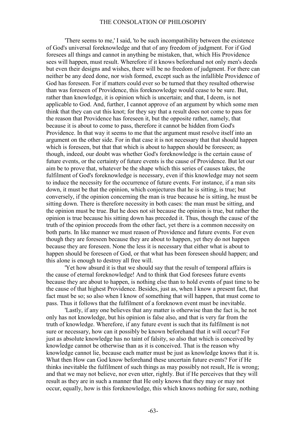# THE CONSOLATION OF PHILOSOPHY

'There seems to me,' I said, 'to be such incompatibility between the existence of God's universal foreknowledge and that of any freedom of judgment. For if God foresees all things and cannot in anything be mistaken, that, which His Providence sees will happen, must result. Wherefore if it knows beforehand not only men's deeds but even their designs and wishes, there will be no freedom of judgment. For there can neither be any deed done, nor wish formed, except such as the infallible Providence of God has foreseen. For if matters could ever so be turned that they resulted otherwise than was foreseen of Providence, this foreknowledge would cease to be sure. But, rather than knowledge, it is opinion which is uncertain; and that, I deem, is not applicable to God. And, further, I cannot approve of an argument by which some men think that they can cut this knot; for they say that a result does not come to pass for the reason that Providence has foreseen it, but the opposite rather, namely, that because it is about to come to pass, therefore it cannot be hidden from God's Providence. In that way it seems to me that the argument must resolve itself into an argument on the other side. For in that case it is not necessary that that should happen which is foreseen, but that that which is about to happen should be foreseen; as though, indeed, our doubt was whether God's foreknowledge is the certain cause of future events, or the certainty of future events is the cause of Providence. But let our aim be to prove that, whatever be the shape which this series of causes takes, the fulfilment of God's foreknowledge is necessary, even if this knowledge may not seem to induce the necessity for the occurrence of future events. For instance, if a man sits down, it must be that the opinion, which conjectures that he is sitting, is true; but conversely, if the opinion concerning the man is true because he is sitting, he must be sitting down. There is therefore necessity in both cases: the man must be sitting, and the opinion must be true. But he does not sit because the opinion is true, but rather the opinion is true because his sitting down has preceded it. Thus, though the cause of the truth of the opinion proceeds from the other fact, yet there is a common necessity on both parts. In like manner we must reason of Providence and future events. For even though they are foreseen because they are about to happen, yet they do not happen because they are foreseen. None the less it is necessary that either what is about to happen should be foreseen of God, or that what has been foreseen should happen; and this alone is enough to destroy all free will.

'Yet how absurd it is that we should say that the result of temporal affairs is the cause of eternal foreknowledge! And to think that God foresees future events because they are about to happen, is nothing else than to hold events of past time to be the cause of that highest Providence. Besides, just as, when I know a present fact, that fact must be so; so also when I know of something that will happen, that must come to pass. Thus it follows that the fulfilment of a foreknown event must be inevitable.

'Lastly, if any one believes that any matter is otherwise than the fact is, he not only has not knowledge, but his opinion is false also, and that is very far from the truth of knowledge. Wherefore, if any future event is such that its fulfilment is not sure or necessary, how can it possibly be known beforehand that it will occur? For just as absolute knowledge has no taint of falsity, so also that which is conceived by knowledge cannot be otherwise than as it is conceived. That is the reason why knowledge cannot lie, because each matter must be just as knowledge knows that it is. What then How can God know beforehand these uncertain future events? For if He thinks inevitable the fulfilment of such things as may possibly not result, He is wrong; and that we may not believe, nor even utter, rightly. But if He perceives that they will result as they are in such a manner that He only knows that they may or may not occur, equally, how is this foreknowledge, this which knows nothing for sure, nothing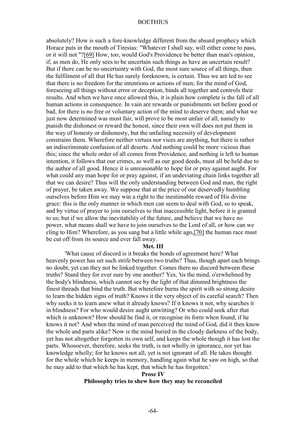absolutely? How is such a fore-knowledge different from the absurd prophecy which Horace puts in the mouth of Tiresias: "Whatever I shall say, will either come to pass, or it will not "?[69] How, too, would God's Providence be better than man's opinion, if, as men do, He only sees to be uncertain such things as have an uncertain result? But if there can be no uncertainty with God, the most sure source of all things, then the fulfilment of all that He has surely foreknown, is certain. Thus we are led to see that there is no freedom for the intentions or actions of men; for the mind of God, foreseeing all things without error or deception, binds all together and controls their results. And when we have once allowed this, it is plain how complete is the fall of all human actions in consequence. In vain are rewards or punishments set before good or bad, for there is no free or voluntary action of the mind to deserve them; and what we just now determined was most fair, will prove to be most unfair of all, namely to punish the dishonest or reward the honest, since their own will does not put them in the way of honesty or dishonesty, but the unfailing necessity of development constrains them. Wherefore neither virtues nor vices are anything, but there is rather an indiscriminate confusion of all deserts. And nothing could be more vicious than this; since the whole order of all comes from Providence, and nothing is left to human intention, it follows that our crimes, as well as our good deeds, must all be held due to the author of all good. Hence it is unreasonable to hope for or pray against aught. For what could any man hope for or pray against, if an undeviating chain links together all that we can desire? Thus will the only understanding between God and man, the right of prayer, be taken away. We suppose that at the price of our deservedly humbling ourselves before Him we may win a right to the inestimable reward of His divine grace: this is the only manner in which men can seem to deal with God, so to speak, and by virtue of prayer to join ourselves to that inaccessible light, before it is granted to us; but if we allow the inevitability of the future, and believe that we have no power, what means shall we have to join ourselves to the Lord of all, or how can we cling to Him? Wherefore, as you sang but a little while ago,[70] the human race must be cut off from its source and ever fall away.

#### **Met. III**

'What cause of discord is it breaks the bonds of agreement here? What heavenly power has set such strife between two truths? Thus, though apart each brings no doubt, yet can they not be linked together. Comes there no discord between these truths? Stand they for ever sure by one another? Yes, 'tis the mind, o'erwhelmed by the body's blindness, which cannot see by the light of that dimmed brightness the finest threads that bind the truth. But wherefore burns the spirit with so strong desire to learn the hidden signs of truth? Knows it the very object of its careful search? Then why seeks it to learn anew what it already knows? If it knows it not, why searches it in blindness? For who would desire aught unwitting? Or who could seek after that which is unknown? How should he find it, or recognise its form when found, if he knows it not? And when the mind of man perceived the mind of God, did it then know the whole and parts alike? Now is the mind buried in the cloudy darkness of the body, yet has not altogether forgotten its own self, and keeps the whole though it has lost the parts. Whosoever, therefore, seeks the truth, is not wholly in ignorance, nor yet has knowledge wholly; for he knows not all, yet is not ignorant of all. He takes thought for the whole which he keeps in memory, handling again what he saw on high, so that he may add to that which he has kept, that which he has forgotten.'

# **Prose IV Philosophy tries to shew how they may be reconciled**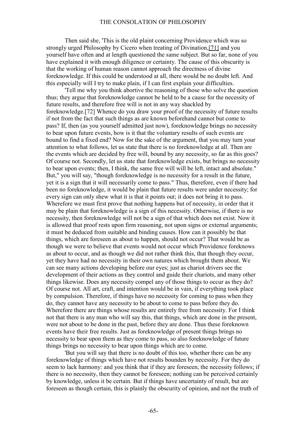Then said she, 'This is the old plaint concerning Providence which was so strongly urged Philosophy by Cicero when treating of Divination,[71] and you yourself have often and at length questioned the same subject. But so far, none of you have explained it with enough diligence or certainty. The cause of this obscurity is that the working of human reason cannot approach the directness of divine foreknowledge. If this could be understood at all, there would be no doubt left. And this especially will I try to make plain, if I can first explain your difficulties.

'Tell me why you think abortive the reasoning of those who solve the question thus; they argue that foreknowledge cannot be held to be a cause for the necessity of future results, and therefore free will is not in any way shackled by foreknowledge.[72] Whence do you draw your proof of the necessity of future results if not from the fact that such things as are known beforehand cannot but come to pass? If, then (as you yourself admitted just now), foreknowledge brings no necessity to bear upon future events, how is it that the voluntary results of such events are bound to find a fixed end? Now for the sake of the argument, that you may turn your attention to what follows, let us state that there is no foreknowledge at all. Then are the events which are decided by free will, bound by any necessity, so far as this goes? Of course not. Secondly, let us state that foreknowledge exists, but brings no necessity to bear upon events; then, I think, the same free will will be left, intact and absolute." But," you will say, "though foreknowledge is no necessity for a result in the future, yet it is a sign that it will necessarily come to pass." Thus, therefore, even if there had been no foreknowledge, it would be plain that future results were under necessity; for every sign can only shew what it is that it points out; it does not bring it to pass. Wherefore we must first prove that nothing happens but of necessity, in order that it may be plain that foreknowledge is a sign of this necessity. Otherwise, if there is no necessity, then foreknowledge will not be a sign of that which does not exist. Now it is allowed that proof rests upon firm reasoning, not upon signs or external arguments; it must be deduced from suitable and binding causes. How can it possibly be that things, which are foreseen as about to happen, should not occur? That would be as though we were to believe that events would not occur which Providence foreknows as about to occur, and as though we did not rather think this, that though they occur, yet they have had no necessity in their own natures which brought them about. We can see many actions developing before our eyes; just as chariot drivers see the development of their actions as they control and guide their chariots, and many other things likewise. Does any necessity compel any of those things to occur as they do? Of course not. All art, craft, and intention would be in vain, if everything took place by compulsion. Therefore, if things have no necessity for coming to pass when they do, they cannot have any necessity to be about to come to pass before they do. Wherefore there are things whose results are entirely free from necessity. For I think not that there is any man who will say this, that things, which are done in the present, were not about to be done in the past, before they are done. Thus these foreknown events have their free results. Just as foreknowledge of present things brings no necessity to bear upon them as they come to pass, so also foreknowledge of future things brings no necessity to bear upon things which are to come.

'But you will say that there is no doubt of this too, whether there can be any foreknowledge of things which have not results bounden by necessity. For they do seem to lack harmony: and you think that if they are foreseen, the necessity follows; if there is no necessity, then they cannot be foreseen; nothing can be perceived certainly by knowledge, unless it be certain. But if things have uncertainty of result, but are foreseen as though certain, this is plainly the obscurity of opinion, and not the truth of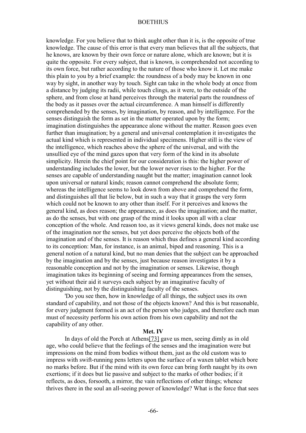knowledge. For you believe that to think aught other than it is, is the opposite of true knowledge. The cause of this error is that every man believes that all the subjects, that he knows, are known by their own force or nature alone, which are known; but it is quite the opposite. For every subject, that is known, is comprehended not according to its own force, but rather according to the nature of those who know it. Let me make this plain to you by a brief example: the roundness of a body may be known in one way by sight, in another way by touch. Sight can take in the whole body at once from a distance by judging its radii, while touch clings, as it were, to the outside of the sphere, and from close at hand perceives through the material parts the roundness of the body as it passes over the actual circumference. A man himself is differently comprehended by the senses, by imagination, by reason, and by intelligence. For the senses distinguish the form as set in the matter operated upon by the form; imagination distinguishes the appearance alone without the matter. Reason goes even further than imagination; by a general and universal contemplation it investigates the actual kind which is represented in individual specimens. Higher still is the view of the intelligence, which reaches above the sphere of the universal, and with the unsullied eye of the mind gazes upon that very form of the kind in its absolute simplicity. Herein the chief point for our consideration is this: the higher power of understanding includes the lower, but the lower never rises to the higher. For the senses are capable of understanding naught but the matter; imagination cannot look upon universal or natural kinds; reason cannot comprehend the absolute form; whereas the intelligence seems to look down from above and comprehend the form, and distinguishes all that lie below, but in such a way that it grasps the very form which could not be known to any other than itself. For it perceives and knows the general kind, as does reason; the appearance, as does the imagination; and the matter, as do the senses, but with one grasp of the mind it looks upon all with a clear conception of the whole. And reason too, as it views general kinds, does not make use of the imagination nor the senses, but yet does perceive the objects both of the imagination and of the senses. It is reason which thus defines a general kind according to its conception: Man, for instance, is an animal, biped and reasoning. This is a general notion of a natural kind, but no man denies that the subject can be approached by the imagination and by the senses, just because reason investigates it by a reasonable conception and not by the imagination or senses. Likewise, though imagination takes its beginning of seeing and forming appearances from the senses, yet without their aid it surveys each subject by an imaginative faculty of distinguishing, not by the distinguishing faculty of the senses.

'Do you see then, how in knowledge of all things, the subject uses its own standard of capability, and not those of the objects known? And this is but reasonable, for every judgment formed is an act of the person who judges, and therefore each man must of necessity perform his own action from his own capability and not the capability of any other.

#### **Met. IV**

In days of old the Porch at Athens[73] gave us men, seeing dimly as in old age, who could believe that the feelings of the senses and the imagination were but impressions on the mind from bodies without them, just as the old custom was to impress with swift-running pens letters upon the surface of a waxen tablet which bore no marks before. But if the mind with its own force can bring forth naught by its own exertions; if it does but lie passive and subject to the marks of other bodies; if it reflects, as does, forsooth, a mirror, the vain reflections of other things; whence thrives there in the soul an all-seeing power of knowledge? What is the force that sees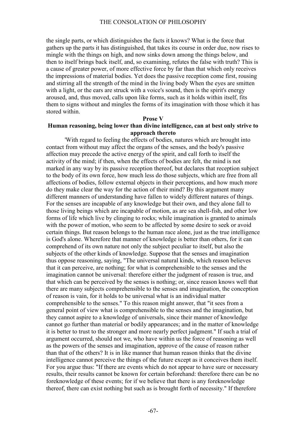#### THE CONSOLATION OF PHILOSOPHY

the single parts, or which distinguishes the facts it knows? What is the force that gathers up the parts it has distinguished, that takes its course in order due, now rises to mingle with the things on high, and now sinks down among the things below, and then to itself brings back itself, and, so examining, refutes the false with truth? This is a cause of greater power, of more effective force by far than that which only receives the impressions of material bodies. Yet does the passive reception come first, rousing and stirring all the strength of the mind in the living body When the eyes are smitten with a light, or the ears are struck with a voice's sound, then is the spirit's energy aroused, and, thus moved, calls upon like forms, such as it holds within itself, fits them to signs without and mingles the forms of its imagination with those which it has stored within.

#### **Prose V**

## **Human reasoning, being lower than divine intelligence, can at best only strive to approach thereto**

'With regard to feeling the effects of bodies, natures which are brought into contact from without may affect the organs of the senses, and the body's passive affection may precede the active energy of the spirit, and call forth to itself the activity of the mind; if then, when the effects of bodies are felt, the mind is not marked in any way by its passive reception thereof, but declares that reception subject to the body of its own force, how much less do those subjects, which are free from all affections of bodies, follow external objects in their perceptions, and how much more do they make clear the way for the action of their mind? By this argument many different manners of understanding have fallen to widely different natures of things. For the senses are incapable of any knowledge but their own, and they alone fall to those living beings which are incapable of motion, as are sea shell-fish, and other low forms of life which live by clinging to rocks; while imagination is granted to animals with the power of motion, who seem to be affected by some desire to seek or avoid certain things. But reason belongs to the human race alone, just as the true intelligence is God's alone. Wherefore that manner of knowledge is better than others, for it can comprehend of its own nature not only the subject peculiar to itself, but also the subjects of the other kinds of knowledge. Suppose that the senses and imagination thus oppose reasoning, saying, "The universal natural kinds, which reason believes that it can perceive, are nothing; for what is comprehensible to the senses and the imagination cannot be universal: therefore either the judgment of reason is true, and that which can be perceived by the senses is nothing; or, since reason knows well that there are many subjects comprehensible to the senses and imagination, the conception of reason is vain, for it holds to be universal what is an individual matter comprehensible to the senses." To this reason might answer, that "it sees from a general point of view what is comprehensible to the senses and the imagination, but they cannot aspire to a knowledge of universals, since their manner of knowledge cannot go further than material or bodily appearances; and in the matter of knowledge it is better to trust to the stronger and more nearly perfect judgment." If such a trial of argument occurred, should not we, who have within us the force of reasoning as well as the powers of the senses and imagination, approve of the cause of reason rather than that of the others? It is in like manner that human reason thinks that the divine intelligence cannot perceive the things of the future except as it conceives them itself. For you argue thus: "If there are events which do not appear to have sure or necessary results, their results cannot be known for certain beforehand: therefore there can be no foreknowledge of these events; for if we believe that there is any foreknowledge thereof, there can exist nothing but such as is brought forth of necessity." If therefore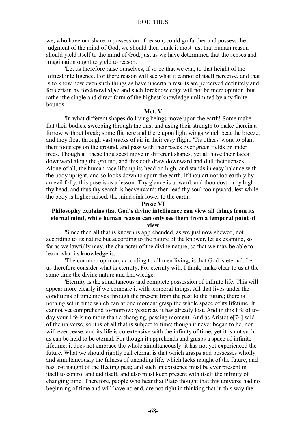we, who have our share in possession of reason, could go further and possess the judgment of the mind of God, we should then think it most just that human reason should yield itself to the mind of God, just as we have determined that the senses and imagination ought to yield to reason.

'Let us therefore raise ourselves, if so be that we can, to that height of the loftiest intelligence. For there reason will see what it cannot of itself perceive, and that is to know how even such things as have uncertain results are perceived definitely and for certain by foreknowledge; and such foreknowledge will not be mere opinion, but rather the single and direct form of the highest knowledge unlimited by any finite bounds.

#### **Met. V**

'In what different shapes do living beings move upon the earth! Some make flat their bodies, sweeping through the dust and using their strength to make therein a furrow without break; some flit here and there upon light wings which beat the breeze, and they float through vast tracks of air in their easy flight. 'Tis others' wont to plant their footsteps on the ground, and pass with their paces over green fields or under trees. Though all these thou seest move in different shapes, yet all have their faces downward along the ground, and this doth draw downward and dull their senses. Alone of all, the human race lifts up its head on high, and stands in easy balance with the body upright, and so looks down to spurn the earth. If thou art not too earthly by an evil folly, this pose is as a lesson. Thy glance is upward, and thou dost carry high thy head, and thus thy search is heavenward: then lead thy soul too upward, lest while the body is higher raised, the mind sink lower to the earth.

#### **Prose VI**

## **Philosophy explains that God's divine intelligence can view all things from its eternal mind, while human reason can only see them from a temporal point of view**

'Since then all that is known is apprehended, as we just now shewed, not according to its nature but according to the nature of the knower, let us examine, so far as we lawfully may, the character of the divine nature, so that we may be able to learn what its knowledge is.

'The common opinion, according to all men living, is that God is eternal. Let us therefore consider what is eternity. For eternity will, I think, make clear to us at the same time the divine nature and knowledge.

'Eternity is the simultaneous and complete possession of infinite life. This will appear more clearly if we compare it with temporal things. All that lives under the conditions of time moves through the present from the past to the future; there is nothing set in time which can at one moment grasp the whole space of its lifetime. It cannot yet comprehend to-morrow; yesterday it has already lost. And in this life of today your life is no more than a changing, passing moment. And as Aristotle<sup>[74]</sup> said of the universe, so it is of all that is subject to time; though it never began to be, nor will ever cease, and its life is co-extensive with the infinity of time, yet it is not such as can be held to be eternal. For though it apprehends and grasps a space of infinite lifetime, it does not embrace the whole simultaneously; it has not yet experienced the future. What we should rightly call eternal is that which grasps and possesses wholly and simultaneously the fulness of unending life, which lacks naught of the future, and has lost naught of the fleeting past; and such an existence must be ever present in itself to control and aid itself, and also must keep present with itself the infinity of changing time. Therefore, people who hear that Plato thought that this universe had no beginning of time and will have no end, are not right in thinking that in this way the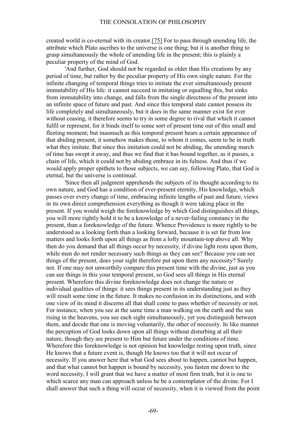created world is co-eternal with its creator.[75] For to pass through unending life, the attribute which Plato ascribes to the universe is one thing; but it is another thing to grasp simultaneously the whole of unending life in the present; this is plainly a peculiar property of the mind of God.

'And further, God should not be regarded as older than His creations by any period of time, but rather by the peculiar property of His own single nature. For the infinite changing of temporal things tries to imitate the ever simultaneously present immutability of His life: it cannot succeed in imitating or equalling this, but sinks from immutability into change, and falls from the single directness of the present into an infinite space of future and past. And since this temporal state cannot possess its life completely and simultaneously, but it does in the same manner exist for ever without ceasing, it therefore seems to try in some degree to rival that which it cannot fulfil or represent, for it binds itself to some sort of present time out of this small and fleeting moment; but inasmuch as this temporal present bears a certain appearance of that abiding present, it somehow makes those, to whom it comes, seem to be in truth what they imitate. But since this imitation could not be abiding, the unending march of time has swept it away, and thus we find that it has bound together, as it passes, a chain of life, which it could not by abiding embrace in its fulness. And thus if we would apply proper epithets to those subjects, we can say, following Plato, that God is eternal, but the universe is continual.

'Since then all judgment apprehends the subjects of its thought according to its own nature, and God has a condition of ever-present eternity, His knowledge, which passes over every change of time, embracing infinite lengths of past and future, views in its own direct comprehension everything as though it were taking place in the present. If you would weigh the foreknowledge by which God distinguishes all things, you will more rightly hold it to be a knowledge of a never-failing constancy in the present, than a foreknowledge of the future. Whence Providence is more rightly to be understood as a looking forth than a looking forward, because it is set far from low matters and looks forth upon all things as from a lofty mountain-top above all. Why then do you demand that all things occur by necessity, if divine light rests upon them, while men do not render necessary such things as they can see? Because you can see things of the present, does your sight therefore put upon them any necessity? Surely not. If one may not unworthily compare this present time with the divine, just as you can see things in this your temporal present, so God sees all things in His eternal present. Wherefore this divine foreknowledge does not change the nature or individual qualities of things: it sees things present in its understanding just as they will result some time in the future. It makes no confusion in its distinctions, and with one view of its mind it discerns all that shall come to pass whether of necessity or not. For instance, when you see at the same time a man walking on the earth and the sun rising in the heavens, you see each sight simultaneously, yet you distinguish between them, and decide that one is moving voluntarily, the other of necessity. In like manner the perception of God looks down upon all things without disturbing at all their nature, though they are present to Him but future under the conditions of time. Wherefore this foreknowledge is not opinion but knowledge resting upon truth, since He knows that a future event is, though He knows too that it will not occur of necessity. If you answer here that what God sees about to happen, cannot but happen, and that what cannot but happen is bound by necessity, you fasten me down to the word necessity, I will grant that we have a matter of most firm truth, but it is one to which scarce any man can approach unless he be a contemplator of the divine. For I shall answer that such a thing will occur of necessity, when it is viewed from the point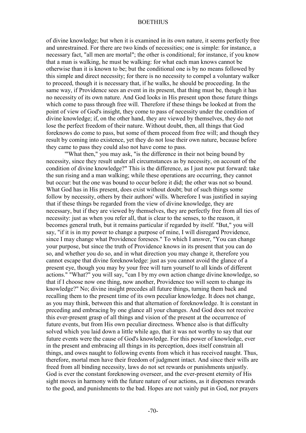of divine knowledge; but when it is examined in its own nature, it seems perfectly free and unrestrained. For there are two kinds of necessities; one is simple: for instance, a necessary fact, "all men are mortal"; the other is conditional; for instance, if you know that a man is walking, he must be walking: for what each man knows cannot be otherwise than it is known to be; but the conditional one is by no means followed by this simple and direct necessity; for there is no necessity to compel a voluntary walker to proceed, though it is necessary that, if he walks, he should be proceeding. In the same way, if Providence sees an event in its present, that thing must be, though it has no necessity of its own nature. And God looks in His present upon those future things which come to pass through free will. Therefore if these things be looked at from the point of view of God's insight, they come to pass of necessity under the condition of divine knowledge; if, on the other hand, they are viewed by themselves, they do not lose the perfect freedom of their nature. Without doubt, then, all things that God foreknows do come to pass, but some of them proceed from free will; and though they result by coming into existence, yet they do not lose their own nature, because before they came to pass they could also not have come to pass.

'"What then," you may ask, "is the difference in their not being bound by necessity, since they result under all circumstances as by necessity, on account of the condition of divine knowledge?" This is the difference, as I just now put forward: take the sun rising and a man walking; while these operations are occurring, they cannot but occur: but the one was bound to occur before it did; the other was not so bound. What God has in His present, does exist without doubt; but of such things some follow by necessity, others by their authors' wills. Wherefore I was justified in saying that if these things be regarded from the view of divine knowledge, they are necessary, but if they are viewed by themselves, they are perfectly free from all ties of necessity: just as when you refer all, that is clear to the senses, to the reason, it becomes general truth, but it remains particular if regarded by itself. "But," you will say, "if it is in my power to change a purpose of mine, I will disregard Providence, since I may change what Providence foresees." To which I answer, "You can change your purpose, but since the truth of Providence knows in its present that you can do so, and whether you do so, and in what direction you may change it, therefore you cannot escape that divine foreknowledge: just as you cannot avoid the glance of a present eye, though you may by your free will turn yourself to all kinds of different actions." "What?" you will say, "can I by my own action change divine knowledge, so that if I choose now one thing, now another, Providence too will seem to change its knowledge?" No; divine insight precedes all future things, turning them back and recalling them to the present time of its own peculiar knowledge. It does not change, as you may think, between this and that alternation of foreknowledge. It is constant in preceding and embracing by one glance all your changes. And God does not receive this ever-present grasp of all things and vision of the present at the occurrence of future events, but from His own peculiar directness. Whence also is that difficulty solved which you laid down a little while ago, that it was not worthy to say that our future events were the cause of God's knowledge. For this power of knowledge, ever in the present and embracing all things in its perception, does itself constrain all things, and owes naught to following events from which it has received naught. Thus, therefore, mortal men have their freedom of judgment intact. And since their wills are freed from all binding necessity, laws do not set rewards or punishments unjustly. God is ever the constant foreknowing overseer, and the ever-present eternity of His sight moves in harmony with the future nature of our actions, as it dispenses rewards to the good, and punishments to the bad. Hopes are not vainly put in God, nor prayers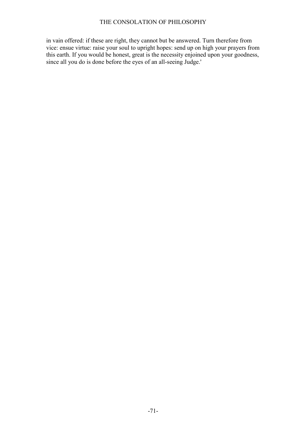in vain offered: if these are right, they cannot but be answered. Turn therefore from vice: ensue virtue: raise your soul to upright hopes: send up on high your prayers from this earth. If you would be honest, great is the necessity enjoined upon your goodness, since all you do is done before the eyes of an all-seeing Judge.'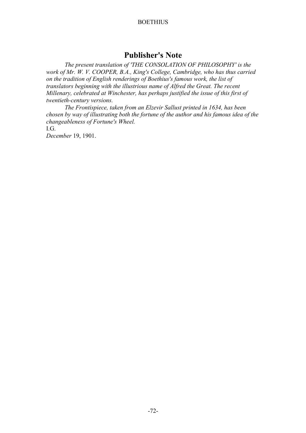# **Publisher's Note**

*The present translation of 'THE CONSOLATION OF PHILOSOPHY' is the work of Mr. W. V. COOPER, B.A., King's College, Cambridge, who has thus carried on the tradition of English renderings of Boethius's famous work, the list of translators beginning with the illustrious name of Alfred the Great. The recent Millenary, celebrated at Winchester, has perhaps justified the issue of this first of twentieth-century versions.*

*The Frontispiece, taken from an Elzevir Sallust printed in 1634, has been chosen by way of illustrating both the fortune of the author and his famous idea of the changeableness of Fortune's Wheel.* I.G.

*December* 19, 1901.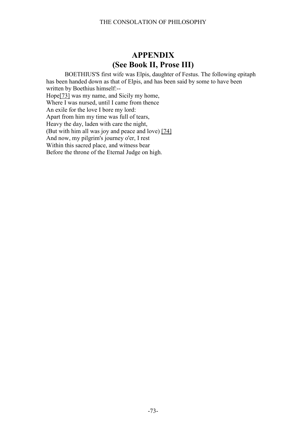#### THE CONSOLATION OF PHILOSOPHY

# **APPENDIX (See Book II, Prose III)**

BOETHIUS'S first wife was Elpis, daughter of Festus. The following epitaph has been handed down as that of Elpis, and has been said by some to have been written by Boethius himself:-- Hope[73] was my name, and Sicily my home, Where I was nursed, until I came from thence An exile for the love I bore my lord: Apart from him my time was full of tears, Heavy the day, laden with care the night, (But with him all was joy and peace and love) [74] And now, my pilgrim's journey o'er, I rest Within this sacred place, and witness bear Before the throne of the Eternal Judge on high.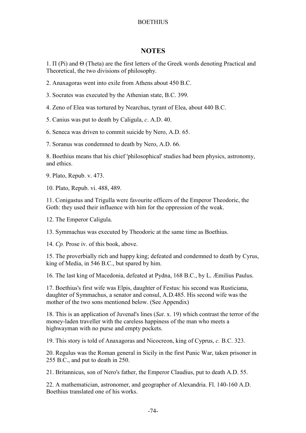## **BOETHIUS**

## **NOTES**

1. Π (Pi) and Θ (Theta) are the first letters of the Greek words denoting Practical and Theoretical, the two divisions of philosophy.

2. Anaxagoras went into exile from Athens about 450 B.C.

3. Socrates was executed by the Athenian state, B.C. 399.

4. Zeno of Elea was tortured by Nearchus, tyrant of Elea, about 440 B.C.

5. Canius was put to death by Caligula, *c*. A.D. 40.

6. Seneca was driven to commit suicide by Nero, A.D. 65.

7. Soranus was condemned to death by Nero, A.D. 66.

8. Boethius means that his chief 'philosophical' studies had been physics, astronomy, and ethics.

9. Plato, Repub. v. 473.

10. Plato, Repub. vi. 488, 489.

11. Conigastus and Trigulla were favourite officers of the Emperor Theodoric, the Goth: they used their influence with him for the oppression of the weak.

12. The Emperor Caligula.

13. Symmachus was executed by Theodoric at the same time as Boethius.

14. *Cp.* Prose iv. of this book, above.

15. The proverbially rich and happy king; defeated and condemned to death by Cyrus, king of Media, in 546 B.C., but spared by him.

16. The last king of Macedonia, defeated at Pydna, 168 B.C., by L. Æmilius Paulus.

17. Boethius's first wife was Elpis, daughter of Festus: his second was Rusticiana, daughter of Symmachus, a senator and consul, A.D.485. His second wife was the mother of the two sons mentioned below. (See Appendix)

18. This is an application of Juvenal's lines (*Sat*. x. 19) which contrast the terror of the money-laden traveller with the careless happiness of the man who meets a highwayman with no purse and empty pockets.

19. This story is told of Anaxagoras and Nicocreon, king of Cyprus, *c.* B.C. 323.

20. Regulus was the Roman general in Sicily in the first Punic War, taken prisoner in 255 B.C., and put to death in 250.

21. Britannicus, son of Nero's father, the Emperor Claudius, put to death A.D. 55.

22. A mathematician, astronomer, and geographer of Alexandria. Fl. 140-160 A.D. Boethius translated one of his works.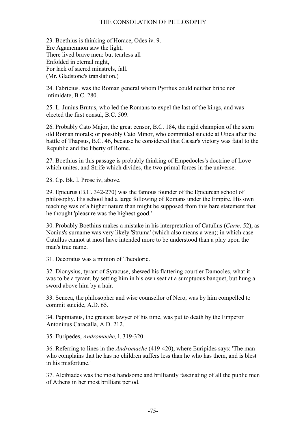## THE CONSOLATION OF PHILOSOPHY

23. Boethius is thinking of Horace, Odes iv. 9. Ere Agamemnon saw the light, There lived brave men: but tearless all Enfolded in eternal night, For lack of sacred minstrels, fall. (Mr. Gladstone's translation.)

24. Fabricius. was the Roman general whom Pyrrhus could neither bribe nor intimidate, B.C. 280.

25. L. Junius Brutus, who led the Romans to expel the last of the kings, and was elected the first consul, B.C. 509.

26. Probably Cato Major, the great censor, B.C. 184, the rigid champion of the stern old Roman morals; or possibly Cato Minor, who committed suicide at Utica after the battle of Thapsus, B.C. 46, because he considered that Cæsar's victory was fatal to the Republic and the liberty of Rome.

27. Boethius in this passage is probably thinking of Empedocles's doctrine of Love which unites, and Strife which divides, the two primal forces in the universe.

28. Cp. Bk. I. Prose iv, above.

29. Epicurus (B.C. 342-270) was the famous founder of the Epicurean school of philosophy. His school had a large following of Romans under the Empire. His own teaching was of a higher nature than might be supposed from this bare statement that he thought 'pleasure was the highest good.'

30. Probably Boethius makes a mistake in his interpretation of Catullus (*Carm.* 52), as Nonius's surname was very likely 'Struma' (which also means a wen); in which case Catullus cannot at most have intended more to be understood than a play upon the man's true name.

31. Decoratus was a minion of Theodoric.

32. Dionysius, tyrant of Syracuse, shewed his flattering courtier Damocles, what it was to be a tyrant, by setting him in his own seat at a sumptuous banquet, but hung a sword above him by a hair.

33. Seneca, the philosopher and wise counsellor of Nero, was by him compelled to commit suicide, A.D. 65.

34. Papinianus, the greatest lawyer of his time, was put to death by the Emperor Antoninus Caracalla, A.D. 212.

35. Euripedes, *Andromache,* l. 319-320.

36. Referring to lines in the *Andromache* (419-420), where Euripides says: 'The man who complains that he has no children suffers less than he who has them, and is blest in his misfortune.'

37. Alcibiades was the most handsome and brilliantly fascinating of all the public men of Athens in her most brilliant period.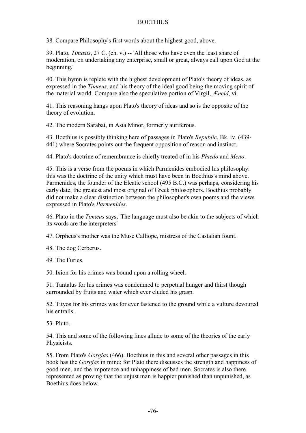## **BOETHIUS**

38. Compare Philosophy's first words about the highest good, above.

39. Plato, *Timæus*, 27 C. (ch. v.) -- 'All those who have even the least share of moderation, on undertaking any enterprise, small or great, always call upon God at the beginning.'

40. This hymn is replete with the highest development of Plato's theory of ideas, as expressed in the *Timæus*, and his theory of the ideal good being the moving spirit of the material world. Compare also the speculative portion of Virgil, *Æneid*, vi.

41. This reasoning hangs upon Plato's theory of ideas and so is the opposite of the theory of evolution.

42. The modern Sarabat, in Asia Minor, formerly auriferous.

43. Boethius is possibly thinking here of passages in Plato's *Republic*, Bk. iv. (439- 441) where Socrates points out the frequent opposition of reason and instinct.

44. Plato's doctrine of remembrance is chiefly treated of in his *Phædo* and *Meno*.

45. This is a verse from the poems in which Parmenides embodied his philosophy: this was the doctrine of the unity which must have been in Boethius's mind above. Parmenides, the founder of the Eleatic school (495 B.C.) was perhaps, considering his early date, the greatest and most original of Greek philosophers. Boethius probably did not make a clear distinction between the philosopher's own poems and the views expressed in Plato's *Parmenides*.

46. Plato in the *Timæus* says, 'The language must also be akin to the subjects of which its words are the interpreters'

47. Orpheus's mother was the Muse Calliope, mistress of the Castalian fount.

48. The dog Cerberus.

49. The Furies.

50. Ixion for his crimes was bound upon a rolling wheel.

51. Tantalus for his crimes was condemned to perpetual hunger and thirst though surrounded by fruits and water which ever eluded his grasp.

52. Tityos for his crimes was for ever fastened to the ground while a vulture devoured his entrails.

53. Pluto.

54. This and some of the following lines allude to some of the theories of the early Physicists.

55. From Plato's *Gorgias* (466). Boethius in this and several other passages in this book has the *Gorgias* in mind; for Plato there discusses the strength and happiness of good men, and the impotence and unhappiness of bad men. Socrates is also there represented as proving that the unjust man is happier punished than unpunished, as Boethius does below.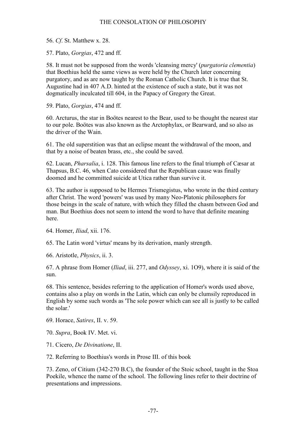56. *Cf*. St. Matthew x. 28.

57. Plato, *Gorgias*, 472 and ff.

58. It must not be supposed from the words 'cleansing mercy' (*purgatoria clementia*) that Boethius held the same views as were held by the Church later concerning purgatory, and as are now taught by the Roman Catholic Church. It is true that St. Augustine had in 407 A.D. hinted at the existence of such a state, but it was not dogmatically inculcated till 604, in the Papacy of Gregory the Great.

59. Plato, *Gorgias*, 474 and ff.

60. Arcturus, the star in Boötes nearest to the Bear, used to be thought the nearest star to our pole. Boötes was also known as the Arctophylax, or Bearward, and so also as the driver of the Wain.

61. The old superstition was that an eclipse meant the withdrawal of the moon, and that by a noise of beaten brass, etc., she could be saved.

62. Lucan, *Pharsalia*, i. 128. This famous line refers to the final triumph of Cæsar at Thapsus, B.C. 46, when Cato considered that the Republican cause was finally doomed and he committed suicide at Utica rather than survive it.

63. The author is supposed to be Hermes Trismegistus, who wrote in the third century after Christ. The word 'powers' was used by many Neo-Platonic philosophers for those beings in the scale of nature, with which they filled the chasm between God and man. But Boethius does not seem to intend the word to have that definite meaning here.

64. Homer, *Iliad*, xii. 176.

65. The Latin word 'virtus' means by its derivation, manly strength.

66. Aristotle, *Physics*, ii. 3.

67. A phrase from Homer (*Iliad*, iii. 277, and *Odyssey*, xi. 1O9), where it is said of the sun.

68. This sentence, besides referring to the application of Homer's words used above, contains also a play on words in the Latin, which can only be clumsily reproduced in English by some such words as 'The sole power which can see all is justly to be called the solar.'

69. Horace, *Satires*, II. v. 59.

70. *Supra*, Book IV. Met. vi.

71. Cicero, *De Divinatione*, II.

72. Referring to Boethius's words in Prose III. of this book

73. Zeno, of Citium (342-270 B.C), the founder of the Stoic school, taught in the Stoa Poekile, whence the name of the school. The following lines refer to their doctrine of presentations and impressions.